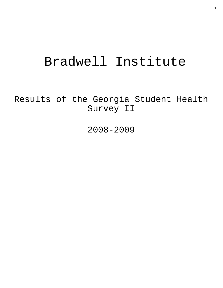# Bradwell Institute

Results of the Georgia Student Health Survey II

2008-2009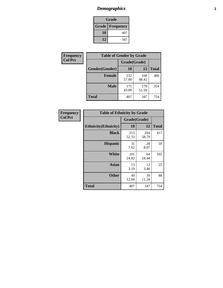# *Demographics* **2**

| Grade                    |     |  |  |  |
|--------------------------|-----|--|--|--|
| <b>Grade   Frequency</b> |     |  |  |  |
| 10                       | 407 |  |  |  |
| 12                       | 347 |  |  |  |

| Frequency      | <b>Table of Gender by Grade</b> |              |              |              |  |  |
|----------------|---------------------------------|--------------|--------------|--------------|--|--|
| <b>Col Pct</b> |                                 | Grade(Grade) |              |              |  |  |
|                | Gender(Gender)                  | 10           | 12           | <b>Total</b> |  |  |
|                | <b>Female</b>                   | 232<br>57.00 | 168<br>48.41 | 400          |  |  |
|                | <b>Male</b>                     | 175<br>43.00 | 179<br>51.59 | 354          |  |  |
|                | <b>Total</b>                    | 407          | 347          | 754          |  |  |

| Frequency      |
|----------------|
| <b>Col Pct</b> |

|              | <b>Table of Ethnicity by Grade</b> |              |              |              |  |  |  |
|--------------|------------------------------------|--------------|--------------|--------------|--|--|--|
|              |                                    | Grade(Grade) |              |              |  |  |  |
|              | <b>Ethnicity</b> (Ethnicity)       | 10           | 12           | <b>Total</b> |  |  |  |
|              | <b>Black</b>                       | 213<br>52.33 | 204<br>58.79 | 417          |  |  |  |
|              | <b>Hispanic</b>                    | 31<br>7.62   | 28<br>8.07   | 59           |  |  |  |
|              | White                              | 101<br>24.82 | 64<br>18.44  | 165          |  |  |  |
|              | <b>Asian</b>                       | 13<br>3.19   | 12<br>3.46   | 25           |  |  |  |
|              | <b>Other</b>                       | 49<br>12.04  | 39<br>11.24  | 88           |  |  |  |
| <b>Total</b> |                                    | 407          | 347          | 754          |  |  |  |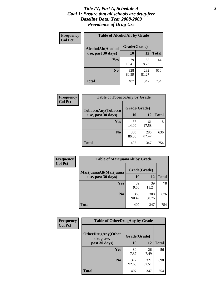#### *Title IV, Part A, Schedule A* **3** *Goal 1: Ensure that all schools are drug-free Baseline Data: Year 2008-2009 Prevalence of Drug Use*

| Frequency<br><b>Col Pct</b> | <b>Table of AlcoholAlt by Grade</b> |              |              |              |  |  |
|-----------------------------|-------------------------------------|--------------|--------------|--------------|--|--|
|                             | AlcoholAlt(Alcohol                  | Grade(Grade) |              |              |  |  |
|                             | use, past 30 days)                  | <b>10</b>    | 12           | <b>Total</b> |  |  |
|                             | Yes                                 | 79<br>19.41  | 65<br>18.73  | 144          |  |  |
|                             | N <sub>0</sub>                      | 328<br>80.59 | 282<br>81.27 | 610          |  |  |
|                             | Total                               | 407          | 347          | 754          |  |  |

| Frequency<br><b>Col Pct</b> | <b>Table of TobaccoAny by Grade</b> |              |              |              |  |
|-----------------------------|-------------------------------------|--------------|--------------|--------------|--|
|                             | <b>TobaccoAny(Tobacco</b>           | Grade(Grade) |              |              |  |
|                             | use, past 30 days)                  | 10           | 12           | <b>Total</b> |  |
|                             | Yes                                 | 57<br>14.00  | 61<br>17.58  | 118          |  |
|                             | N <sub>0</sub>                      | 350<br>86.00 | 286<br>82.42 | 636          |  |
|                             | Total                               | 407          | 347          | 754          |  |

| Frequency<br><b>Col Pct</b> | <b>Table of MarijuanaAlt by Grade</b> |              |              |              |  |
|-----------------------------|---------------------------------------|--------------|--------------|--------------|--|
|                             | MarijuanaAlt(Marijuana                | Grade(Grade) |              |              |  |
|                             | use, past 30 days)                    | 10           | 12           | <b>Total</b> |  |
|                             | <b>Yes</b>                            | 39<br>9.58   | 39<br>11.24  | 78           |  |
|                             | N <sub>0</sub>                        | 368<br>90.42 | 308<br>88.76 | 676          |  |
|                             | <b>Total</b>                          | 407          | 347          | 754          |  |

| Frequency<br><b>Col Pct</b> | <b>Table of OtherDrugAny by Grade</b>  |              |              |              |  |
|-----------------------------|----------------------------------------|--------------|--------------|--------------|--|
|                             | <b>OtherDrugAny(Other</b><br>drug use, | Grade(Grade) |              |              |  |
|                             | past 30 days)                          | 10           | 12           | <b>Total</b> |  |
|                             | <b>Yes</b>                             | 30<br>7.37   | 26<br>7.49   | 56           |  |
|                             | N <sub>0</sub>                         | 377<br>92.63 | 321<br>92.51 | 698          |  |
|                             | <b>Total</b>                           | 407          | 347          | 754          |  |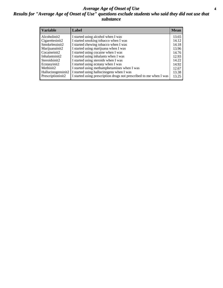### *Average Age of Onset of Use* **4** *Results for "Average Age of Onset of Use" questions exclude students who said they did not use that substance*

| <b>Variable</b>    | Label                                                              | <b>Mean</b> |
|--------------------|--------------------------------------------------------------------|-------------|
| Alcoholinit2       | I started using alcohol when I was                                 | 13.65       |
| Cigarettesinit2    | I started smoking tobacco when I was                               | 14.12       |
| Smokelessinit2     | I started chewing tobacco when I was                               | 14.18       |
| Marijuanainit2     | I started using marijuana when I was                               | 13.96       |
| Cocaineinit2       | I started using cocaine when I was                                 | 14.76       |
| Inhalantsinit2     | I started using inhalants when I was                               | 12.93       |
| Steroidsinit2      | I started using steroids when I was                                | 14.22       |
| Ecstasyinit2       | I started using ecstasy when I was                                 | 14.92       |
| Methinit2          | I started using methamphetamines when I was                        | 12.67       |
| Hallucinogensinit2 | I started using hallucinogens when I was                           | 13.38       |
| Prescriptioninit2  | I started using prescription drugs not prescribed to me when I was | 13.25       |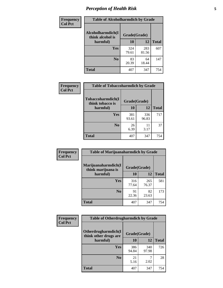# *Perception of Health Risk* **5**

| Frequency      | <b>Table of Alcoholharmdich by Grade</b> |              |              |              |  |
|----------------|------------------------------------------|--------------|--------------|--------------|--|
| <b>Col Pct</b> | Alcoholharmdich(I<br>think alcohol is    | Grade(Grade) |              |              |  |
|                | harmful)                                 | 10           | 12           | <b>Total</b> |  |
|                | <b>Yes</b>                               | 324<br>79.61 | 283<br>81.56 | 607          |  |
|                | N <sub>0</sub>                           | 83<br>20.39  | 64<br>18.44  | 147          |  |
|                | <b>Total</b>                             | 407          | 347          | 754          |  |

| Frequency      | <b>Table of Tobaccoharmdich by Grade</b>          |              |              |              |  |
|----------------|---------------------------------------------------|--------------|--------------|--------------|--|
| <b>Col Pct</b> | Tobaccoharmdich(I<br>think tobacco is<br>harmful) | Grade(Grade) |              |              |  |
|                |                                                   | 10           | 12           | <b>Total</b> |  |
|                | Yes                                               | 381<br>93.61 | 336<br>96.83 | 717          |  |
|                | N <sub>0</sub>                                    | 26<br>6.39   | 11<br>3.17   | 37           |  |
|                | <b>Total</b>                                      | 407          | 347          | 754          |  |

| Frequency      | <b>Table of Marijuanaharmdich by Grade</b> |              |              |              |  |  |
|----------------|--------------------------------------------|--------------|--------------|--------------|--|--|
| <b>Col Pct</b> | Marijuanaharmdich(I<br>think marijuana is  | Grade(Grade) |              |              |  |  |
|                | harmful)                                   | 10           | 12           | <b>Total</b> |  |  |
|                | <b>Yes</b>                                 | 316<br>77.64 | 265<br>76.37 | 581          |  |  |
|                | N <sub>0</sub>                             | 91<br>22.36  | 82<br>23.63  | 173          |  |  |
|                | <b>Total</b>                               | 407          | 347          | 754          |  |  |

| <b>Frequency</b> | <b>Table of Otherdrugharmdich by Grade</b>   |              |              |              |  |  |  |
|------------------|----------------------------------------------|--------------|--------------|--------------|--|--|--|
| <b>Col Pct</b>   | Otherdrugharmdich(I<br>think other drugs are | Grade(Grade) |              |              |  |  |  |
|                  | harmful)                                     | <b>10</b>    | 12           | <b>Total</b> |  |  |  |
|                  | <b>Yes</b>                                   | 386<br>94.84 | 340<br>97.98 | 726          |  |  |  |
|                  | N <sub>0</sub>                               | 21<br>5.16   | 2.02         | 28           |  |  |  |
|                  | <b>Total</b>                                 | 407          | 347          | 754          |  |  |  |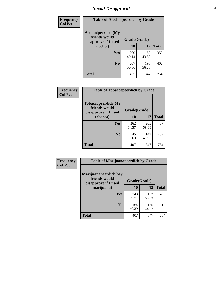# *Social Disapproval* **6**

| Frequency      | <b>Table of Alcoholpeerdich by Grade</b>                    |              |              |              |
|----------------|-------------------------------------------------------------|--------------|--------------|--------------|
| <b>Col Pct</b> | Alcoholpeerdich(My<br>friends would<br>disapprove if I used | Grade(Grade) |              |              |
|                | alcohol)                                                    | 10           | 12           | <b>Total</b> |
|                | <b>Yes</b>                                                  | 200<br>49.14 | 152<br>43.80 | 352          |
|                | N <sub>0</sub>                                              | 207<br>50.86 | 195<br>56.20 | 402          |
|                | <b>Total</b>                                                | 407          | 347          | 754          |

| <b>Frequency</b> |
|------------------|
| <b>Col Pct</b>   |

| <b>Table of Tobaccopeerdich by Grade</b>                            |              |              |              |  |  |  |
|---------------------------------------------------------------------|--------------|--------------|--------------|--|--|--|
| <b>Tobaccopeerdich</b> (My<br>friends would<br>disapprove if I used |              | Grade(Grade) |              |  |  |  |
| tobacco)                                                            | 10           | 12           | <b>Total</b> |  |  |  |
| <b>Yes</b>                                                          | 262<br>64.37 | 205<br>59.08 | 467          |  |  |  |
| N <sub>0</sub>                                                      | 145<br>35.63 | 142<br>40.92 | 287          |  |  |  |
| <b>Total</b>                                                        | 407          | 347          | 754          |  |  |  |

| Frequency      | <b>Table of Marijuanapeerdich by Grade</b>                    |              |              |              |  |  |  |  |
|----------------|---------------------------------------------------------------|--------------|--------------|--------------|--|--|--|--|
| <b>Col Pct</b> | Marijuanapeerdich(My<br>friends would<br>disapprove if I used | Grade(Grade) |              |              |  |  |  |  |
|                | marijuana)                                                    |              | 12           | <b>Total</b> |  |  |  |  |
|                | <b>Yes</b>                                                    | 243<br>59.71 | 192<br>55.33 | 435          |  |  |  |  |
|                | N <sub>0</sub>                                                | 164<br>40.29 | 155<br>44.67 | 319          |  |  |  |  |
|                | <b>Total</b>                                                  | 407          | 347          | 754          |  |  |  |  |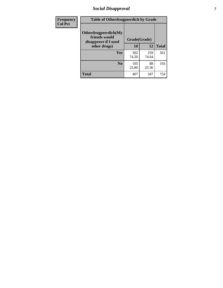# *Social Disapproval* **7**

| Frequency      | <b>Table of Otherdrugpeerdich by Grade</b>                    |              |              |              |  |  |  |
|----------------|---------------------------------------------------------------|--------------|--------------|--------------|--|--|--|
| <b>Col Pct</b> | Otherdrugpeerdich(My<br>friends would<br>disapprove if I used | Grade(Grade) |              |              |  |  |  |
|                | other drugs)                                                  | 10           | 12           | <b>Total</b> |  |  |  |
|                | Yes                                                           | 302<br>74.20 | 259<br>74.64 | 561          |  |  |  |
|                | N <sub>0</sub>                                                | 105<br>25.80 | 88<br>25.36  | 193          |  |  |  |
|                | <b>Total</b>                                                  | 407          | 347          | 754          |  |  |  |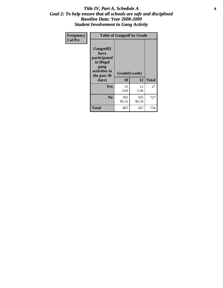### Title IV, Part A, Schedule A **8** *Goal 2: To help ensure that all schools are safe and disciplined Baseline Data: Year 2008-2009 Student Involvement in Gang Activity*

| Frequency      | <b>Table of Gangself by Grade</b>                                                                         |                    |              |              |
|----------------|-----------------------------------------------------------------------------------------------------------|--------------------|--------------|--------------|
| <b>Col Pct</b> | <b>Gangself</b> (I<br>have<br>participated<br>in illegal<br>gang<br>activities in<br>the past 30<br>days) | Grade(Grade)<br>10 | 12           | <b>Total</b> |
|                | Yes                                                                                                       | 15<br>3.69         | 12<br>3.46   | 27           |
|                | N <sub>0</sub>                                                                                            | 392<br>96.31       | 335<br>96.54 | 727          |
|                | <b>Total</b>                                                                                              | 407                | 347          | 754          |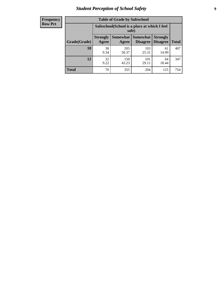# *Student Perception of School Safety* **9**

| <b>Frequency</b><br>Row Pct |
|-----------------------------|
|                             |

| <b>Table of Grade by Safeschool</b> |                                                        |                     |                             |                                    |              |  |
|-------------------------------------|--------------------------------------------------------|---------------------|-----------------------------|------------------------------------|--------------|--|
|                                     | Safeschool (School is a place at which I feel<br>safe) |                     |                             |                                    |              |  |
| Grade(Grade)                        | <b>Strongly</b><br>Agree                               | Somewhat  <br>Agree | Somewhat<br><b>Disagree</b> | <b>Strongly</b><br><b>Disagree</b> | <b>Total</b> |  |
| 10                                  | 38<br>9.34                                             | 205<br>50.37        | 103<br>25.31                | 61<br>14.99                        | 407          |  |
| 12                                  | 32<br>9.22                                             | 150<br>43.23        | 101<br>29.11                | 64<br>18.44                        | 347          |  |
| <b>Total</b>                        | 70                                                     | 355                 | 204                         | 125                                | 754          |  |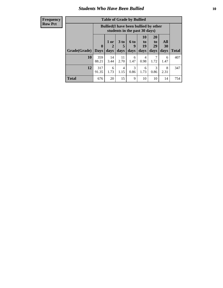### *Students Who Have Been Bullied* **10**

#### **Frequency Row Pct**

| <b>Table of Grade by Bullied</b> |                             |                                                                               |                              |                   |                        |                               |                   |              |
|----------------------------------|-----------------------------|-------------------------------------------------------------------------------|------------------------------|-------------------|------------------------|-------------------------------|-------------------|--------------|
|                                  |                             | <b>Bullied</b> (I have been bullied by other<br>students in the past 30 days) |                              |                   |                        |                               |                   |              |
| Grade(Grade)                     | $\mathbf{0}$<br><b>Days</b> | 1 or<br>2<br>days                                                             | 3 <sub>to</sub><br>5<br>days | 6 to<br>9<br>days | 10<br>to<br>19<br>days | <b>20</b><br>to<br>29<br>days | All<br>30<br>days | <b>Total</b> |
| 10                               | 359<br>88.21                | 14<br>3.44                                                                    | 11<br>2.70                   | 6<br>1.47         | 4<br>0.98              | 7<br>1.72                     | 6<br>1.47         | 407          |
| 12                               | 317<br>91.35                | 6<br>1.73                                                                     | $\overline{4}$<br>1.15       | 3<br>0.86         | 6<br>1.73              | 3<br>0.86                     | 8<br>2.31         | 347          |
| <b>Total</b>                     | 676                         | 20                                                                            | 15                           | 9                 | 10                     | 10                            | 14                | 754          |

 $\blacksquare$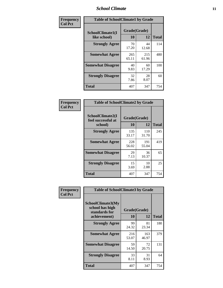### *School Climate* **11**

| Frequency      | <b>Table of SchoolClimate1 by Grade</b> |                    |              |              |  |  |
|----------------|-----------------------------------------|--------------------|--------------|--------------|--|--|
| <b>Col Pct</b> | SchoolClimate1(I<br>like school)        | Grade(Grade)<br>10 | 12           | <b>Total</b> |  |  |
|                | <b>Strongly Agree</b>                   | 70<br>17.20        | 44<br>12.68  | 114          |  |  |
|                | <b>Somewhat Agree</b>                   | 265<br>65.11       | 215<br>61.96 | 480          |  |  |
|                | <b>Somewhat Disagree</b>                | 40<br>9.83         | 60<br>17.29  | 100          |  |  |
|                | <b>Strongly Disagree</b>                | 32<br>7.86         | 28<br>8.07   | 60           |  |  |
|                | <b>Total</b>                            | 407                | 347          | 754          |  |  |

| $\begin{array}{c c}\n\text{Frequency} & \text{Col Pet}\n\end{array}$ |  |
|----------------------------------------------------------------------|--|

|                                                   | <b>Table of SchoolClimate2 by Grade</b> |              |              |  |  |
|---------------------------------------------------|-----------------------------------------|--------------|--------------|--|--|
| SchoolClimate2(I<br>feel successful at<br>school) | Grade(Grade)<br>10                      | 12           | <b>Total</b> |  |  |
| <b>Strongly Agree</b>                             | 135<br>33.17                            | 110<br>31.70 | 245          |  |  |
| <b>Somewhat Agree</b>                             | 228<br>56.02                            | 191<br>55.04 | 419          |  |  |
| <b>Somewhat Disagree</b>                          | 29<br>7.13                              | 36<br>10.37  | 65           |  |  |
| <b>Strongly Disagree</b>                          | 15<br>3.69                              | 10<br>2.88   | 25           |  |  |
| <b>Total</b>                                      | 407                                     | 347          | 754          |  |  |

| Frequency      | <b>Table of SchoolClimate3 by Grade</b>               |              |              |              |  |
|----------------|-------------------------------------------------------|--------------|--------------|--------------|--|
| <b>Col Pct</b> | SchoolClimate3(My<br>school has high<br>standards for | Grade(Grade) |              |              |  |
|                | achievement)                                          | 10           | 12           | <b>Total</b> |  |
|                | <b>Strongly Agree</b>                                 | 99<br>24.32  | 81<br>23.34  | 180          |  |
|                | <b>Somewhat Agree</b>                                 | 216<br>53.07 | 163<br>46.97 | 379          |  |
|                | <b>Somewhat Disagree</b>                              | 59<br>14.50  | 72<br>20.75  | 131          |  |
|                | <b>Strongly Disagree</b>                              | 33<br>8.11   | 31<br>8.93   | 64           |  |
|                | Total                                                 | 407          | 347          | 754          |  |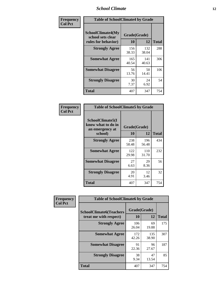### *School Climate* **12**

| Frequency      | <b>Table of SchoolClimate4 by Grade</b>                              |                    |              |              |
|----------------|----------------------------------------------------------------------|--------------------|--------------|--------------|
| <b>Col Pct</b> | <b>SchoolClimate4(My</b><br>school sets clear<br>rules for behavior) | Grade(Grade)<br>10 | 12           | <b>Total</b> |
|                | <b>Strongly Agree</b>                                                | 156<br>38.33       | 132<br>38.04 | 288          |
|                | <b>Somewhat Agree</b>                                                | 165<br>40.54       | 141<br>40.63 | 306          |
|                | <b>Somewhat Disagree</b>                                             | 56<br>13.76        | 50<br>14.41  | 106          |
|                | <b>Strongly Disagree</b>                                             | 30<br>7.37         | 24<br>6.92   | 54           |
|                | <b>Total</b>                                                         | 407                | 347          | 754          |

| <b>Table of SchoolClimate5 by Grade</b>                   |              |              |              |  |  |
|-----------------------------------------------------------|--------------|--------------|--------------|--|--|
| SchoolClimate5(I<br>know what to do in<br>an emergency at | Grade(Grade) |              |              |  |  |
| school)                                                   | 10           | 12           | <b>Total</b> |  |  |
| <b>Strongly Agree</b>                                     | 238<br>58.48 | 196<br>56.48 | 434          |  |  |
| <b>Somewhat Agree</b>                                     | 122<br>29.98 | 110<br>31.70 | 232          |  |  |
| <b>Somewhat Disagree</b>                                  | 27<br>6.63   | 29<br>8.36   | 56           |  |  |
| <b>Strongly Disagree</b>                                  | 20<br>4.91   | 12<br>3.46   | 32           |  |  |
| <b>Total</b>                                              | 407          | 347          | 754          |  |  |

| Frequency      | <b>Table of SchoolClimate6 by Grade</b>                  |                    |              |              |
|----------------|----------------------------------------------------------|--------------------|--------------|--------------|
| <b>Col Pct</b> | <b>SchoolClimate6(Teachers</b><br>treat me with respect) | Grade(Grade)<br>10 | 12           | <b>Total</b> |
|                | <b>Strongly Agree</b>                                    | 106<br>26.04       | 69<br>19.88  | 175          |
|                | <b>Somewhat Agree</b>                                    | 172<br>42.26       | 135<br>38.90 | 307          |
|                | <b>Somewhat Disagree</b>                                 | 91<br>22.36        | 96<br>27.67  | 187          |
|                | <b>Strongly Disagree</b>                                 | 38<br>9.34         | 47<br>13.54  | 85           |
|                | <b>Total</b>                                             | 407                | 347          | 754          |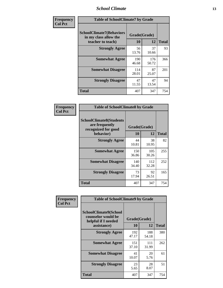### *School Climate* **13**

| Frequency      | <b>Table of SchoolClimate7 by Grade</b>                                       |                           |              |              |
|----------------|-------------------------------------------------------------------------------|---------------------------|--------------|--------------|
| <b>Col Pct</b> | <b>SchoolClimate7(Behaviors</b><br>in my class allow the<br>teacher to teach) | Grade(Grade)<br><b>10</b> | 12           | <b>Total</b> |
|                | <b>Strongly Agree</b>                                                         | 56<br>13.76               | 37<br>10.66  | 93           |
|                | <b>Somewhat Agree</b>                                                         | 190<br>46.68              | 176<br>50.72 | 366          |
|                | <b>Somewhat Disagree</b>                                                      | 114<br>28.01              | 87<br>25.07  | 201          |
|                | <b>Strongly Disagree</b>                                                      | 47<br>11.55               | 47<br>13.54  | 94           |
|                | <b>Total</b>                                                                  | 407                       | 347          | 754          |

| Frequency      | <b>Table of SchoolClimate8 by Grade</b>                                              |                    |              |              |
|----------------|--------------------------------------------------------------------------------------|--------------------|--------------|--------------|
| <b>Col Pct</b> | <b>SchoolClimate8(Students</b><br>are frequently<br>recognized for good<br>behavior) | Grade(Grade)<br>10 | 12           | <b>Total</b> |
|                | <b>Strongly Agree</b>                                                                | 44<br>10.81        | 38<br>10.95  | 82           |
|                | <b>Somewhat Agree</b>                                                                | 150<br>36.86       | 105<br>30.26 | 255          |
|                | <b>Somewhat Disagree</b>                                                             | 140<br>34.40       | 112<br>32.28 | 252          |
|                | <b>Strongly Disagree</b>                                                             | 73<br>17.94        | 92<br>26.51  | 165          |
|                | <b>Total</b>                                                                         | 407                | 347          | 754          |

| Frequency<br><b>Col Pct</b> | <b>Table of SchoolClimate9 by Grade</b>                                           |                    |              |              |
|-----------------------------|-----------------------------------------------------------------------------------|--------------------|--------------|--------------|
|                             | SchoolClimate9(School<br>counselor would be<br>helpful if I needed<br>assistance) | Grade(Grade)<br>10 | 12           | <b>Total</b> |
|                             | <b>Strongly Agree</b>                                                             | 192<br>47.17       | 188<br>54.18 | 380          |
|                             | <b>Somewhat Agree</b>                                                             | 151<br>37.10       | 111<br>31.99 | 262          |
|                             | <b>Somewhat Disagree</b>                                                          | 41<br>10.07        | 20<br>5.76   | 61           |
|                             | <b>Strongly Disagree</b>                                                          | 23<br>5.65         | 28<br>8.07   | 51           |
|                             | Total                                                                             | 407                | 347          | 754          |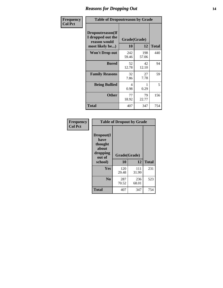### *Reasons for Dropping Out* **14**

| Frequency      | <b>Table of Dropoutreason by Grade</b>                                   |                    |              |              |
|----------------|--------------------------------------------------------------------------|--------------------|--------------|--------------|
| <b>Col Pct</b> | Dropoutreason(If<br>I dropped out the<br>reason would<br>most likely be) | Grade(Grade)<br>10 | 12           | <b>Total</b> |
|                | <b>Won't Drop out</b>                                                    | 242<br>59.46       | 198<br>57.06 | 440          |
|                | <b>Bored</b>                                                             | 52<br>12.78        | 42<br>12.10  | 94           |
|                | <b>Family Reasons</b>                                                    | 32<br>7.86         | 27<br>7.78   | 59           |
|                | <b>Being Bullied</b>                                                     | 4<br>0.98          | 0.29         | 5            |
|                | <b>Other</b>                                                             | 77<br>18.92        | 79<br>22.77  | 156          |
|                | <b>Total</b>                                                             | 407                | 347          | 754          |

| Frequency<br><b>Col Pct</b> | <b>Table of Dropout by Grade</b>                            |              |              |              |  |
|-----------------------------|-------------------------------------------------------------|--------------|--------------|--------------|--|
|                             | Dropout(I<br>have<br>thought<br>about<br>dropping<br>out of | Grade(Grade) |              |              |  |
|                             | school)                                                     | 10           | 12           | <b>Total</b> |  |
|                             | Yes                                                         | 120<br>29.48 | 111<br>31.99 | 231          |  |
|                             | N <sub>0</sub>                                              | 287<br>70.52 | 236<br>68.01 | 523          |  |
|                             | <b>Total</b>                                                | 407          | 347          | 754          |  |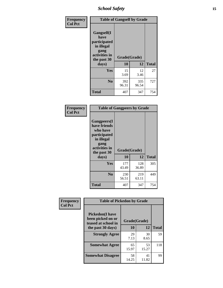*School Safety* **15**

| Frequency      |                                                                                                   | <b>Table of Gangself by Grade</b> |              |              |  |
|----------------|---------------------------------------------------------------------------------------------------|-----------------------------------|--------------|--------------|--|
| <b>Col Pct</b> | Gangself(I<br>have<br>participated<br>in illegal<br>gang<br>activities in<br>the past 30<br>days) | Grade(Grade)<br>10                | 12           | <b>Total</b> |  |
|                | Yes                                                                                               | 15<br>3.69                        | 12<br>3.46   | 27           |  |
|                | N <sub>0</sub>                                                                                    | 392<br>96.31                      | 335<br>96.54 | 727          |  |
|                | <b>Total</b>                                                                                      | 407                               | 347          | 754          |  |

| Frequency<br><b>Col Pct</b> | <b>Table of Gangpeers by Grade</b>                                                                                             |                    |              |              |
|-----------------------------|--------------------------------------------------------------------------------------------------------------------------------|--------------------|--------------|--------------|
|                             | <b>Gangpeers</b> (I<br>have friends<br>who have<br>participated<br>in illegal<br>gang<br>activities in<br>the past 30<br>days) | Grade(Grade)<br>10 | 12           | <b>Total</b> |
|                             | <b>Yes</b>                                                                                                                     | 177<br>43.49       | 128<br>36.89 | 305          |
|                             | N <sub>0</sub>                                                                                                                 | 230<br>56.51       | 219<br>63.11 | 449          |
|                             | <b>Total</b>                                                                                                                   | 407                | 347          | 754          |

| Frequency      |                                                                     | <b>Table of Pickedon by Grade</b> |             |              |  |  |  |  |  |  |
|----------------|---------------------------------------------------------------------|-----------------------------------|-------------|--------------|--|--|--|--|--|--|
| <b>Col Pct</b> | <b>Pickedon</b> (I have<br>been picked on or<br>teased at school in | Grade(Grade)                      |             |              |  |  |  |  |  |  |
|                | the past 30 days)                                                   | 10                                | 12          | <b>Total</b> |  |  |  |  |  |  |
|                | <b>Strongly Agree</b>                                               | 29                                | 30          | 59           |  |  |  |  |  |  |
|                |                                                                     | 7.13                              | 8.65        |              |  |  |  |  |  |  |
|                | <b>Somewhat Agree</b>                                               | 65                                | 53          | 118          |  |  |  |  |  |  |
|                |                                                                     | 15.97                             | 15.27       |              |  |  |  |  |  |  |
|                | <b>Somewhat Disagree</b>                                            | 58<br>14.25                       | 41<br>11.82 | 99           |  |  |  |  |  |  |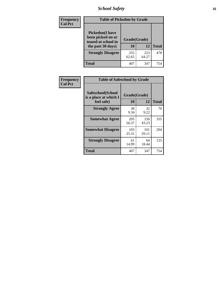# *School Safety* **16**

| <b>Frequency</b> |                                                                                          | <b>Table of Pickedon by Grade</b> |              |              |  |  |  |  |  |  |  |
|------------------|------------------------------------------------------------------------------------------|-----------------------------------|--------------|--------------|--|--|--|--|--|--|--|
| <b>Col Pct</b>   | <b>Pickedon</b> (I have<br>been picked on or<br>teased at school in<br>the past 30 days) | Grade(Grade)<br>10                | 12           | <b>Total</b> |  |  |  |  |  |  |  |
|                  | <b>Strongly Disagree</b>                                                                 | 255<br>62.65                      | 223<br>64.27 | 478          |  |  |  |  |  |  |  |
|                  | Total                                                                                    | 407                               | 347          | 754          |  |  |  |  |  |  |  |

| Frequency      |                                                          | <b>Table of Safeschool by Grade</b> |              |     |  |  |  |  |  |  |  |
|----------------|----------------------------------------------------------|-------------------------------------|--------------|-----|--|--|--|--|--|--|--|
| <b>Col Pct</b> | Safeschool(School<br>is a place at which I<br>feel safe) | Grade(Grade)<br>10                  | <b>Total</b> |     |  |  |  |  |  |  |  |
|                | <b>Strongly Agree</b>                                    | 38<br>9.34                          | 32<br>9.22   | 70  |  |  |  |  |  |  |  |
|                | <b>Somewhat Agree</b>                                    | 205<br>50.37                        | 150<br>43.23 | 355 |  |  |  |  |  |  |  |
|                | <b>Somewhat Disagree</b>                                 | 103<br>25.31                        | 101<br>29.11 | 204 |  |  |  |  |  |  |  |
|                | <b>Strongly Disagree</b>                                 | 61<br>14.99                         | 64<br>18.44  | 125 |  |  |  |  |  |  |  |
|                | <b>Total</b>                                             | 407                                 | 347          | 754 |  |  |  |  |  |  |  |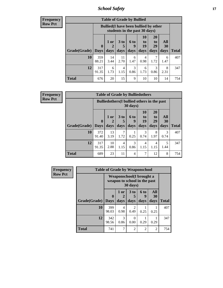*School Safety* **17**

| <b>Table of Grade by Bullied</b>                                                                                                                                                                                                   |              |                                                                               |            |           |           |           |           |              |  |  |  |  |
|------------------------------------------------------------------------------------------------------------------------------------------------------------------------------------------------------------------------------------|--------------|-------------------------------------------------------------------------------|------------|-----------|-----------|-----------|-----------|--------------|--|--|--|--|
|                                                                                                                                                                                                                                    |              | <b>Bullied</b> (I have been bullied by other<br>students in the past 30 days) |            |           |           |           |           |              |  |  |  |  |
| 10<br><b>20</b><br>All<br>$1$ or<br>3 <sub>to</sub><br><b>6 to</b><br>to<br>to<br>$\mathbf{0}$<br>19<br>29<br>30<br>$\mathcal{D}_{\cdot}$<br>9<br>5<br>Grade(Grade)<br>days<br>days<br>days<br>days<br>days<br><b>Days</b><br>days |              |                                                                               |            |           |           |           |           | <b>Total</b> |  |  |  |  |
| 10                                                                                                                                                                                                                                 | 359<br>88.21 | 14<br>3.44                                                                    | 11<br>2.70 | 6<br>1.47 | 4<br>0.98 | 1.72      | 6<br>1.47 | 407          |  |  |  |  |
| 12                                                                                                                                                                                                                                 | 317<br>91.35 | 6<br>1.73                                                                     | 4<br>1.15  | 3<br>0.86 | 6<br>1.73 | 3<br>0.86 | 8<br>2.31 | 347          |  |  |  |  |
| <b>Total</b>                                                                                                                                                                                                                       | 676          | 20                                                                            | 15         | 9         | 10        | 10        | 14        | 754          |  |  |  |  |

**Frequency Row Pct**

| <b>Table of Grade by Bulliedothers</b> |                                                                                                                                                                                                                       |                                                                         |           |           |                        |           |           |     |  |  |  |  |
|----------------------------------------|-----------------------------------------------------------------------------------------------------------------------------------------------------------------------------------------------------------------------|-------------------------------------------------------------------------|-----------|-----------|------------------------|-----------|-----------|-----|--|--|--|--|
|                                        |                                                                                                                                                                                                                       | <b>Bulliedothers</b> (I bullied others in the past<br>$30 \text{ days}$ |           |           |                        |           |           |     |  |  |  |  |
|                                        | <b>20</b><br>10<br>All<br>1 or<br>3 <sub>to</sub><br>6 to<br>to<br>to<br>19<br>29<br>30<br>$\mathbf{0}$<br>5<br>9<br>2<br><b>Grade</b> (Grade)   Days<br><b>Total</b><br>days<br>days<br>days<br>days<br>days<br>days |                                                                         |           |           |                        |           |           |     |  |  |  |  |
| 10                                     | 372<br>91.40                                                                                                                                                                                                          | 13<br>3.19                                                              | 7<br>1.72 | 0.25      | 3<br>0.74              | 8<br>1.97 | 3<br>0.74 | 407 |  |  |  |  |
| 12                                     | 317<br>91.35                                                                                                                                                                                                          | 10<br>2.88                                                              | 4<br>1.15 | 3<br>0.86 | $\overline{4}$<br>1.15 | 4<br>1.15 | 5<br>1.44 | 347 |  |  |  |  |
| Total                                  | 689                                                                                                                                                                                                                   | 23                                                                      | 11        | 4         | 7                      | 12        | 8         | 754 |  |  |  |  |

| Frequency      |              | <b>Table of Grade by Weaponschool</b>                    |              |                         |                   |                          |              |
|----------------|--------------|----------------------------------------------------------|--------------|-------------------------|-------------------|--------------------------|--------------|
| <b>Row Pct</b> |              | Weaponschool(I brought a<br>weapon to school in the past |              |                         |                   |                          |              |
|                | Grade(Grade) | $\mathbf 0$<br><b>Days</b>                               | 1 or<br>days | 3 <sub>to</sub><br>days | 6 to<br>9<br>days | All<br><b>30</b><br>days | <b>Total</b> |
|                | 10           | 399<br>98.03                                             | 4<br>0.98    | $\mathcal{L}$<br>0.49   | 0.25              | 0.25                     | 407          |
|                | 12           | 342<br>98.56                                             | 3<br>0.86    | 0<br>0.00               | 0.29              | 0.29                     | 347          |
|                | <b>Total</b> | 741                                                      | 7            | 2                       | $\overline{2}$    | 2                        | 754          |

ł,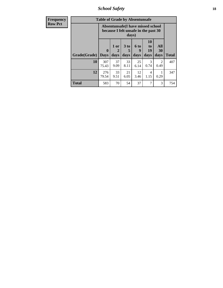*School Safety* **18**

| <b>Frequency</b> |              | <b>Table of Grade by Absentunsafe</b>                                              |                   |                              |                   |                               |                        |              |  |  |  |
|------------------|--------------|------------------------------------------------------------------------------------|-------------------|------------------------------|-------------------|-------------------------------|------------------------|--------------|--|--|--|
| <b>Row Pct</b>   |              | Absentunsafe(I have missed school<br>because I felt unsafe in the past 30<br>days) |                   |                              |                   |                               |                        |              |  |  |  |
|                  | Grade(Grade) | $\mathbf 0$<br><b>Days</b>                                                         | 1 or<br>2<br>days | 3 <sub>to</sub><br>5<br>days | 6 to<br>9<br>days | <b>10</b><br>to<br>19<br>days | All<br>30<br>days      | <b>Total</b> |  |  |  |
|                  | 10           | 307<br>75.43                                                                       | 37<br>9.09        | 33<br>8.11                   | 25<br>6.14        | 3<br>0.74                     | $\mathfrak{D}$<br>0.49 | 407          |  |  |  |
|                  | 12           | 276<br>79.54                                                                       | 33<br>9.51        | 21<br>6.05                   | 12<br>3.46        | $\overline{4}$<br>1.15        | 0.29                   | 347          |  |  |  |
|                  | <b>Total</b> | 583                                                                                | 70                | 54                           | 37                | 7                             | 3                      | 754          |  |  |  |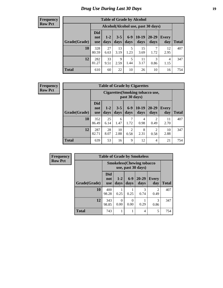# *Drug Use During Last 30 Days* **19**

#### **Frequency Row Pct**

| <b>Table of Grade by Alcohol</b> |                                 |                                     |                 |                 |                 |               |                     |       |  |  |  |
|----------------------------------|---------------------------------|-------------------------------------|-----------------|-----------------|-----------------|---------------|---------------------|-------|--|--|--|
|                                  |                                 | Alcohol (Alcohol use, past 30 days) |                 |                 |                 |               |                     |       |  |  |  |
| Grade(Grade)                     | <b>Did</b><br>not<br><b>use</b> | $1 - 2$<br>days                     | $3 - 5$<br>days | $6 - 9$<br>days | $10-19$<br>days | 20-29<br>days | <b>Every</b><br>day | Total |  |  |  |
| 10                               | 328<br>80.59                    | 27<br>6.63                          | 13<br>3.19      | 5<br>1.23       | 15<br>3.69      | 7<br>1.72     | 12<br>2.95          | 407   |  |  |  |
| 12                               | 282<br>81.27                    | 33<br>9.51                          | 9<br>2.59       | 5<br>1.44       | 11<br>3.17      | 3<br>0.86     | 4<br>1.15           | 347   |  |  |  |
| <b>Total</b>                     | 610                             | 60                                  | 22              | 10              | 26              | 10            | 16                  | 754   |  |  |  |

| <b>Table of Grade by Cigarettes</b> |                                 |                                                   |                 |                        |                 |               |                     |       |  |  |  |
|-------------------------------------|---------------------------------|---------------------------------------------------|-----------------|------------------------|-----------------|---------------|---------------------|-------|--|--|--|
|                                     |                                 | Cigarettes (Smoking tobacco use,<br>past 30 days) |                 |                        |                 |               |                     |       |  |  |  |
| Grade(Grade)                        | <b>Did</b><br>not<br><b>use</b> | $1 - 2$<br>days                                   | $3 - 5$<br>days | $6-9$<br>days          | $10-19$<br>days | 20-29<br>days | <b>Every</b><br>day | Total |  |  |  |
| 10                                  | 352<br>86.49                    | 25<br>6.14                                        | 6<br>1.47       | 7<br>1.72              | 4<br>0.98       | 2<br>0.49     | 11<br>2.70          | 407   |  |  |  |
| 12                                  | 287<br>82.71                    | 28<br>8.07                                        | 10<br>2.88      | $\overline{2}$<br>0.58 | 8<br>2.31       | 2<br>0.58     | 10<br>2.88          | 347   |  |  |  |
| <b>Total</b>                        | 639                             | 53                                                | 16              | 9                      | 12              | 4             | 21                  | 754   |  |  |  |

| Frequency      |              |                          |                                                         |                  | <b>Table of Grade by Smokeless</b> |                                     |              |  |  |  |
|----------------|--------------|--------------------------|---------------------------------------------------------|------------------|------------------------------------|-------------------------------------|--------------|--|--|--|
| <b>Row Pct</b> |              |                          | <b>Smokeless</b> (Chewing tobacco<br>use, past 30 days) |                  |                                    |                                     |              |  |  |  |
|                | Grade(Grade) | Did<br>not<br><b>use</b> | $1 - 2$<br>days                                         | $6-9$<br>days    | $20 - 29$<br>days                  | <b>Every</b><br>day                 | <b>Total</b> |  |  |  |
|                | 10           | 400<br>98.28             | 0.25                                                    | 0.25             | $\mathcal{R}$<br>0.74              | $\mathcal{D}_{\mathcal{D}}$<br>0.49 | 407          |  |  |  |
|                | 12           | 343<br>98.85             | 0<br>0.00                                               | $\Omega$<br>0.00 | 0.29                               | 3<br>0.86                           | 347          |  |  |  |
|                | <b>Total</b> | 743                      |                                                         |                  | 4                                  | 5                                   | 754          |  |  |  |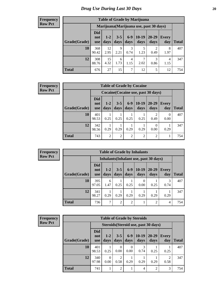| <b>Table of Grade by Marijuana</b> |                                 |                                         |                 |               |                 |                        |              |              |  |  |  |  |
|------------------------------------|---------------------------------|-----------------------------------------|-----------------|---------------|-----------------|------------------------|--------------|--------------|--|--|--|--|
|                                    |                                 | Marijuana (Marijuana use, past 30 days) |                 |               |                 |                        |              |              |  |  |  |  |
| Grade(Grade)                       | <b>Did</b><br>not<br><b>use</b> | $1 - 2$<br>days                         | $3 - 5$<br>days | $6-9$<br>days | $10-19$<br>days | $20 - 29$<br>days      | Every<br>day | <b>Total</b> |  |  |  |  |
| 10                                 | 368<br>90.42                    | 12<br>2.95                              | 9<br>2.21       | 3<br>0.74     | 5<br>1.23       | $\overline{2}$<br>0.49 | 8<br>1.97    | 407          |  |  |  |  |
| 12                                 | 308<br>88.76                    | 15<br>4.32                              | 6<br>1.73       | 4<br>1.15     | 7<br>2.02       | 3<br>0.86              | 4<br>1.15    | 347          |  |  |  |  |
| <b>Total</b>                       | 676                             | 27                                      | 15              | 7             | 12              | 5                      | 12           | 754          |  |  |  |  |

#### **Frequency Row Pct**

| <b>Table of Grade by Cocaine</b> |                                 |                                     |                 |                 |                 |                |                     |       |  |  |  |
|----------------------------------|---------------------------------|-------------------------------------|-----------------|-----------------|-----------------|----------------|---------------------|-------|--|--|--|
|                                  |                                 | Cocaine (Cocaine use, past 30 days) |                 |                 |                 |                |                     |       |  |  |  |
| Grade(Grade)                     | <b>Did</b><br>not<br><b>use</b> | $1-2$<br>days                       | $3 - 5$<br>days | $6 - 9$<br>days | $10-19$<br>days | 20-29<br>days  | <b>Every</b><br>day | Total |  |  |  |
| 10                               | 401<br>98.53                    | 0.25                                | 0.25            | 0.25            | 0.25            | 0.49           | 0<br>0.00           | 407   |  |  |  |
| 12                               | 342<br>98.56                    | 0.29                                | 0.29            | 0.29            | 0.29            | 0<br>0.00      | 0.29                | 347   |  |  |  |
| <b>Total</b>                     | 743                             | $\overline{2}$                      | $\overline{2}$  | $\overline{2}$  | $\overline{2}$  | $\overline{2}$ |                     | 754   |  |  |  |

**Frequency Row Pct**

| <b>Table of Grade by Inhalants</b>     |                                 |                 |                 |                |                  |                   |                     |              |  |  |
|----------------------------------------|---------------------------------|-----------------|-----------------|----------------|------------------|-------------------|---------------------|--------------|--|--|
| Inhalants (Inhalant use, past 30 days) |                                 |                 |                 |                |                  |                   |                     |              |  |  |
| Grade(Grade)                           | <b>Did</b><br>not<br><b>use</b> | $1 - 2$<br>days | $3 - 5$<br>days | $6-9$<br>days  | $10-19$<br>days  | $20 - 29$<br>days | <b>Every</b><br>day | <b>Total</b> |  |  |
| 10                                     | 395<br>97.05                    | 6<br>1.47       | 0.25            | 0.25           | $\left($<br>0.00 | 0.25              | 0.74                | 407          |  |  |
| 12                                     | 341<br>98.27                    | 0.29            | 0.29            | 0.29           | 0.29             | 0.29              | 0.29                | 347          |  |  |
| <b>Total</b>                           | 736                             | 7               | $\overline{2}$  | $\mathfrak{D}$ |                  | $\overline{2}$    | $\overline{4}$      | 754          |  |  |

| <b>Table of Grade by Steroids</b> |                                                                                                       |                                                                                                                                                                                           |           |                  |           |                |      |     |  |  |
|-----------------------------------|-------------------------------------------------------------------------------------------------------|-------------------------------------------------------------------------------------------------------------------------------------------------------------------------------------------|-----------|------------------|-----------|----------------|------|-----|--|--|
|                                   |                                                                                                       | Steroids (Steroid use, past 30 days)<br>Did<br>$10-19$<br>$6-9$<br>20-29<br>$1-2$<br>$3 - 5$<br>Every<br>not<br><b>Total</b><br>days<br>days<br>days<br>days<br>day<br>days<br><b>use</b> |           |                  |           |                |      |     |  |  |
| Grade(Grade)                      |                                                                                                       |                                                                                                                                                                                           |           |                  |           |                |      |     |  |  |
| 10                                | 401<br>98.53                                                                                          | 0.25                                                                                                                                                                                      | 0<br>0.00 | $\theta$<br>0.00 | 3<br>0.74 | 0.25           | 0.25 | 407 |  |  |
| 12                                | 340<br>$\mathfrak{D}$<br>$\mathfrak{D}$<br>0<br>97.98<br>0.58<br>0.29<br>0.29<br>0.29<br>0.58<br>0.00 |                                                                                                                                                                                           |           |                  |           |                |      |     |  |  |
| <b>Total</b>                      | 741                                                                                                   |                                                                                                                                                                                           | 2         | 1                | 4         | $\overline{2}$ | 3    | 754 |  |  |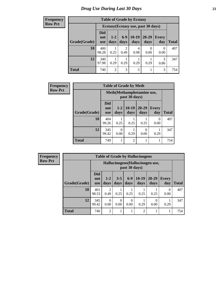| <b>Table of Grade by Ecstasy</b> |                                                           |                                                                                                                                                                    |      |      |                  |           |     |  |  |  |
|----------------------------------|-----------------------------------------------------------|--------------------------------------------------------------------------------------------------------------------------------------------------------------------|------|------|------------------|-----------|-----|--|--|--|
|                                  |                                                           | Ecstasy (Ecstasy use, past 30 days)<br><b>Did</b><br>$10-19$<br>$20 - 29$<br>$6-9$<br>$1 - 2$<br><b>Every</b><br>not<br>days<br>days<br>day<br>days<br>days<br>use |      |      |                  |           |     |  |  |  |
| Grade(Grade)                     |                                                           |                                                                                                                                                                    |      |      |                  |           |     |  |  |  |
| 10                               | 400<br>98.28                                              | 0.25                                                                                                                                                               | 0.49 | 0.98 | $\Omega$<br>0.00 | 0<br>0.00 | 407 |  |  |  |
| 12                               | 340<br>3<br>0.29<br>0.29<br>97.98<br>0.29<br>0.29<br>0.86 |                                                                                                                                                                    |      |      |                  |           |     |  |  |  |
| <b>Total</b>                     | 740                                                       | $\overline{2}$                                                                                                                                                     | 3    | 5    |                  | 3         | 754 |  |  |  |

| <b>Frequency</b> | <b>Table of Grade by Meth</b> |                                 |                 |                 |                   |                     |              |  |  |
|------------------|-------------------------------|---------------------------------|-----------------|-----------------|-------------------|---------------------|--------------|--|--|
| <b>Row Pct</b>   |                               | Meth(Methamphetamine use,       |                 |                 |                   |                     |              |  |  |
|                  | Grade(Grade)                  | <b>Did</b><br>not<br><b>use</b> | $1 - 2$<br>days | $10-19$<br>days | $20 - 29$<br>days | <b>Every</b><br>day | <b>Total</b> |  |  |
|                  | 10                            | 404<br>99.26                    | 0.25            | 0.25            | 0.25              | 0<br>0.00           | 407          |  |  |
|                  | 12                            | 345<br>99.42                    | 0.00            | 0.29            | 0<br>0.00         | 0.29                | 347          |  |  |
|                  | <b>Total</b>                  | 749                             |                 | $\overline{2}$  | 1                 | 1                   | 754          |  |  |

| <b>Frequency</b> |
|------------------|
| <b>Row Pct</b>   |

| <b>Table of Grade by Hallucinogens</b> |                                                                                                                                                                |                                                   |      |      |                |      |           |     |  |  |  |
|----------------------------------------|----------------------------------------------------------------------------------------------------------------------------------------------------------------|---------------------------------------------------|------|------|----------------|------|-----------|-----|--|--|--|
|                                        |                                                                                                                                                                | Hallucinogens (Hallucinogen use,<br>past 30 days) |      |      |                |      |           |     |  |  |  |
| Grade(Grade)                           | <b>Did</b><br>$10-19$<br>$20 - 29$<br>$3 - 5$<br>$6-9$<br>$1 - 2$<br><b>Every</b><br>not<br>days<br>days<br>day<br>Total<br>days<br>days<br>days<br><b>use</b> |                                                   |      |      |                |      |           |     |  |  |  |
| 10                                     | 401<br>98.53                                                                                                                                                   | 2<br>0.49                                         | 0.25 | 0.25 | 0.25           | 0.25 | 0<br>0.00 | 407 |  |  |  |
| 12                                     | 345<br>0<br>$\Omega$<br>0<br>0<br>0.29<br>99.42<br>0.00<br>0.00<br>0.00<br>0.00<br>0.29                                                                        |                                                   |      |      |                |      |           |     |  |  |  |
| <b>Total</b>                           | 746                                                                                                                                                            | $\overline{2}$                                    | 1    |      | $\overline{2}$ |      |           | 754 |  |  |  |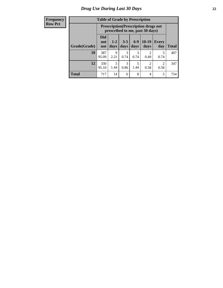| <b>Table of Grade by Prescription</b> |                                                                                                         |                                                                                                                 |           |           |           |           |     |  |  |  |
|---------------------------------------|---------------------------------------------------------------------------------------------------------|-----------------------------------------------------------------------------------------------------------------|-----------|-----------|-----------|-----------|-----|--|--|--|
|                                       |                                                                                                         | <b>Prescription</b> (Prescription drugs not<br>prescribed to me, past 30 days)                                  |           |           |           |           |     |  |  |  |
| Grade(Grade)                          | <b>Did</b><br>not<br><b>use</b>                                                                         | $6 - 9$<br>$10-19$<br>$3 - 5$<br>$1 - 2$<br><b>Every</b><br>days<br>days<br>days<br><b>Total</b><br>day<br>days |           |           |           |           |     |  |  |  |
| 10                                    | 387<br>95.09                                                                                            | 9<br>2.21                                                                                                       | 3<br>0.74 | 3<br>0.74 | 2<br>0.49 | 3<br>0.74 | 407 |  |  |  |
| 12                                    | 5<br>3<br>$\overline{c}$<br>330<br>5<br>$\mathfrak{D}$<br>0.86<br>95.10<br>1.44<br>1.44<br>0.58<br>0.58 |                                                                                                                 |           |           |           |           |     |  |  |  |
| <b>Total</b>                          | 717                                                                                                     | 14                                                                                                              | 6         | 8         | 4         | 5         | 754 |  |  |  |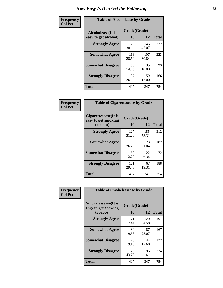| Frequency      | <b>Table of Alcoholease by Grade</b>              |                    |              |     |  |  |  |  |
|----------------|---------------------------------------------------|--------------------|--------------|-----|--|--|--|--|
| <b>Col Pct</b> | <b>Alcoholease</b> (It is<br>easy to get alcohol) | Grade(Grade)<br>10 | <b>Total</b> |     |  |  |  |  |
|                | <b>Strongly Agree</b>                             | 126<br>30.96       | 146<br>42.07 | 272 |  |  |  |  |
|                | <b>Somewhat Agree</b>                             | 116<br>28.50       | 107<br>30.84 | 223 |  |  |  |  |
|                | <b>Somewhat Disagree</b>                          | 58<br>14.25        | 35<br>10.09  | 93  |  |  |  |  |
|                | <b>Strongly Disagree</b>                          | 107<br>26.29       | 59<br>17.00  | 166 |  |  |  |  |
|                | <b>Total</b>                                      | 407                | 347          | 754 |  |  |  |  |

| Frequency      | <b>Table of Cigarettesease by Grade</b>                 |                    |              |              |  |  |  |
|----------------|---------------------------------------------------------|--------------------|--------------|--------------|--|--|--|
| <b>Col Pct</b> | Cigarettesease(It is<br>easy to get smoking<br>tobacco) | Grade(Grade)<br>10 | 12           | <b>Total</b> |  |  |  |
|                | <b>Strongly Agree</b>                                   | 127<br>31.20       | 185<br>53.31 | 312          |  |  |  |
|                | <b>Somewhat Agree</b>                                   | 109<br>26.78       | 73<br>21.04  | 182          |  |  |  |
|                | <b>Somewhat Disagree</b>                                | 50<br>12.29        | 22<br>6.34   | 72           |  |  |  |
|                | <b>Strongly Disagree</b>                                | 121<br>29.73       | 67<br>19.31  | 188          |  |  |  |
|                | <b>Total</b>                                            | 407                | 347          | 754          |  |  |  |

| Frequency      |                                                                | <b>Table of Smokelessease by Grade</b> |              |              |  |  |  |
|----------------|----------------------------------------------------------------|----------------------------------------|--------------|--------------|--|--|--|
| <b>Col Pct</b> | <b>Smokelessease</b> (It is<br>easy to get chewing<br>tobacco) | Grade(Grade)<br>10                     | 12           | <b>Total</b> |  |  |  |
|                | <b>Strongly Agree</b>                                          | 71<br>17.44                            | 120<br>34.58 | 191          |  |  |  |
|                | <b>Somewhat Agree</b>                                          | 80<br>19.66                            | 87<br>25.07  | 167          |  |  |  |
|                | <b>Somewhat Disagree</b>                                       | 78<br>19.16                            | 44<br>12.68  | 122          |  |  |  |
|                | <b>Strongly Disagree</b>                                       | 178<br>43.73                           | 96<br>27.67  | 274          |  |  |  |
|                | Total                                                          | 407                                    | 347          | 754          |  |  |  |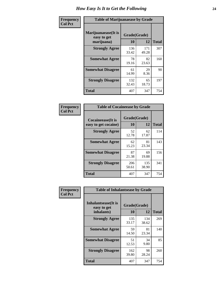| Frequency      | <b>Table of Marijuanaease by Grade</b>           |                    |              |              |  |  |  |
|----------------|--------------------------------------------------|--------------------|--------------|--------------|--|--|--|
| <b>Col Pct</b> | Marijuanaease(It is<br>easy to get<br>marijuana) | Grade(Grade)<br>10 | 12           | <b>Total</b> |  |  |  |
|                | <b>Strongly Agree</b>                            | 136<br>33.42       | 171<br>49.28 | 307          |  |  |  |
|                | <b>Somewhat Agree</b>                            | 78<br>19.16        | 82<br>23.63  | 160          |  |  |  |
|                | <b>Somewhat Disagree</b>                         | 61<br>14.99        | 29<br>8.36   | 90           |  |  |  |
|                | <b>Strongly Disagree</b>                         | 132<br>32.43       | 65<br>18.73  | 197          |  |  |  |
|                | <b>Total</b>                                     | 407                | 347          | 754          |  |  |  |

| <b>Table of Cocaineease by Grade</b> |              |              |              |  |  |  |  |
|--------------------------------------|--------------|--------------|--------------|--|--|--|--|
| <b>Cocaineease</b> (It is            | Grade(Grade) |              |              |  |  |  |  |
| easy to get cocaine)                 | 10           | 12           | <b>Total</b> |  |  |  |  |
| <b>Strongly Agree</b>                | 52<br>12.78  | 62<br>17.87  | 114          |  |  |  |  |
| <b>Somewhat Agree</b>                | 62<br>15.23  | 81<br>23.34  | 143          |  |  |  |  |
| <b>Somewhat Disagree</b>             | 87<br>21.38  | 69<br>19.88  | 156          |  |  |  |  |
| <b>Strongly Disagree</b>             | 206<br>50.61 | 135<br>38.90 | 341          |  |  |  |  |
| <b>Total</b>                         | 407          | 347          | 754          |  |  |  |  |

| Frequency      | <b>Table of Inhalantsease by Grade</b>     |              |              |              |
|----------------|--------------------------------------------|--------------|--------------|--------------|
| <b>Col Pct</b> | <b>Inhalantsease</b> (It is<br>easy to get | Grade(Grade) |              |              |
|                | inhalants)                                 | 10           | 12           | <b>Total</b> |
|                | <b>Strongly Agree</b>                      | 135<br>33.17 | 134<br>38.62 | 269          |
|                | <b>Somewhat Agree</b>                      | 59<br>14.50  | 81<br>23.34  | 140          |
|                | <b>Somewhat Disagree</b>                   | 51<br>12.53  | 34<br>9.80   | 85           |
|                | <b>Strongly Disagree</b>                   | 162<br>39.80 | 98<br>28.24  | 260          |
|                | <b>Total</b>                               | 407          | 347          | 754          |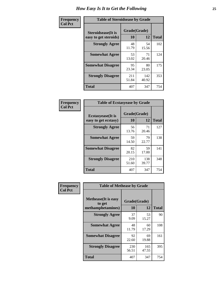| Frequency      | <b>Table of Steroidsease by Grade</b>               |                    |              |              |
|----------------|-----------------------------------------------------|--------------------|--------------|--------------|
| <b>Col Pct</b> | <b>Steroidsease</b> (It is<br>easy to get steroids) | Grade(Grade)<br>10 | 12           | <b>Total</b> |
|                | <b>Strongly Agree</b>                               | 48<br>11.79        | 54<br>15.56  | 102          |
|                | <b>Somewhat Agree</b>                               | 53<br>13.02        | 71<br>20.46  | 124          |
|                | <b>Somewhat Disagree</b>                            | 95<br>23.34        | 80<br>23.05  | 175          |
|                | <b>Strongly Disagree</b>                            | 211<br>51.84       | 142<br>40.92 | 353          |
|                | <b>Total</b>                                        | 407                | 347          | 754          |

| Frequency      | <b>Table of Ecstasyease by Grade</b>              |                    |              |              |
|----------------|---------------------------------------------------|--------------------|--------------|--------------|
| <b>Col Pct</b> | <b>Ecstasyease</b> (It is<br>easy to get ecstasy) | Grade(Grade)<br>10 | 12           | <b>Total</b> |
|                | <b>Strongly Agree</b>                             | 56<br>13.76        | 71<br>20.46  | 127          |
|                | <b>Somewhat Agree</b>                             | 59<br>14.50        | 79<br>22.77  | 138          |
|                | <b>Somewhat Disagree</b>                          | 82<br>20.15        | 59<br>17.00  | 141          |
|                | <b>Strongly Disagree</b>                          | 210<br>51.60       | 138<br>39.77 | 348          |
|                | <b>Total</b>                                      | 407                | 347          | 754          |

| Frequency      | <b>Table of Methease by Grade</b>                          |                    |              |     |
|----------------|------------------------------------------------------------|--------------------|--------------|-----|
| <b>Col Pct</b> | <b>Methease</b> (It is easy<br>to get<br>methamphetamines) | Grade(Grade)<br>10 | <b>Total</b> |     |
|                | <b>Strongly Agree</b>                                      | 37<br>9.09         | 53<br>15.27  | 90  |
|                | <b>Somewhat Agree</b>                                      | 48<br>11.79        | 60<br>17.29  | 108 |
|                | <b>Somewhat Disagree</b>                                   | 92<br>22.60        | 69<br>19.88  | 161 |
|                | <b>Strongly Disagree</b>                                   | 230<br>56.51       | 165<br>47.55 | 395 |
|                | <b>Total</b>                                               | 407                | 347          | 754 |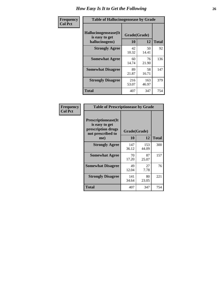| <b>Frequency</b> |                                                          | <b>Table of Hallucinogensease by Grade</b> |              |              |  |  |  |  |  |  |  |
|------------------|----------------------------------------------------------|--------------------------------------------|--------------|--------------|--|--|--|--|--|--|--|
| <b>Col Pct</b>   | Hallucinogensease(It<br>is easy to get<br>hallucinogens) | Grade(Grade)<br>10                         | 12           | <b>Total</b> |  |  |  |  |  |  |  |
|                  | <b>Strongly Agree</b>                                    | 42<br>10.32                                | 50<br>14.41  | 92           |  |  |  |  |  |  |  |
|                  | <b>Somewhat Agree</b>                                    | 60<br>14.74                                | 76<br>21.90  | 136          |  |  |  |  |  |  |  |
|                  | <b>Somewhat Disagree</b>                                 | 89<br>21.87                                | 58<br>16.71  | 147          |  |  |  |  |  |  |  |
|                  | <b>Strongly Disagree</b>                                 | 216<br>53.07                               | 163<br>46.97 | 379          |  |  |  |  |  |  |  |
|                  | <b>Total</b>                                             | 407                                        | 347          | 754          |  |  |  |  |  |  |  |

| Frequency<br>Col Pct |
|----------------------|

| <b>Table of Prescriptionease by Grade</b>                                                |              |              |              |
|------------------------------------------------------------------------------------------|--------------|--------------|--------------|
| <b>Prescriptionease</b> (It<br>is easy to get<br>prescription drugs<br>not prescribed to | Grade(Grade) |              |              |
| me)                                                                                      | 10           | 12           | <b>Total</b> |
| <b>Strongly Agree</b>                                                                    | 147<br>36.12 | 153<br>44.09 | 300          |
| <b>Somewhat Agree</b>                                                                    | 70<br>17.20  | 87<br>25.07  | 157          |
| <b>Somewhat Disagree</b>                                                                 | 49<br>12.04  | 27<br>7.78   | 76           |
| <b>Strongly Disagree</b>                                                                 | 141<br>34.64 | 80<br>23.05  | 221          |
| Total                                                                                    | 407          | 347          | 754          |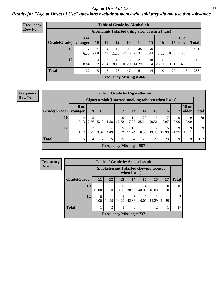*Age at Onset of Use* **27** *Results for "Age at Onset of Use" questions exclude students who said they did not use that substance*

| <b>Frequency</b> |                        |             |            |           |             |             | <b>Table of Grade by Alcoholinit</b>             |             |             |             |                       |              |
|------------------|------------------------|-------------|------------|-----------|-------------|-------------|--------------------------------------------------|-------------|-------------|-------------|-----------------------|--------------|
| <b>Row Pct</b>   |                        |             |            |           |             |             | Alcoholinit (I started using alcohol when I was) |             |             |             |                       |              |
|                  | Grade(Grade)   younger | <b>8 or</b> | 10         | 11        | 12          | 13          | 14                                               | 15          | <b>16</b>   | 17          | <b>18 or</b><br>older | <b>Total</b> |
|                  | 10                     | 9<br>6.38   | 11<br>7.80 | 2<br>1.42 | 16<br>11.35 | 32<br>22.70 | 40<br>28.37                                      | 26<br>18.44 | 5<br>3.55   | 0<br>0.00   | 0<br>0.00             | 141          |
|                  | 12                     | 13<br>8.84  | 4<br>2.72  | 3<br>2.04 | 12<br>8.16  | 15<br>10.20 | 21<br>14.29                                      | 18<br>12.24 | 35<br>23.81 | 20<br>13.61 | 6<br>4.08             | 147          |
|                  | <b>Total</b>           | 22          | 15         | 5         | 28          | 47          | 61                                               | 44          | 40          | 20          | 6                     | 288          |
|                  |                        |             |            |           |             |             | Frequency Missing $= 466$                        |             |             |             |                       |              |

| <b>Table of Grade by Cigarettesinit</b> |                        |                                                      |               |           |                           |             |             |             |             |             |                       |              |  |
|-----------------------------------------|------------------------|------------------------------------------------------|---------------|-----------|---------------------------|-------------|-------------|-------------|-------------|-------------|-----------------------|--------------|--|
|                                         |                        | Cigarettesinit(I started smoking tobacco when I was) |               |           |                           |             |             |             |             |             |                       |              |  |
| Grade(Grade)                            | <b>8 or</b><br>younger | 9                                                    | 10            | 11        | 12                        | 13          | 14          | 15          | 16          | 17          | <b>18 or</b><br>older | <b>Total</b> |  |
| 10                                      | 4<br>5.13              | $\overline{2}$<br>2.56                               | 4<br>5.13     | 1<br>1.28 | 10<br>12.82               | 14<br>17.95 | 20<br>25.64 | 16<br>20.51 | 8.97        | 0<br>0.00   | 0<br>0.00             | 78           |  |
| 12                                      | 1.12                   | ∍<br>2.25                                            | 3<br>3.37     | 4<br>4.49 | 5<br>5.62                 | 10<br>11.24 | 8<br>8.99   | 12<br>13.48 | 16<br>17.98 | 19<br>21.35 | 9<br>10.11            | 89           |  |
| <b>Total</b>                            | 5                      | 4                                                    | $\mathcal{I}$ | 5         | 15                        | 24          | 28          | 28          | 23          | 19          | 9                     | 167          |  |
|                                         |                        |                                                      |               |           | Frequency Missing $=$ 587 |             |             |             |             |             |                       |              |  |

|              | <b>Table of Grade by Smokelessinit</b> |                                                               |       |            |            |       |       |    |  |  |  |  |  |
|--------------|----------------------------------------|---------------------------------------------------------------|-------|------------|------------|-------|-------|----|--|--|--|--|--|
|              |                                        | <b>Smokelessinit(I started chewing tobacco</b><br>when I was) |       |            |            |       |       |    |  |  |  |  |  |
| Grade(Grade) | <b>11</b>                              | 13<br>15<br><b>Total</b><br>12<br>14<br>16<br>17              |       |            |            |       |       |    |  |  |  |  |  |
| 10           | 10.00                                  | 10.00                                                         | 0.00  | 3<br>30.00 | 4<br>40.00 | 10.00 | 0.00  | 10 |  |  |  |  |  |
| 12           | 0.00                                   | 14.29                                                         | 14.29 | 3<br>42.86 | 0.00       | 14.29 | 14.29 |    |  |  |  |  |  |
| <b>Total</b> |                                        | $\mathfrak{D}$<br>$\mathfrak{D}$<br>4<br>6                    |       |            |            |       |       |    |  |  |  |  |  |
|              |                                        | Frequency Missing $= 737$                                     |       |            |            |       |       |    |  |  |  |  |  |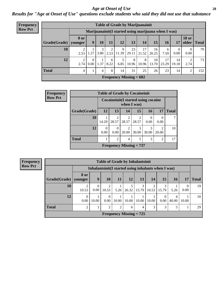#### *Age at Onset of Use* **28**

*Results for "Age at Onset of Use" questions exclude students who said they did not use that substance*

| <b>Frequency</b> |                                                      |                        |                            |           |           |            | <b>Table of Grade by Marijuanainit</b> |             |             |             |                  |                       |              |
|------------------|------------------------------------------------------|------------------------|----------------------------|-----------|-----------|------------|----------------------------------------|-------------|-------------|-------------|------------------|-----------------------|--------------|
| <b>Row Pct</b>   | Marijuanainit (I started using marijuana when I was) |                        |                            |           |           |            |                                        |             |             |             |                  |                       |              |
|                  | Grade(Grade)                                         | <b>8</b> or<br>younger | 9                          | 10        | 11        | 12         | 13                                     | 14          | 15          | 16          | 17               | <b>18 or</b><br>older | <b>Total</b> |
|                  | 10                                                   | 2.53                   | 1.27                       | 3<br>3.80 | 2<br>2.53 | 9<br>11.39 | 23<br>29.11                            | 17<br>21.52 | 16<br>20.25 | 6<br>7.59   | $\theta$<br>0.00 | $\Omega$<br>0.00      | 79           |
|                  | 12                                                   | 2.74                   | $\Omega$<br>$0.00^{\circ}$ | 1.37      | 6<br>8.22 | 6.85       | 8<br>10.96                             | 8<br>10.96  | 10<br>13.70 | 17<br>23.29 | 14<br>19.18      | 2.74                  | 73           |
|                  | <b>Total</b>                                         | 4                      |                            | 4         | 8         | 14         | 31                                     | 25          | 26          | 23          | 14               | $\overline{2}$        | 152          |
|                  |                                                      |                        |                            |           |           |            | Frequency Missing $= 602$              |             |             |             |                  |                       |              |

| <b>Frequency</b> |              |           |                         |                         | <b>Table of Grade by Cocaineinit</b>                 |                  |                         |              |
|------------------|--------------|-----------|-------------------------|-------------------------|------------------------------------------------------|------------------|-------------------------|--------------|
| <b>Row Pct</b>   |              |           |                         |                         | Cocaine init (I started using cocaine<br>when I was) |                  |                         |              |
|                  | Grade(Grade) | <b>12</b> | 13                      | 14                      | 15                                                   | 16               | 17                      | <b>Total</b> |
|                  | 10           | 14.29     | $\overline{2}$<br>28.57 | $\overline{2}$<br>28.57 | 28.57                                                | $\theta$<br>0.00 | 0.00                    |              |
|                  | 12           | 0<br>0.00 | 0<br>0.00               | 2<br>20.00              | 30.00                                                | 3<br>30.00       | $\mathfrak{D}$<br>20.00 | 10           |
|                  | <b>Total</b> |           | $\overline{c}$          | 4                       | 5                                                    | 3                | $\overline{c}$          | 17           |
|                  |              |           |                         |                         | Frequency Missing $= 737$                            |                  |                         |              |

| <b>Frequency</b> | <b>Table of Grade by Inhalantsinit</b> |                  |       |                         |       |       |                           |       |                                                      |            |                  |                 |
|------------------|----------------------------------------|------------------|-------|-------------------------|-------|-------|---------------------------|-------|------------------------------------------------------|------------|------------------|-----------------|
| <b>Row Pct</b>   |                                        |                  |       |                         |       |       |                           |       | Inhalantsinit (I started using inhalants when I was) |            |                  |                 |
|                  | Grade(Grade)   younger                 | <b>8 or</b>      | 9     | 10                      | 11    | 12    | 13                        | 14    | 15                                                   | 16         | 17               | <b>Total</b>    |
|                  | 10                                     | 2<br>10.53       | 0.00  | $\overline{2}$<br>10.53 | 5.26  | 26.32 | 3<br>15.79                | 10.53 | 15.79                                                | 5.26       | $\theta$<br>0.00 | 19              |
|                  | 12                                     | $\theta$<br>0.00 | 10.00 | $\Omega$<br>0.00        | 10.00 | 10.00 | 10.00                     | 10.00 | 0.00                                                 | 4<br>40.00 | 10.00            | 10 <sup>1</sup> |
|                  | <b>Total</b>                           | $\mathfrak{D}$   |       | $\overline{2}$          | ∍     | 6     | 4                         | 3     | 3                                                    | 5          |                  | 29              |
|                  |                                        |                  |       |                         |       |       | Frequency Missing $= 725$ |       |                                                      |            |                  |                 |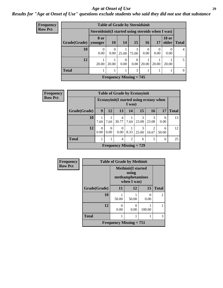#### *Age at Onset of Use* **29**

*Results for "Age at Onset of Use" questions exclude students who said they did not use that substance*

|              | 8 or<br>younger | <b>10</b>        | <b>14</b>        | <b>15</b>        | 16        | 17                                                                      | <b>18 or</b><br>older | <b>Total</b>                                       |
|--------------|-----------------|------------------|------------------|------------------|-----------|-------------------------------------------------------------------------|-----------------------|----------------------------------------------------|
| 10           | 0.00            | $\theta$<br>0.00 | 25.00            | 3<br>75.00       | 0<br>0.00 | $\theta$<br>0.00                                                        | 0<br>0.00             | $\overline{4}$                                     |
| 12           | 20.00           | 20.00            | $\Omega$<br>0.00 | $\Omega$<br>0.00 | 20.00     | 20.00                                                                   | 20.00                 | 5                                                  |
| <b>Total</b> |                 |                  |                  | 3                | 1         |                                                                         | 1                     | 9                                                  |
|              |                 |                  |                  |                  |           |                                                                         |                       |                                                    |
|              |                 | Grade(Grade)     |                  |                  |           | <b>Table of Grade by Steroidsinit</b><br><b>Frequency Missing = 745</b> |                       | Steroidsinit (I started using steroids when I was) |

| Frequency      |              |                  |                  |                  |                | <b>Table of Grade by Ecstasyinit</b> |                                           |            |              |
|----------------|--------------|------------------|------------------|------------------|----------------|--------------------------------------|-------------------------------------------|------------|--------------|
| <b>Row Pct</b> |              |                  |                  |                  | I was)         |                                      | Ecstasyinit (I started using ecstasy when |            |              |
|                | Grade(Grade) | 9                | 12               | 13               | 14             | 15                                   | 16                                        | 17         | <b>Total</b> |
|                | 10           | 7.69             | 7.69             | 4<br>30.77       | 7.69           | 3<br>23.08                           | 3<br>23.08                                | 0.00       | 13           |
|                | 12           | $\Omega$<br>0.00 | $\Omega$<br>0.00 | $\theta$<br>0.00 | 8.33           | 3<br>25.00                           | 2<br>16.67                                | 6<br>50.00 | 12           |
|                | <b>Total</b> |                  |                  | 4                | $\overline{2}$ | 6                                    | 5                                         | 6          | 25           |
|                |              |                  |                  |                  |                | Frequency Missing $= 729$            |                                           |            |              |

| Frequency      |              | <b>Table of Grade by Methinit</b>                             |       |           |                |  |  |  |  |
|----------------|--------------|---------------------------------------------------------------|-------|-----------|----------------|--|--|--|--|
| <b>Row Pct</b> |              | <b>Methinit</b> (I started<br>methamphetamines<br>when I was) |       |           |                |  |  |  |  |
|                | Grade(Grade) | 11                                                            | 12    | 15        | <b>Total</b>   |  |  |  |  |
|                | 10           | 50.00                                                         | 50.00 | 0<br>0.00 | $\overline{2}$ |  |  |  |  |
|                | 12           | 0.00                                                          | 0.00  | 100.00    |                |  |  |  |  |
|                | <b>Total</b> |                                                               |       |           | 3              |  |  |  |  |
|                |              | <b>Frequency Missing = 751</b>                                |       |           |                |  |  |  |  |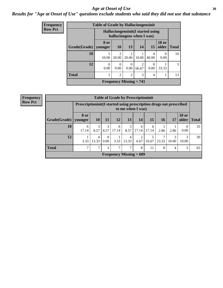#### Age at Onset of Use **30**

### *Results for "Age at Onset of Use" questions exclude students who said they did not use that substance*

| <b>Frequency</b> |              | <b>Table of Grade by Hallucinogensinit</b> |                         |                                                                 |            |                |                       |              |
|------------------|--------------|--------------------------------------------|-------------------------|-----------------------------------------------------------------|------------|----------------|-----------------------|--------------|
| <b>Row Pct</b>   |              |                                            |                         | Hallucinogensinit (I started using<br>hallucinogens when I was) |            |                |                       |              |
|                  | Grade(Grade) | 8 or<br>vounger                            | <b>10</b>               | 13                                                              | 14         | 15             | <b>18 or</b><br>older | <b>Total</b> |
|                  | 10           | 10.00                                      | $\overline{c}$<br>20.00 | $\overline{c}$<br>20.00                                         | 10.00      | 4<br>40.00     | $\Omega$<br>0.00      | 10           |
|                  | 12           | $\theta$<br>0.00                           | $\theta$<br>0.00        | $\theta$<br>0.00                                                | 2<br>66.67 | 0<br>0.00      | 33.33                 | 3            |
|                  | <b>Total</b> | 1<br>т                                     | $\overline{2}$          | $\overline{2}$                                                  | 3          | $\overline{4}$ |                       | 13           |
|                  |              |                                            |                         | Frequency Missing $= 741$                                       |            |                |                       |              |

|                        | <b>Table of Grade by Prescriptioninit</b>                                               |                         |           |            |                           |            |            |       |                |              |               |
|------------------------|-----------------------------------------------------------------------------------------|-------------------------|-----------|------------|---------------------------|------------|------------|-------|----------------|--------------|---------------|
|                        | Prescriptioninit(I started using prescription drugs not prescribed<br>to me when I was) |                         |           |            |                           |            |            |       |                |              |               |
| Grade(Grade)   younger | 8 or                                                                                    | 10                      | 11        | 12         | 13                        | 14         | 15         | 16    | 17             | <b>18 or</b> | older   Total |
| 10                     | 6<br>17.14                                                                              | 3<br>8.57               | 3<br>8.57 | 6<br>17.14 | 3<br>8.57                 | 6<br>17.14 | 6<br>17.14 | 2.86  | 2.86           | 0.00         | 35            |
| 12                     | 3.33                                                                                    | $\overline{4}$<br>13.33 | 0<br>0.00 | 3.33       | 4<br>13.33                | 2<br>6.67  | 16.67      | 23.33 | 3<br>10.00     | 3<br>10.00   | 30            |
| <b>Total</b>           | ⇁                                                                                       | 7                       | 3         | ⇁          | 7                         | 8          | 11         | 8     | $\overline{4}$ | 3            | 65            |
|                        |                                                                                         |                         |           |            | Frequency Missing $= 689$ |            |            |       |                |              |               |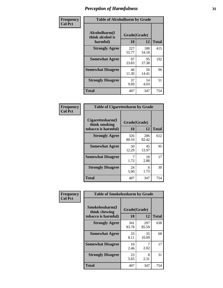| Frequency      | <b>Table of Alcoholharm by Grade</b>          |                    |              |              |  |  |  |  |
|----------------|-----------------------------------------------|--------------------|--------------|--------------|--|--|--|--|
| <b>Col Pct</b> | Alcoholharm(I<br>think alcohol is<br>harmful) | Grade(Grade)<br>10 | 12           | <b>Total</b> |  |  |  |  |
|                | <b>Strongly Agree</b>                         | 227<br>55.77       | 188<br>54.18 | 415          |  |  |  |  |
|                | <b>Somewhat Agree</b>                         | 97<br>23.83        | 95<br>27.38  | 192          |  |  |  |  |
|                | <b>Somewhat Disagree</b>                      | 46<br>11.30        | 50<br>14.41  | 96           |  |  |  |  |
|                | <b>Strongly Disagree</b>                      | 37<br>9.09         | 14<br>4.03   | 51           |  |  |  |  |
|                | <b>Total</b>                                  | 407                | 347          | 754          |  |  |  |  |

| <b>Table of Cigarettesharm by Grade</b>                  |                          |              |     |  |  |  |  |  |
|----------------------------------------------------------|--------------------------|--------------|-----|--|--|--|--|--|
| Cigarettesharm(I<br>think smoking<br>tobacco is harmful) | Grade(Grade)<br>10<br>12 |              |     |  |  |  |  |  |
| <b>Strongly Agree</b>                                    | 326<br>80.10             | 286<br>82.42 | 612 |  |  |  |  |  |
| <b>Somewhat Agree</b>                                    | 50<br>12.29              | 45<br>12.97  | 95  |  |  |  |  |  |
| <b>Somewhat Disagree</b>                                 | 7<br>1.72                | 10<br>2.88   | 17  |  |  |  |  |  |
| <b>Strongly Disagree</b>                                 | 24<br>5.90               | 6<br>1.73    | 30  |  |  |  |  |  |
| <b>Total</b>                                             | 407                      | 347          | 754 |  |  |  |  |  |

| Frequency      | <b>Table of Smokelessharm by Grade</b>                  |                    |              |              |
|----------------|---------------------------------------------------------|--------------------|--------------|--------------|
| <b>Col Pct</b> | Smokelessharm(I<br>think chewing<br>tobacco is harmful) | Grade(Grade)<br>10 | 12           | <b>Total</b> |
|                | <b>Strongly Agree</b>                                   | 341<br>83.78       | 297<br>85.59 | 638          |
|                | <b>Somewhat Agree</b>                                   | 33<br>8.11         | 35<br>10.09  | 68           |
|                | <b>Somewhat Disagree</b>                                | 10<br>2.46         | 2.02         | 17           |
|                | <b>Strongly Disagree</b>                                | 23<br>5.65         | 8<br>2.31    | 31           |
|                | Total                                                   | 407                | 347          | 754          |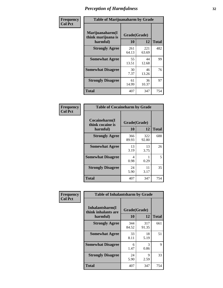| Frequency      | <b>Table of Marijuanaharm by Grade</b>            |                    |              |              |  |  |  |  |
|----------------|---------------------------------------------------|--------------------|--------------|--------------|--|--|--|--|
| <b>Col Pct</b> | Marijuanaharm(I<br>think marijuana is<br>harmful) | Grade(Grade)<br>10 | 12           | <b>Total</b> |  |  |  |  |
|                | <b>Strongly Agree</b>                             | 261<br>64.13       | 221<br>63.69 | 482          |  |  |  |  |
|                | <b>Somewhat Agree</b>                             | 55<br>13.51        | 44<br>12.68  | 99           |  |  |  |  |
|                | <b>Somewhat Disagree</b>                          | 30<br>7.37         | 46<br>13.26  | 76           |  |  |  |  |
|                | <b>Strongly Disagree</b>                          | 61<br>14.99        | 36<br>10.37  | 97           |  |  |  |  |
|                | <b>Total</b>                                      | 407                | 347          | 754          |  |  |  |  |

| <b>Table of Cocaineharm by Grade</b>          |                    |              |     |  |  |  |  |  |  |
|-----------------------------------------------|--------------------|--------------|-----|--|--|--|--|--|--|
| Cocaineharm(I<br>think cocaine is<br>harmful) | Grade(Grade)<br>10 | <b>Total</b> |     |  |  |  |  |  |  |
| <b>Strongly Agree</b>                         | 366<br>89.93       | 322<br>92.80 | 688 |  |  |  |  |  |  |
| <b>Somewhat Agree</b>                         | 13<br>3.19         | 13<br>3.75   | 26  |  |  |  |  |  |  |
| <b>Somewhat Disagree</b>                      | 4<br>0.98          | 0.29         | 5   |  |  |  |  |  |  |
| <b>Strongly Disagree</b>                      | 24<br>5.90         | 11<br>3.17   | 35  |  |  |  |  |  |  |
| <b>Total</b>                                  | 407                | 347          | 754 |  |  |  |  |  |  |

| Frequency      |                                                     | <b>Table of Inhalantsharm by Grade</b> |              |              |  |  |  |
|----------------|-----------------------------------------------------|----------------------------------------|--------------|--------------|--|--|--|
| <b>Col Pct</b> | Inhalantsharm(I)<br>think inhalants are<br>harmful) | Grade(Grade)<br>10                     | 12           | <b>Total</b> |  |  |  |
|                | <b>Strongly Agree</b>                               | 344<br>84.52                           | 317<br>91.35 | 661          |  |  |  |
|                | <b>Somewhat Agree</b>                               | 33<br>8.11                             | 18<br>5.19   | 51           |  |  |  |
|                | <b>Somewhat Disagree</b>                            | 6<br>1.47                              | 3<br>0.86    | 9            |  |  |  |
|                | <b>Strongly Disagree</b>                            | 24<br>5.90                             | 9<br>2.59    | 33           |  |  |  |
|                | <b>Total</b>                                        | 407                                    | 347          | 754          |  |  |  |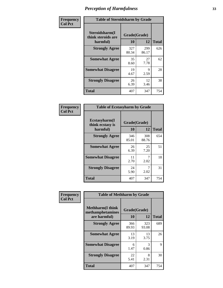| Frequency      | <b>Table of Steroidsharm by Grade</b>            |                    |              |              |
|----------------|--------------------------------------------------|--------------------|--------------|--------------|
| <b>Col Pct</b> | Steroidsharm(I<br>think steroids are<br>harmful) | Grade(Grade)<br>10 | 12           | <b>Total</b> |
|                | <b>Strongly Agree</b>                            | 327<br>80.34       | 299<br>86.17 | 626          |
|                | <b>Somewhat Agree</b>                            | 35<br>8.60         | 27<br>7.78   | 62           |
|                | <b>Somewhat Disagree</b>                         | 19<br>4.67         | Q<br>2.59    | 28           |
|                | <b>Strongly Disagree</b>                         | 26<br>6.39         | 12<br>3.46   | 38           |
|                | <b>Total</b>                                     | 407                | 347          | 754          |

| <b>Table of Ecstasyharm by Grade</b>          |                    |              |     |  |  |
|-----------------------------------------------|--------------------|--------------|-----|--|--|
| Ecstasyharm(I<br>think ecstasy is<br>harmful) | Grade(Grade)<br>10 | <b>Total</b> |     |  |  |
| <b>Strongly Agree</b>                         | 346<br>85.01       | 308<br>88.76 | 654 |  |  |
| <b>Somewhat Agree</b>                         | 26<br>6.39         | 25<br>7.20   | 51  |  |  |
| <b>Somewhat Disagree</b>                      | 11<br>2.70         | 7<br>2.02    | 18  |  |  |
| <b>Strongly Disagree</b>                      | 24<br>5.90         | 7<br>2.02    | 31  |  |  |
| <b>Total</b>                                  | 407                | 347          | 754 |  |  |

| Frequency      | <b>Table of Methharm by Grade</b>                            |                    |              |              |
|----------------|--------------------------------------------------------------|--------------------|--------------|--------------|
| <b>Col Pct</b> | <b>Methharm</b> (I think<br>methamphetamines<br>are harmful) | Grade(Grade)<br>10 | 12           | <b>Total</b> |
|                | <b>Strongly Agree</b>                                        | 366<br>89.93       | 323<br>93.08 | 689          |
|                | <b>Somewhat Agree</b>                                        | 13<br>3.19         | 13<br>3.75   | 26           |
|                | <b>Somewhat Disagree</b>                                     | 6<br>1.47          | 3<br>0.86    | 9            |
|                | <b>Strongly Disagree</b>                                     | 22<br>5.41         | 8<br>2.31    | 30           |
|                | <b>Total</b>                                                 | 407                | 347          | 754          |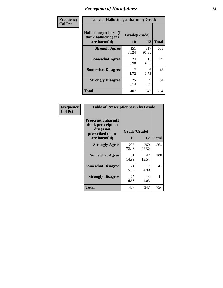| Frequency      | <b>Table of Hallucinogensharm by Grade</b>                 |                    |              |              |
|----------------|------------------------------------------------------------|--------------------|--------------|--------------|
| <b>Col Pct</b> | Hallucinogensharm(I<br>think hallucinogens<br>are harmful) | Grade(Grade)<br>10 | 12           | <b>Total</b> |
|                | <b>Strongly Agree</b>                                      | 351<br>86.24       | 317<br>91.35 | 668          |
|                | <b>Somewhat Agree</b>                                      | 24<br>5.90         | 15<br>4.32   | 39           |
|                | <b>Somewhat Disagree</b>                                   | 1.72               | 6<br>1.73    | 13           |
|                | <b>Strongly Disagree</b>                                   | 25<br>6.14         | 9<br>2.59    | 34           |
|                | <b>Total</b>                                               | 407                | 347          | 754          |

| <b>Table of Prescriptionharm by Grade</b>                                         |              |              |              |  |
|-----------------------------------------------------------------------------------|--------------|--------------|--------------|--|
| <b>Prescriptionharm(I)</b><br>think prescription<br>drugs not<br>prescribed to me | Grade(Grade) |              |              |  |
| are harmful)                                                                      | 10           | 12           | <b>Total</b> |  |
| <b>Strongly Agree</b>                                                             | 295<br>72.48 | 269<br>77.52 | 564          |  |
| <b>Somewhat Agree</b>                                                             | 61<br>14.99  | 47<br>13.54  | 108          |  |
| <b>Somewhat Disagree</b>                                                          | 24<br>5.90   | 17<br>4.90   | 41           |  |
| <b>Strongly Disagree</b>                                                          | 27<br>6.63   | 14<br>4.03   | 41           |  |
| Total                                                                             | 407          | 347          | 754          |  |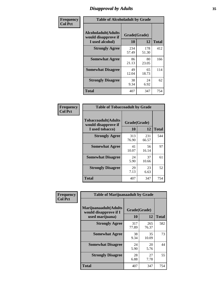# *Disapproval by Adults* **35**

| Frequency      | <b>Table of Alcoholadult by Grade</b>                                 |                    |              |              |
|----------------|-----------------------------------------------------------------------|--------------------|--------------|--------------|
| <b>Col Pct</b> | <b>Alcoholadult</b> (Adults<br>would disapprove if<br>I used alcohol) | Grade(Grade)<br>10 | 12           | <b>Total</b> |
|                | <b>Strongly Agree</b>                                                 | 234<br>57.49       | 178<br>51.30 | 412          |
|                | <b>Somewhat Agree</b>                                                 | 86<br>21.13        | 80<br>23.05  | 166          |
|                | <b>Somewhat Disagree</b>                                              | 49<br>12.04        | 65<br>18.73  | 114          |
|                | <b>Strongly Disagree</b>                                              | 38<br>9.34         | 24<br>6.92   | 62           |
|                | <b>Total</b>                                                          | 407                | 347          | 754          |

| <b>Table of Tobaccoadult by Grade</b>                                                             |              |              |     |  |  |
|---------------------------------------------------------------------------------------------------|--------------|--------------|-----|--|--|
| <b>Tobaccoadult</b> (Adults<br>Grade(Grade)<br>would disapprove if<br>10<br>12<br>I used tobacco) |              |              |     |  |  |
| <b>Strongly Agree</b>                                                                             | 313<br>76.90 | 231<br>66.57 | 544 |  |  |
| <b>Somewhat Agree</b>                                                                             | 41<br>10.07  | 56<br>16.14  | 97  |  |  |
| <b>Somewhat Disagree</b>                                                                          | 24<br>5.90   | 37<br>10.66  | 61  |  |  |
| <b>Strongly Disagree</b>                                                                          | 29<br>7.13   | 23<br>6.63   | 52  |  |  |
| Total                                                                                             | 407          | 347          | 754 |  |  |

| Frequency      | <b>Table of Marijuanaadult by Grade</b>                           |                    |              |              |
|----------------|-------------------------------------------------------------------|--------------------|--------------|--------------|
| <b>Col Pct</b> | Marijuanaadult(Adults<br>would disapprove if I<br>used marijuana) | Grade(Grade)<br>10 | 12           | <b>Total</b> |
|                | <b>Strongly Agree</b>                                             | 317<br>77.89       | 265<br>76.37 | 582          |
|                | <b>Somewhat Agree</b>                                             | 38<br>9.34         | 35<br>10.09  | 73           |
|                | <b>Somewhat Disagree</b>                                          | 24<br>5.90         | 20<br>5.76   | 44           |
|                | <b>Strongly Disagree</b>                                          | 28<br>6.88         | 27<br>7.78   | 55           |
|                | <b>Total</b>                                                      | 407                | 347          | 754          |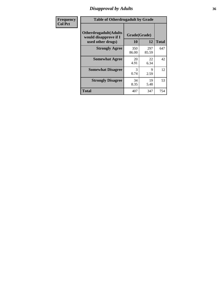# *Disapproval by Adults* **36**

| <b>Frequency</b> | <b>Table of Otherdrugadult by Grade</b>                                     |                    |              |              |
|------------------|-----------------------------------------------------------------------------|--------------------|--------------|--------------|
| <b>Col Pct</b>   | <b>Otherdrugadult</b> (Adults<br>would disapprove if I<br>used other drugs) | Grade(Grade)<br>10 | 12           | <b>Total</b> |
|                  | <b>Strongly Agree</b>                                                       | 350<br>86.00       | 297<br>85.59 | 647          |
|                  | <b>Somewhat Agree</b>                                                       | 20<br>4.91         | 22<br>6.34   | 42           |
|                  | <b>Somewhat Disagree</b>                                                    | 3<br>0.74          | 9<br>2.59    | 12           |
|                  | <b>Strongly Disagree</b>                                                    | 34<br>8.35         | 19<br>5.48   | 53           |
|                  | <b>Total</b>                                                                | 407                | 347          | 754          |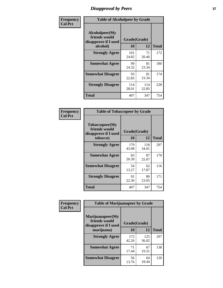# *Disapproval by Peers* **37**

| Frequency      | <b>Table of Alcoholpeer by Grade</b>                    |              |              |              |  |
|----------------|---------------------------------------------------------|--------------|--------------|--------------|--|
| <b>Col Pct</b> | Alcoholpeer(My<br>friends would<br>disapprove if I used | Grade(Grade) |              |              |  |
|                | alcohol)                                                | 10           | 12           | <b>Total</b> |  |
|                | <b>Strongly Agree</b>                                   | 101<br>24.82 | 71<br>20.46  | 172          |  |
|                | <b>Somewhat Agree</b>                                   | 99<br>24.32  | 81<br>23.34  | 180          |  |
|                | <b>Somewhat Disagree</b>                                | 93<br>22.85  | 81<br>23.34  | 174          |  |
|                | <b>Strongly Disagree</b>                                | 114<br>28.01 | 114<br>32.85 | 228          |  |
|                | Total                                                   | 407          | 347          | 754          |  |

| Frequency      | <b>Table of Tobaccopeer by Grade</b>                                |                    |              |              |  |
|----------------|---------------------------------------------------------------------|--------------------|--------------|--------------|--|
| <b>Col Pct</b> | Tobaccopeer(My<br>friends would<br>disapprove if I used<br>tobacco) | Grade(Grade)<br>10 | 12           | <b>Total</b> |  |
|                | <b>Strongly Agree</b>                                               | 179<br>43.98       | 118<br>34.01 | 297          |  |
|                | <b>Somewhat Agree</b>                                               | 83<br>20.39        | 87<br>25.07  | 170          |  |
|                | <b>Somewhat Disagree</b>                                            | 54<br>13.27        | 62<br>17.87  | 116          |  |
|                | <b>Strongly Disagree</b>                                            | 91<br>22.36        | 80<br>23.05  | 171          |  |
|                | <b>Total</b>                                                        | 407                | 347          | 754          |  |

| Frequency      | <b>Table of Marijuanapeer by Grade</b>                    |              |              |              |
|----------------|-----------------------------------------------------------|--------------|--------------|--------------|
| <b>Col Pct</b> | Marijuanapeer(My<br>friends would<br>disapprove if I used | Grade(Grade) |              |              |
|                | marijuana)                                                | <b>10</b>    | 12           | <b>Total</b> |
|                | <b>Strongly Agree</b>                                     | 172<br>42.26 | 125<br>36.02 | 297          |
|                | <b>Somewhat Agree</b>                                     | 71<br>17.44  | 67<br>19.31  | 138          |
|                | <b>Somewhat Disagree</b>                                  | 56<br>13.76  | 64<br>18.44  | 120          |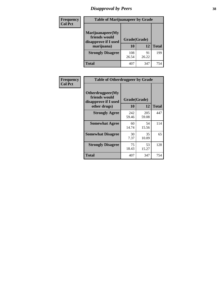# *Disapproval by Peers* **38**

| <b>Frequency</b> | <b>Table of Marijuanapeer by Grade</b>                    |              |             |              |  |
|------------------|-----------------------------------------------------------|--------------|-------------|--------------|--|
| <b>Col Pct</b>   | Marijuanapeer(My<br>friends would<br>disapprove if I used | Grade(Grade) |             |              |  |
|                  | marijuana)                                                | <b>10</b>    | 12          | <b>Total</b> |  |
|                  | <b>Strongly Disagree</b>                                  | 108<br>26.54 | 91<br>26.22 | 199          |  |
|                  | <b>Total</b>                                              | 407          | 347         | 754          |  |

| Frequency      | <b>Table of Otherdrugpeer by Grade</b>                                    |                    |              |              |
|----------------|---------------------------------------------------------------------------|--------------------|--------------|--------------|
| <b>Col Pct</b> | Otherdrugpeer(My<br>friends would<br>disapprove if I used<br>other drugs) | Grade(Grade)<br>10 | 12           | <b>Total</b> |
|                | <b>Strongly Agree</b>                                                     | 242<br>59.46       | 205<br>59.08 | 447          |
|                | <b>Somewhat Agree</b>                                                     | 60<br>14.74        | 54<br>15.56  | 114          |
|                | <b>Somewhat Disagree</b>                                                  | 30<br>7.37         | 35<br>10.09  | 65           |
|                | <b>Strongly Disagree</b>                                                  | 75<br>18.43        | 53<br>15.27  | 128          |
|                | <b>Total</b>                                                              | 407                | 347          | 754          |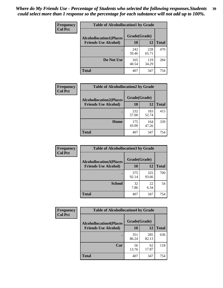| Frequency      | <b>Table of Alcohollocation1 by Grade</b> |              |              |              |
|----------------|-------------------------------------------|--------------|--------------|--------------|
| <b>Col Pct</b> | <b>Alcohollocation1(Places</b>            | Grade(Grade) |              |              |
|                | <b>Friends Use Alcohol)</b>               | 10           | 12           | <b>Total</b> |
|                |                                           | 242<br>59.46 | 228<br>65.71 | 470          |
|                | Do Not Use                                | 165<br>40.54 | 119<br>34.29 | 284          |
|                | <b>Total</b>                              | 407          | 347          | 754          |

| <b>Frequency</b> | <b>Table of Alcohollocation2 by Grade</b>                     |                    |              |              |
|------------------|---------------------------------------------------------------|--------------------|--------------|--------------|
| <b>Col Pct</b>   | <b>Alcohollocation2(Places</b><br><b>Friends Use Alcohol)</b> | Grade(Grade)<br>10 | 12           | <b>Total</b> |
|                  |                                                               | 232<br>57.00       | 183<br>52.74 | 415          |
|                  | Home                                                          | 175<br>43.00       | 164<br>47.26 | 339          |
|                  | <b>Total</b>                                                  | 407                | 347          | 754          |

| Frequency<br><b>Col Pct</b> | <b>Table of Alcohollocation 3 by Grade</b> |              |              |              |
|-----------------------------|--------------------------------------------|--------------|--------------|--------------|
|                             | <b>Alcohollocation3(Places</b>             | Grade(Grade) |              |              |
|                             | <b>Friends Use Alcohol)</b>                | 10           | 12           | <b>Total</b> |
|                             |                                            | 375<br>92.14 | 325<br>93.66 | 700          |
|                             | <b>School</b>                              | 32<br>7.86   | 22<br>6.34   | 54           |
|                             | <b>Total</b>                               | 407          | 347          | 754          |

| <b>Frequency</b> | <b>Table of Alcohollocation4 by Grade</b> |              |              |              |  |
|------------------|-------------------------------------------|--------------|--------------|--------------|--|
| <b>Col Pct</b>   | <b>Alcohollocation4(Places</b>            | Grade(Grade) |              |              |  |
|                  | <b>Friends Use Alcohol)</b>               | 10           | 12           | <b>Total</b> |  |
|                  |                                           | 351<br>86.24 | 285<br>82.13 | 636          |  |
|                  | Car                                       | 56<br>13.76  | 62<br>17.87  | 118          |  |
|                  | <b>Total</b>                              | 407          | 347          | 754          |  |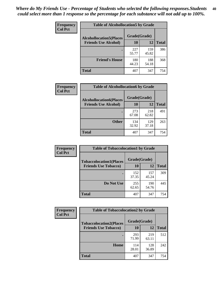| Frequency<br><b>Col Pct</b> | <b>Table of Alcohollocation5 by Grade</b> |              |              |              |  |
|-----------------------------|-------------------------------------------|--------------|--------------|--------------|--|
|                             | <b>Alcohollocation5(Places</b>            | Grade(Grade) |              |              |  |
|                             | <b>Friends Use Alcohol)</b>               | 10           | 12           | <b>Total</b> |  |
|                             |                                           | 227<br>55.77 | 159<br>45.82 | 386          |  |
|                             | <b>Friend's House</b>                     | 180<br>44.23 | 188<br>54.18 | 368          |  |
|                             | <b>Total</b>                              | 407          | 347          | 754          |  |

| Frequency      | <b>Table of Alcohollocation6 by Grade</b>                     |                    |              |              |
|----------------|---------------------------------------------------------------|--------------------|--------------|--------------|
| <b>Col Pct</b> | <b>Alcohollocation6(Places</b><br><b>Friends Use Alcohol)</b> | Grade(Grade)<br>10 | 12           | <b>Total</b> |
|                |                                                               | 273<br>67.08       | 218<br>62.82 | 491          |
|                | <b>Other</b>                                                  | 134<br>32.92       | 129<br>37.18 | 263          |
|                | <b>Total</b>                                                  | 407                | 347          | 754          |

| Frequency      | <b>Table of Tobaccolocation1 by Grade</b> |              |              |              |
|----------------|-------------------------------------------|--------------|--------------|--------------|
| <b>Col Pct</b> | <b>Tobaccolocation1(Places</b>            | Grade(Grade) |              |              |
|                | <b>Friends Use Tobacco)</b>               | 10           | 12           | <b>Total</b> |
|                |                                           | 152<br>37.35 | 157<br>45.24 | 309          |
|                | Do Not Use                                | 255<br>62.65 | 190<br>54.76 | 445          |
|                | <b>Total</b>                              | 407          | 347          | 754          |

| Frequency      | <b>Table of Tobaccolocation2 by Grade</b> |              |              |              |  |
|----------------|-------------------------------------------|--------------|--------------|--------------|--|
| <b>Col Pct</b> | <b>Tobaccolocation2(Places</b>            | Grade(Grade) |              |              |  |
|                | <b>Friends Use Tobacco)</b>               | 10           | 12           | <b>Total</b> |  |
|                |                                           | 293<br>71.99 | 219<br>63.11 | 512          |  |
|                | Home                                      | 114<br>28.01 | 128<br>36.89 | 242          |  |
|                | <b>Total</b>                              | 407          | 347          | 754          |  |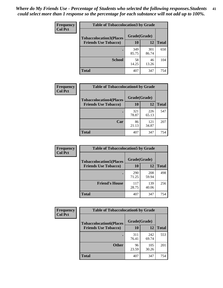| Frequency      | <b>Table of Tobaccolocation 3 by Grade</b> |              |              |              |
|----------------|--------------------------------------------|--------------|--------------|--------------|
| <b>Col Pct</b> | <b>Tobaccolocation3(Places</b>             | Grade(Grade) |              |              |
|                | <b>Friends Use Tobacco)</b>                | 10           | 12           | <b>Total</b> |
|                |                                            | 349<br>85.75 | 301<br>86.74 | 650          |
|                | <b>School</b>                              | 58<br>14.25  | 46<br>13.26  | 104          |
|                | <b>Total</b>                               | 407          | 347          | 754          |

| Frequency      | <b>Table of Tobaccolocation4 by Grade</b> |              |              |              |
|----------------|-------------------------------------------|--------------|--------------|--------------|
| <b>Col Pct</b> | <b>Tobaccolocation4(Places</b>            | Grade(Grade) |              |              |
|                | <b>Friends Use Tobacco)</b>               | 10           | 12           | <b>Total</b> |
|                |                                           | 321<br>78.87 | 226<br>65.13 | 547          |
|                | Car                                       | 86<br>21.13  | 121<br>34.87 | 207          |
|                | <b>Total</b>                              | 407          | 347          | 754          |

| Frequency      | <b>Table of Tobaccolocation5 by Grade</b> |              |              |              |
|----------------|-------------------------------------------|--------------|--------------|--------------|
| <b>Col Pct</b> | <b>Tobaccolocation5(Places</b>            | Grade(Grade) |              |              |
|                | <b>Friends Use Tobacco)</b>               | 10           | 12           | <b>Total</b> |
|                |                                           | 290<br>71.25 | 208<br>59.94 | 498          |
|                | <b>Friend's House</b>                     | 117<br>28.75 | 139<br>40.06 | 256          |
|                | <b>Total</b>                              | 407          | 347          | 754          |

| <b>Frequency</b> | <b>Table of Tobaccolocation6 by Grade</b> |              |              |              |  |
|------------------|-------------------------------------------|--------------|--------------|--------------|--|
| <b>Col Pct</b>   | <b>Tobaccolocation6(Places</b>            | Grade(Grade) |              |              |  |
|                  | <b>Friends Use Tobacco)</b>               | 10           | 12           | <b>Total</b> |  |
|                  |                                           | 311<br>76.41 | 242<br>69.74 | 553          |  |
|                  | <b>Other</b>                              | 96<br>23.59  | 105<br>30.26 | 201          |  |
|                  | <b>Total</b>                              | 407          | 347          | 754          |  |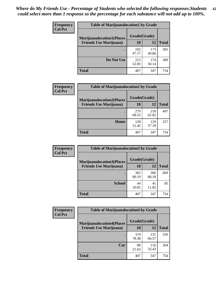| <b>Frequency</b> | <b>Table of Marijuanalocation1 by Grade</b> |              |              |              |
|------------------|---------------------------------------------|--------------|--------------|--------------|
| <b>Col Pct</b>   | <b>Marijuanalocation1(Places</b>            | Grade(Grade) |              |              |
|                  | <b>Friends Use Marijuana</b> )              | 10           | 12           | <b>Total</b> |
|                  |                                             | 192<br>47.17 | 173<br>49.86 | 365          |
|                  | Do Not Use                                  | 215<br>52.83 | 174<br>50.14 | 389          |
|                  | <b>Total</b>                                | 407          | 347          | 754          |

| <b>Frequency</b> | <b>Table of Marijuanalocation2 by Grade</b>                        |                    |              |              |
|------------------|--------------------------------------------------------------------|--------------------|--------------|--------------|
| <b>Col Pct</b>   | <b>Marijuanalocation2(Places</b><br><b>Friends Use Marijuana</b> ) | Grade(Grade)<br>10 | 12           | <b>Total</b> |
|                  |                                                                    | 279<br>68.55       | 218<br>62.82 | 497          |
|                  | Home                                                               | 128<br>31.45       | 129<br>37.18 | 257          |
|                  | <b>Total</b>                                                       | 407                | 347          | 754          |

| Frequency<br><b>Col Pct</b> | <b>Table of Marijuanalocation3 by Grade</b> |              |              |       |
|-----------------------------|---------------------------------------------|--------------|--------------|-------|
|                             | <b>Marijuanalocation3</b> (Places           | Grade(Grade) |              |       |
|                             | <b>Friends Use Marijuana</b> )              | 10           | 12           | Total |
|                             |                                             | 363<br>89.19 | 306<br>88.18 | 669   |
|                             | <b>School</b>                               | 44<br>10.81  | 41<br>11.82  | 85    |
|                             | <b>Total</b>                                | 407          | 347          | 754   |

| <b>Frequency</b> | <b>Table of Marijuanalocation4 by Grade</b> |              |              |              |  |
|------------------|---------------------------------------------|--------------|--------------|--------------|--|
| <b>Col Pct</b>   | <b>Marijuanalocation4(Places</b>            | Grade(Grade) |              |              |  |
|                  | <b>Friends Use Marijuana</b> )              | 10           | 12           | <b>Total</b> |  |
|                  |                                             | 319<br>78.38 | 231<br>66.57 | 550          |  |
|                  | Car                                         | 88<br>21.62  | 116<br>33.43 | 204          |  |
|                  | <b>Total</b>                                | 407          | 347          | 754          |  |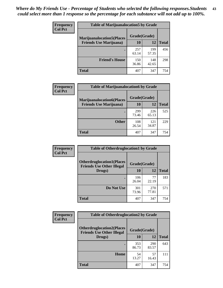| <b>Frequency</b> | <b>Table of Marijuanalocation5 by Grade</b> |              |              |              |
|------------------|---------------------------------------------|--------------|--------------|--------------|
| <b>Col Pct</b>   | <b>Marijuanalocation5</b> (Places           | Grade(Grade) |              |              |
|                  | <b>Friends Use Marijuana</b> )              | 10           | 12           | <b>Total</b> |
|                  |                                             | 257<br>63.14 | 199<br>57.35 | 456          |
|                  | <b>Friend's House</b>                       | 150<br>36.86 | 148<br>42.65 | 298          |
|                  | <b>Total</b>                                | 407          | 347          | 754          |

| <b>Frequency</b> | <b>Table of Marijuanalocation6 by Grade</b>                        |                           |              |              |
|------------------|--------------------------------------------------------------------|---------------------------|--------------|--------------|
| <b>Col Pct</b>   | <b>Marijuanalocation6(Places</b><br><b>Friends Use Marijuana</b> ) | Grade(Grade)<br><b>10</b> | 12           | <b>Total</b> |
|                  |                                                                    | 299<br>73.46              | 226<br>65.13 | 525          |
|                  | <b>Other</b>                                                       | 108<br>26.54              | 121<br>34.87 | 229          |
|                  | <b>Total</b>                                                       | 407                       | 347          | 754          |

| Frequency      | <b>Table of Otherdruglocation1 by Grade</b>                          |              |              |              |
|----------------|----------------------------------------------------------------------|--------------|--------------|--------------|
| <b>Col Pct</b> | <b>Otherdruglocation1(Places</b><br><b>Friends Use Other Illegal</b> | Grade(Grade) |              |              |
|                | Drugs)                                                               | 10           | 12           | <b>Total</b> |
|                |                                                                      | 106<br>26.04 | 77<br>22.19  | 183          |
|                | Do Not Use                                                           | 301<br>73.96 | 270<br>77.81 | 571          |
|                | <b>Total</b>                                                         | 407          | 347          | 754          |

| Frequency      | <b>Table of Otherdruglocation2 by Grade</b>                           |              |              |              |
|----------------|-----------------------------------------------------------------------|--------------|--------------|--------------|
| <b>Col Pct</b> | <b>Otherdruglocation2(Places)</b><br><b>Friends Use Other Illegal</b> | Grade(Grade) |              |              |
|                | Drugs)                                                                | 10           | 12           | <b>Total</b> |
|                |                                                                       | 353<br>86.73 | 290<br>83.57 | 643          |
|                | Home                                                                  | 54<br>13.27  | 57<br>16.43  | 111          |
|                | <b>Total</b>                                                          | 407          | 347          | 754          |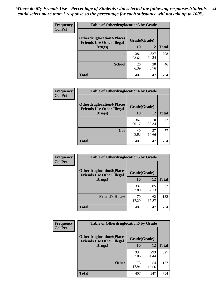| <b>Frequency</b> | <b>Table of Otherdruglocation3 by Grade</b>                          |              |              |              |
|------------------|----------------------------------------------------------------------|--------------|--------------|--------------|
| <b>Col Pct</b>   | <b>Otherdruglocation3(Places</b><br><b>Friends Use Other Illegal</b> | Grade(Grade) |              |              |
|                  | Drugs)                                                               | 10           | 12           | <b>Total</b> |
|                  |                                                                      | 381<br>93.61 | 327<br>94.24 | 708          |
|                  | <b>School</b>                                                        | 26<br>6.39   | 20<br>5.76   | 46           |
|                  | <b>Total</b>                                                         | 407          | 347          | 754          |

| Frequency<br><b>Col Pct</b> | <b>Table of Otherdruglocation4 by Grade</b>                          |              |              |              |
|-----------------------------|----------------------------------------------------------------------|--------------|--------------|--------------|
|                             | <b>Otherdruglocation4(Places</b><br><b>Friends Use Other Illegal</b> | Grade(Grade) |              |              |
|                             | Drugs)                                                               | 10           | 12           | <b>Total</b> |
|                             |                                                                      | 367<br>90.17 | 310<br>89.34 | 677          |
|                             | Car                                                                  | 40<br>9.83   | 37<br>10.66  | 77           |
|                             | <b>Total</b>                                                         | 407          | 347          | 754          |

| Frequency      | <b>Table of Otherdruglocation5 by Grade</b>                          |              |              |              |
|----------------|----------------------------------------------------------------------|--------------|--------------|--------------|
| <b>Col Pct</b> | <b>Otherdruglocation5(Places</b><br><b>Friends Use Other Illegal</b> | Grade(Grade) |              |              |
|                | Drugs)                                                               | 10           | 12           | <b>Total</b> |
|                |                                                                      | 337<br>82.80 | 285<br>82.13 | 622          |
|                | <b>Friend's House</b>                                                | 70<br>17.20  | 62<br>17.87  | 132          |
|                | <b>Total</b>                                                         | 407          | 347          | 754          |

| <b>Frequency</b> | <b>Table of Otherdruglocation6 by Grade</b>                          |              |              |              |
|------------------|----------------------------------------------------------------------|--------------|--------------|--------------|
| <b>Col Pct</b>   | <b>Otherdruglocation6(Places</b><br><b>Friends Use Other Illegal</b> | Grade(Grade) |              |              |
|                  | Drugs)                                                               | 10           | 12           | <b>Total</b> |
|                  |                                                                      | 334<br>82.06 | 293<br>84.44 | 627          |
|                  | <b>Other</b>                                                         | 73<br>17.94  | 54<br>15.56  | 127          |
|                  | <b>Total</b>                                                         | 407          | 347          | 754          |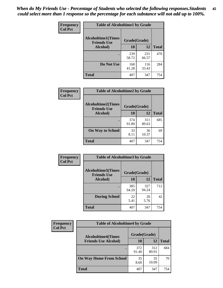| Frequency      | <b>Table of Alcoholtime1 by Grade</b>           |              |              |              |
|----------------|-------------------------------------------------|--------------|--------------|--------------|
| <b>Col Pct</b> | <b>Alcoholtime1(Times</b><br><b>Friends Use</b> | Grade(Grade) |              |              |
|                | Alcohol)                                        | 10           | 12           | <b>Total</b> |
|                |                                                 | 239<br>58.72 | 231<br>66.57 | 470          |
|                | Do Not Use                                      | 168<br>41.28 | 116<br>33.43 | 284          |
|                | <b>Total</b>                                    | 407          | 347          | 754          |

| Frequency      | <b>Table of Alcoholtime2 by Grade</b>           |              |              |              |
|----------------|-------------------------------------------------|--------------|--------------|--------------|
| <b>Col Pct</b> | <b>Alcoholtime2(Times</b><br><b>Friends Use</b> | Grade(Grade) |              |              |
|                | Alcohol)                                        | 10           | <b>12</b>    | <b>Total</b> |
|                |                                                 | 374<br>91.89 | 311<br>89.63 | 685          |
|                | <b>On Way to School</b>                         | 33<br>8.11   | 36<br>10.37  | 69           |
|                | <b>Total</b>                                    | 407          | 347          | 754          |

| Frequency<br><b>Col Pct</b> | <b>Table of Alcoholtime3 by Grade</b>                           |              |              |              |
|-----------------------------|-----------------------------------------------------------------|--------------|--------------|--------------|
|                             | <b>Alcoholtime3(Times</b><br>Grade(Grade)<br><b>Friends Use</b> |              |              |              |
|                             | Alcohol)                                                        | 10           | 12           | <b>Total</b> |
|                             |                                                                 | 385<br>94.59 | 327<br>94.24 | 712          |
|                             | <b>During School</b>                                            | 22<br>5.41   | 20<br>5.76   | 42           |
|                             | Total                                                           | 407          | 347          | 754          |

| <b>Frequency</b><br><b>Col Pct</b> | <b>Table of Alcoholtime4 by Grade</b> |              |              |              |
|------------------------------------|---------------------------------------|--------------|--------------|--------------|
|                                    | <b>Alcoholtime4(Times</b>             | Grade(Grade) |              |              |
|                                    | <b>Friends Use Alcohol)</b>           | 10           | 12           | <b>Total</b> |
|                                    |                                       | 372<br>91.40 | 312<br>89.91 | 684          |
|                                    | <b>On Way Home From School</b>        | 35<br>8.60   | 35<br>10.09  | 70           |
|                                    | <b>Total</b>                          | 407          | 347          | 754          |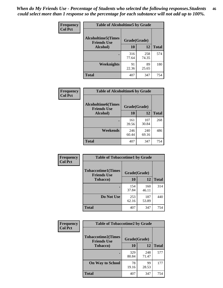*When do My Friends Use - Percentage of Students who selected the following responses.Students could select more than 1 response so the percentage for each substance will not add up to 100%.* **46**

| Frequency      | <b>Table of Alcoholtime5 by Grade</b>           |              |              |              |
|----------------|-------------------------------------------------|--------------|--------------|--------------|
| <b>Col Pct</b> | <b>Alcoholtime5(Times</b><br><b>Friends Use</b> | Grade(Grade) |              |              |
|                | <b>Alcohol</b> )                                | 10           | 12           | <b>Total</b> |
|                |                                                 | 316<br>77.64 | 258<br>74.35 | 574          |
|                | Weeknights                                      | 91<br>22.36  | 89<br>25.65  | 180          |
|                | <b>Total</b>                                    | 407          | 347          | 754          |

| <b>Frequency</b> | <b>Table of Alcoholtime6 by Grade</b>           |              |              |              |  |
|------------------|-------------------------------------------------|--------------|--------------|--------------|--|
| <b>Col Pct</b>   | <b>Alcoholtime6(Times</b><br><b>Friends Use</b> | Grade(Grade) |              |              |  |
|                  | Alcohol)                                        | 10           | 12           | <b>Total</b> |  |
|                  |                                                 | 161<br>39.56 | 107<br>30.84 | 268          |  |
|                  | Weekends                                        | 246<br>60.44 | 240<br>69.16 | 486          |  |
|                  | <b>Total</b>                                    | 407          | 347          | 754          |  |

| Frequency      | <b>Table of Tobaccotime1 by Grade</b>           |              |              |              |
|----------------|-------------------------------------------------|--------------|--------------|--------------|
| <b>Col Pct</b> | <b>Tobaccotime1(Times</b><br><b>Friends Use</b> | Grade(Grade) |              |              |
|                | <b>Tobacco</b> )                                | 10           | 12           | <b>Total</b> |
|                |                                                 | 154<br>37.84 | 160<br>46.11 | 314          |
|                | Do Not Use                                      | 253<br>62.16 | 187<br>53.89 | 440          |
|                | <b>Total</b>                                    | 407          | 347          | 754          |

| <b>Frequency</b> | <b>Table of Tobaccotime2 by Grade</b>           |              |              |              |
|------------------|-------------------------------------------------|--------------|--------------|--------------|
| <b>Col Pct</b>   | <b>Tobaccotime2(Times</b><br><b>Friends Use</b> | Grade(Grade) |              |              |
|                  | <b>Tobacco</b> )                                | 10           | <b>12</b>    | <b>Total</b> |
|                  |                                                 | 329<br>80.84 | 248<br>71.47 | 577          |
|                  | <b>On Way to School</b>                         | 78<br>19.16  | 99<br>28.53  | 177          |
|                  | <b>Total</b>                                    | 407          | 347          | 754          |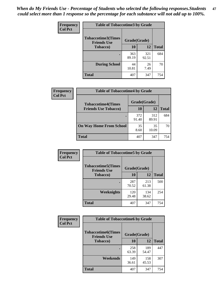*When do My Friends Use - Percentage of Students who selected the following responses.Students could select more than 1 response so the percentage for each substance will not add up to 100%.* **47**

| <b>Frequency</b> | <b>Table of Tobaccotime3 by Grade</b>           |              |              |              |
|------------------|-------------------------------------------------|--------------|--------------|--------------|
| <b>Col Pct</b>   | <b>Tobaccotime3(Times</b><br><b>Friends Use</b> | Grade(Grade) |              |              |
|                  | <b>Tobacco</b> )                                | 10           | 12           | <b>Total</b> |
|                  |                                                 | 363<br>89.19 | 321<br>92.51 | 684          |
|                  | <b>During School</b>                            | 44<br>10.81  | 26<br>7.49   | 70           |
|                  | <b>Total</b>                                    | 407          | 347          | 754          |

| <b>Frequency</b><br><b>Col Pct</b> | <b>Table of Tobaccotime4 by Grade</b> |              |              |              |
|------------------------------------|---------------------------------------|--------------|--------------|--------------|
|                                    | <b>Tobaccotime4(Times</b>             | Grade(Grade) |              |              |
|                                    | <b>Friends Use Tobacco)</b>           | 10           | 12           | <b>Total</b> |
|                                    |                                       | 372<br>91.40 | 312<br>89.91 | 684          |
|                                    | <b>On Way Home From School</b>        | 35<br>8.60   | 35<br>10.09  | 70           |
|                                    | <b>Total</b>                          | 407          | 347          | 754          |

| Frequency      | <b>Table of Tobaccotime5 by Grade</b>           |              |              |              |
|----------------|-------------------------------------------------|--------------|--------------|--------------|
| <b>Col Pct</b> | <b>Tobaccotime5(Times</b><br><b>Friends Use</b> | Grade(Grade) |              |              |
|                | <b>Tobacco</b> )                                | 10           | 12           | <b>Total</b> |
|                |                                                 | 287<br>70.52 | 213<br>61.38 | 500          |
|                | Weeknights                                      | 120<br>29.48 | 134<br>38.62 | 254          |
|                | <b>Total</b>                                    | 407          | 347          | 754          |

| Frequency      | <b>Table of Tobaccotime6 by Grade</b>           |              |              |              |  |
|----------------|-------------------------------------------------|--------------|--------------|--------------|--|
| <b>Col Pct</b> | <b>Tobaccotime6(Times</b><br><b>Friends Use</b> | Grade(Grade) |              |              |  |
|                | <b>Tobacco</b> )                                | 10           | 12           | <b>Total</b> |  |
|                |                                                 | 258<br>63.39 | 189<br>54.47 | 447          |  |
|                | Weekends                                        | 149<br>36.61 | 158<br>45.53 | 307          |  |
|                | Total                                           | 407          | 347          | 754          |  |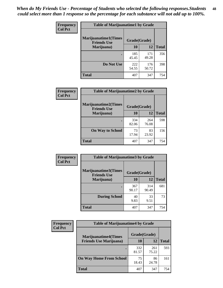| Frequency      | <b>Table of Marijuanatime1 by Grade</b>           |              |              |              |
|----------------|---------------------------------------------------|--------------|--------------|--------------|
| <b>Col Pct</b> | <b>Marijuanatime1(Times</b><br><b>Friends Use</b> | Grade(Grade) |              |              |
|                | Marijuana)                                        | 10           | 12           | <b>Total</b> |
|                |                                                   | 185<br>45.45 | 171<br>49.28 | 356          |
|                | Do Not Use                                        | 222<br>54.55 | 176<br>50.72 | 398          |
|                | <b>Total</b>                                      | 407          | 347          | 754          |

| Frequency      | <b>Table of Marijuanatime2 by Grade</b>           |              |              |              |
|----------------|---------------------------------------------------|--------------|--------------|--------------|
| <b>Col Pct</b> | <b>Marijuanatime2(Times</b><br><b>Friends Use</b> | Grade(Grade) |              |              |
|                | Marijuana)                                        | 10           | 12           | <b>Total</b> |
|                |                                                   | 334<br>82.06 | 264<br>76.08 | 598          |
|                | <b>On Way to School</b>                           | 73<br>17.94  | 83<br>23.92  | 156          |
|                | <b>Total</b>                                      | 407          | 347          | 754          |

| Frequency<br><b>Col Pct</b> | <b>Table of Marijuanatime3 by Grade</b>    |              |              |              |
|-----------------------------|--------------------------------------------|--------------|--------------|--------------|
|                             | Marijuanatime3(Times<br><b>Friends Use</b> | Grade(Grade) |              |              |
|                             | Marijuana)                                 | 10           | 12           | <b>Total</b> |
|                             |                                            | 367<br>90.17 | 314<br>90.49 | 681          |
|                             | <b>During School</b>                       | 40<br>9.83   | 33<br>9.51   | 73           |
|                             | <b>Total</b>                               | 407          | 347          | 754          |

| <b>Frequency</b> | <b>Table of Marijuanatime4 by Grade</b> |              |              |       |
|------------------|-----------------------------------------|--------------|--------------|-------|
| <b>Col Pct</b>   | <b>Marijuanatime4(Times</b>             | Grade(Grade) |              |       |
|                  | <b>Friends Use Marijuana</b> )          | 10           | 12           | Total |
|                  |                                         | 332<br>81.57 | 261<br>75.22 | 593   |
|                  | <b>On Way Home From School</b>          | 75<br>18.43  | 86<br>24.78  | 161   |
|                  | <b>Total</b>                            | 407          | 347          | 754   |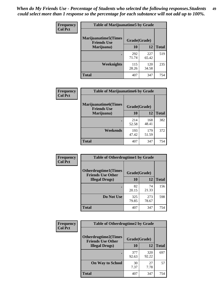| Frequency      | <b>Table of Marijuanatime5 by Grade</b>            |              |              |              |  |
|----------------|----------------------------------------------------|--------------|--------------|--------------|--|
| <b>Col Pct</b> | <b>Marijuanatime5</b> (Times<br><b>Friends Use</b> | Grade(Grade) |              |              |  |
|                | Marijuana)                                         | 10           | 12           | <b>Total</b> |  |
|                |                                                    | 292<br>71.74 | 227<br>65.42 | 519          |  |
|                | Weeknights                                         | 115<br>28.26 | 120<br>34.58 | 235          |  |
|                | <b>Total</b>                                       | 407          | 347          | 754          |  |

| Frequency      | <b>Table of Marijuanatime6 by Grade</b>            |              |              |              |
|----------------|----------------------------------------------------|--------------|--------------|--------------|
| <b>Col Pct</b> | <b>Marijuanatime6</b> (Times<br><b>Friends Use</b> | Grade(Grade) |              |              |
|                | Marijuana)                                         | 10           | 12           | <b>Total</b> |
|                |                                                    | 214<br>52.58 | 168<br>48.41 | 382          |
|                | Weekends                                           | 193<br>47.42 | 179<br>51.59 | 372          |
|                | <b>Total</b>                                       | 407          | 347          | 754          |

| Frequency      | <b>Table of Otherdrugtime1 by Grade</b>                 |              |              |              |  |
|----------------|---------------------------------------------------------|--------------|--------------|--------------|--|
| <b>Col Pct</b> | <b>Otherdrugtime1(Times</b><br><b>Friends Use Other</b> | Grade(Grade) |              |              |  |
|                | <b>Illegal Drugs)</b>                                   | 10           | 12           | <b>Total</b> |  |
|                |                                                         | 82<br>20.15  | 74<br>21.33  | 156          |  |
|                | Do Not Use                                              | 325<br>79.85 | 273<br>78.67 | 598          |  |
|                | Total                                                   | 407          | 347          | 754          |  |

| Frequency      | <b>Table of Otherdrugtime2 by Grade</b>                 |              |              |              |  |  |
|----------------|---------------------------------------------------------|--------------|--------------|--------------|--|--|
| <b>Col Pct</b> | <b>Otherdrugtime2(Times</b><br><b>Friends Use Other</b> | Grade(Grade) |              |              |  |  |
|                | <b>Illegal Drugs</b> )                                  | 10           | 12           | <b>Total</b> |  |  |
|                |                                                         | 377<br>92.63 | 320<br>92.22 | 697          |  |  |
|                | <b>On Way to School</b>                                 | 30<br>7.37   | 27<br>7.78   | 57           |  |  |
|                | Total                                                   | 407          | 347          | 754          |  |  |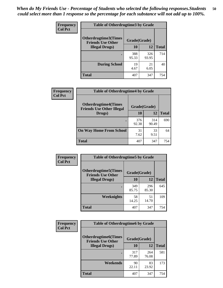| <b>Frequency</b><br><b>Col Pct</b> | <b>Table of Otherdrugtime3 by Grade</b>                 |              |              |              |  |  |
|------------------------------------|---------------------------------------------------------|--------------|--------------|--------------|--|--|
|                                    | <b>Otherdrugtime3(Times</b><br><b>Friends Use Other</b> |              | Grade(Grade) |              |  |  |
|                                    | <b>Illegal Drugs</b> )                                  | 10           | 12           | <b>Total</b> |  |  |
|                                    |                                                         | 388<br>95.33 | 326<br>93.95 | 714          |  |  |
|                                    | <b>During School</b>                                    | 19<br>4.67   | 21<br>6.05   | 40           |  |  |
|                                    | Total                                                   | 407          | 347          | 754          |  |  |

| Frequency      | <b>Table of Otherdrugtime4 by Grade</b>                         |              |              |              |  |  |
|----------------|-----------------------------------------------------------------|--------------|--------------|--------------|--|--|
| <b>Col Pct</b> | <b>Otherdrugtime4(Times</b><br><b>Friends Use Other Illegal</b> | Grade(Grade) |              |              |  |  |
|                | Drugs)                                                          | 10           | 12           | <b>Total</b> |  |  |
|                | ٠                                                               | 376<br>92.38 | 314<br>90.49 | 690          |  |  |
|                | <b>On Way Home From School</b>                                  | 31<br>7.62   | 33<br>9.51   | 64           |  |  |
|                | <b>Total</b>                                                    | 407          | 347          | 754          |  |  |

| <b>Frequency</b><br><b>Col Pct</b> | <b>Table of Otherdrugtime5 by Grade</b>                  |              |              |              |  |  |
|------------------------------------|----------------------------------------------------------|--------------|--------------|--------------|--|--|
|                                    | <b>Otherdrugtime5</b> (Times<br><b>Friends Use Other</b> | Grade(Grade) |              |              |  |  |
|                                    | <b>Illegal Drugs</b> )                                   | 10           | 12           | <b>Total</b> |  |  |
|                                    |                                                          | 349<br>85.75 | 296<br>85.30 | 645          |  |  |
|                                    | <b>Weeknights</b>                                        | 58<br>14.25  | 51<br>14.70  | 109          |  |  |
|                                    | Total                                                    | 407          | 347          | 754          |  |  |

| <b>Frequency</b> | <b>Table of Otherdrugtime6 by Grade</b>                                 |              |              |              |  |  |
|------------------|-------------------------------------------------------------------------|--------------|--------------|--------------|--|--|
| <b>Col Pct</b>   | <b>Otherdrugtime6(Times</b><br>Grade(Grade)<br><b>Friends Use Other</b> |              |              |              |  |  |
|                  | <b>Illegal Drugs</b> )                                                  | 10           | 12           | <b>Total</b> |  |  |
|                  |                                                                         | 317<br>77.89 | 264<br>76.08 | 581          |  |  |
|                  | Weekends                                                                | 90<br>22.11  | 83<br>23.92  | 173          |  |  |
|                  | <b>Total</b>                                                            | 407          | 347          | 754          |  |  |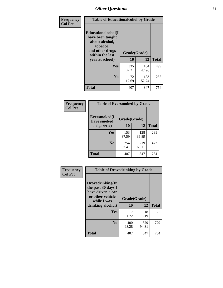| Frequency      | <b>Table of Educationalcohol by Grade</b>                                                                  |              |              |              |  |  |
|----------------|------------------------------------------------------------------------------------------------------------|--------------|--------------|--------------|--|--|
| <b>Col Pct</b> | Educationalcohol(I<br>have been taught<br>about alcohol,<br>tobacco,<br>and other drugs<br>within the last | Grade(Grade) |              |              |  |  |
|                | year at school)                                                                                            | 10           | 12           | <b>Total</b> |  |  |
|                | Yes                                                                                                        | 335<br>82.31 | 164<br>47.26 | 499          |  |  |
|                | N <sub>0</sub>                                                                                             | 72<br>17.69  | 183<br>52.74 | 255          |  |  |
|                | <b>Total</b>                                                                                               | 407          | 347          | 754          |  |  |

| Frequency      | <b>Table of Eversmoked by Grade</b>         |              |              |              |  |  |  |
|----------------|---------------------------------------------|--------------|--------------|--------------|--|--|--|
| <b>Col Pct</b> | Eversmoked(I<br>Grade(Grade)<br>have smoked |              |              |              |  |  |  |
|                | a cigarette)                                | 10           | 12           | <b>Total</b> |  |  |  |
|                | Yes                                         | 153<br>37.59 | 128<br>36.89 | 281          |  |  |  |
|                | N <sub>0</sub>                              | 254<br>62.41 | 219<br>63.11 | 473          |  |  |  |
|                | <b>Total</b>                                | 407          | 347          | 754          |  |  |  |

| Frequency      | <b>Table of Drovedrinking by Grade</b>                                                                              |                          |              |              |  |  |
|----------------|---------------------------------------------------------------------------------------------------------------------|--------------------------|--------------|--------------|--|--|
| <b>Col Pct</b> | Drovedrinking(In<br>the past 30 days I<br>have driven a car<br>or other vehicle<br>while I was<br>drinking alcohol) | Grade(Grade)<br>10<br>12 |              | <b>Total</b> |  |  |
|                |                                                                                                                     |                          |              |              |  |  |
|                | Yes                                                                                                                 | 1.72                     | 18<br>5.19   | 25           |  |  |
|                | N <sub>0</sub>                                                                                                      | 400<br>98.28             | 329<br>94.81 | 729          |  |  |
|                | <b>Total</b>                                                                                                        | 407                      | 347          | 754          |  |  |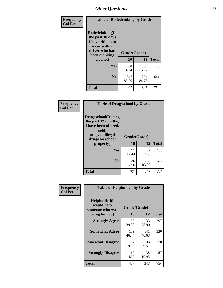| Frequency<br><b>Col Pct</b> | <b>Table of Rodedrinking by Grade</b>                                                                                      |              |              |              |  |  |
|-----------------------------|----------------------------------------------------------------------------------------------------------------------------|--------------|--------------|--------------|--|--|
|                             | Rodedrinking(In<br>the past 30 days<br>I have ridden in<br>a car with a<br>driver who had<br>Grade(Grade)<br>been drinking |              |              |              |  |  |
|                             | alcohol)                                                                                                                   | 10           | 12           | <b>Total</b> |  |  |
|                             | <b>Yes</b>                                                                                                                 | 60<br>14.74  | 53<br>15.27  | 113          |  |  |
|                             | N <sub>0</sub>                                                                                                             | 347<br>85.26 | 294<br>84.73 | 641          |  |  |
|                             | <b>Total</b>                                                                                                               | 407          | 347          | 754          |  |  |

#### **Frequency Col Pct**

| <b>Table of Drugsschool by Grade</b>                                                                                      |              |              |              |  |  |  |
|---------------------------------------------------------------------------------------------------------------------------|--------------|--------------|--------------|--|--|--|
| <b>Drugsschool</b> (During<br>the past 12 months,<br>I have been offered,<br>sold,<br>or given illegal<br>drugs on school | Grade(Grade) |              |              |  |  |  |
| property)                                                                                                                 | 10           | 12           | <b>Total</b> |  |  |  |
| <b>Yes</b>                                                                                                                | 71           | 59           | 130          |  |  |  |
|                                                                                                                           | 17.44        | 17.00        |              |  |  |  |
| N <sub>0</sub>                                                                                                            | 336<br>82.56 | 288<br>83.00 | 624          |  |  |  |

| Frequency      | <b>Table of Helpbullied by Grade</b>                                                                      |              |              |     |  |  |  |
|----------------|-----------------------------------------------------------------------------------------------------------|--------------|--------------|-----|--|--|--|
| <b>Col Pct</b> | $Helpb$ ullied $(I$<br>would help<br>Grade(Grade)<br>someone who was<br><b>10</b><br>12<br>being bullied) |              | <b>Total</b> |     |  |  |  |
|                | <b>Strongly Agree</b>                                                                                     | 162<br>39.80 | 135<br>38.90 | 297 |  |  |  |
|                | <b>Somewhat Agree</b>                                                                                     | 189<br>46.44 | 141<br>40.63 | 330 |  |  |  |
|                | <b>Somewhat Disagree</b>                                                                                  | 37<br>9.09   | 33<br>9.51   | 70  |  |  |  |
|                | <b>Strongly Disagree</b>                                                                                  | 19<br>4.67   | 38<br>10.95  | 57  |  |  |  |
|                | <b>Total</b>                                                                                              | 407          | 347          | 754 |  |  |  |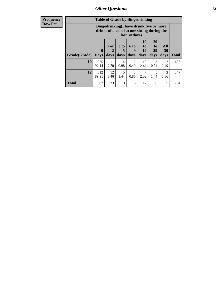| <b>Frequency</b><br><b>Row Pct</b> |                           | <b>Table of Grade by Bingedrinking</b><br>Bingedrinking(I have drunk five or more<br>drinks of alcohol at one sitting during the<br>last 30 days) |                   |              |                        |                        |                                    |                        |              |
|------------------------------------|---------------------------|---------------------------------------------------------------------------------------------------------------------------------------------------|-------------------|--------------|------------------------|------------------------|------------------------------------|------------------------|--------------|
|                                    | <b>Grade</b> (Grade) Days | $\mathbf{0}$                                                                                                                                      | 1 or<br>2<br>days | 3 to<br>days | $6$ to<br>9<br>days    | 10<br>to<br>19<br>days | 20<br>t <sub>0</sub><br>29<br>days | All<br>30<br>days      | <b>Total</b> |
|                                    | 10                        | 375<br>92.14                                                                                                                                      | 11<br>2.70        | 4<br>0.98    | $\mathfrak{D}$<br>0.49 | 10<br>2.46             | 3<br>0.74                          | $\mathfrak{D}$<br>0.49 | 407          |
|                                    | 12                        | 312<br>89.91                                                                                                                                      | 12<br>3.46        | 5<br>1.44    | 3<br>0.86              | 7<br>2.02              | 5<br>1.44                          | 3<br>0.86              | 347          |
|                                    | <b>Total</b>              | 687                                                                                                                                               | 23                | 9            | 5                      | 17                     | 8                                  | 5                      | 754          |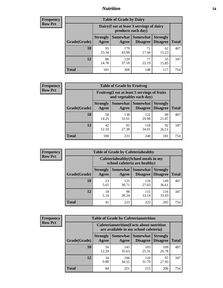### *Nutrition* **54**

| <b>Frequency</b> |
|------------------|
| <b>Row Pct</b>   |

| <b>Table of Grade by Dairy</b> |             |                                                                                                                                                                                                              |             |             |     |  |  |  |
|--------------------------------|-------------|--------------------------------------------------------------------------------------------------------------------------------------------------------------------------------------------------------------|-------------|-------------|-----|--|--|--|
|                                |             | Dairy (I eat at least 3 servings of dairy<br>products each day)<br>Somewhat<br><b>Somewhat</b><br><b>Strongly</b><br><b>Strongly</b><br><b>Disagree</b><br>Agree<br><b>Disagree</b><br><b>Total</b><br>Agree |             |             |     |  |  |  |
| Grade(Grade)                   |             |                                                                                                                                                                                                              |             |             |     |  |  |  |
| 10                             | 95<br>23.34 | 179<br>43.98                                                                                                                                                                                                 | 71<br>17.44 | 62<br>15.23 | 407 |  |  |  |
| 12                             | 86<br>24.78 | 129<br>37.18                                                                                                                                                                                                 | 77<br>22.19 | 55<br>15.85 | 347 |  |  |  |
| <b>Total</b>                   | 181         | 308                                                                                                                                                                                                          | 148         | 117         | 754 |  |  |  |

| <b>Frequency</b> |  |
|------------------|--|
| <b>Row Pct</b>   |  |

| <b>Table of Grade by Fruitveg</b> |                          |                                                                          |                                        |                                    |              |  |  |
|-----------------------------------|--------------------------|--------------------------------------------------------------------------|----------------------------------------|------------------------------------|--------------|--|--|
|                                   |                          | Fruitveg(I eat at least 5 servings of fruits<br>and vegetables each day) |                                        |                                    |              |  |  |
| Grade(Grade)                      | <b>Strongly</b><br>Agree | Agree                                                                    | <b>Somewhat   Somewhat</b><br>Disagree | <b>Strongly</b><br><b>Disagree</b> | <b>Total</b> |  |  |
| 10                                | 58<br>14.25              | 138<br>33.91                                                             | 122<br>29.98                           | 89<br>21.87                        | 407          |  |  |
| 12                                | 42<br>12.10              | 95<br>27.38                                                              | 118<br>34.01                           | 92<br>26.51                        | 347          |  |  |
| <b>Total</b>                      | 100                      | 233                                                                      | 240                                    | 181                                | 754          |  |  |

| <b>Frequency</b> | <b>Table of Grade by Cafeteriahealthy</b> |                                                                       |              |                                        |                                    |              |  |  |
|------------------|-------------------------------------------|-----------------------------------------------------------------------|--------------|----------------------------------------|------------------------------------|--------------|--|--|
| <b>Row Pct</b>   |                                           | Cafeteriahealthy (School meals in my<br>school cafeteria are healthy) |              |                                        |                                    |              |  |  |
|                  | Grade(Grade)                              | <b>Strongly</b><br>Agree                                              | Agree        | Somewhat   Somewhat<br><b>Disagree</b> | <b>Strongly</b><br><b>Disagree</b> | <b>Total</b> |  |  |
|                  | 10                                        | 23<br>5.65                                                            | 125<br>30.71 | 110<br>27.03                           | 149<br>36.61                       | 407          |  |  |
|                  | 12                                        | 18<br>5.19                                                            | 98<br>28.24  | 115<br>33.14                           | 116<br>33.43                       | 347          |  |  |
|                  | <b>Total</b>                              | 41                                                                    | 223          | 225                                    | 265                                | 754          |  |  |

| <b>Frequency</b> |
|------------------|
| <b>Row Pct</b>   |

| <b>Table of Grade by Cafeterianutrition</b> |                                                                                           |                   |                                    |                                    |              |  |  |
|---------------------------------------------|-------------------------------------------------------------------------------------------|-------------------|------------------------------------|------------------------------------|--------------|--|--|
|                                             | <b>Cafeterianutrition</b> (Facts about nutrition<br>are available in my school cafeteria) |                   |                                    |                                    |              |  |  |
| Grade(Grade)                                | <b>Strongly</b><br>Agree                                                                  | Somewhat<br>Agree | <b>Somewhat</b><br><b>Disagree</b> | <b>Strongly</b><br><b>Disagree</b> | <b>Total</b> |  |  |
| 10                                          | 50<br>12.29                                                                               | 145<br>35.63      | 103<br>25.31                       | 109<br>26.78                       | 407          |  |  |
| 12                                          | 34<br>9.80                                                                                | 106<br>30.55      | 110<br>31.70                       | 97<br>27.95                        | 347          |  |  |
| <b>Total</b>                                | 84                                                                                        | 251               | 213                                | 206                                | 754          |  |  |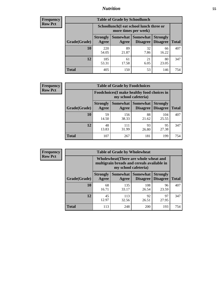### *Nutrition* **55**

| <b>Frequency</b> |
|------------------|
| <b>Row Pct</b>   |

| <b>Table of Grade by Schoollunch</b> |              |                                                                                                                                                                                                         |            |             |     |  |  |  |
|--------------------------------------|--------------|---------------------------------------------------------------------------------------------------------------------------------------------------------------------------------------------------------|------------|-------------|-----|--|--|--|
|                                      |              | Schoollunch(I eat school lunch three or<br>more times per week)<br>Somewhat  <br><b>Somewhat</b><br><b>Strongly</b><br><b>Strongly</b><br><b>Disagree</b><br>Agree<br>Disagree<br><b>Total</b><br>Agree |            |             |     |  |  |  |
| Grade(Grade)                         |              |                                                                                                                                                                                                         |            |             |     |  |  |  |
| 10                                   | 220<br>54.05 | 89<br>21.87                                                                                                                                                                                             | 32<br>7.86 | 66<br>16.22 | 407 |  |  |  |
| 12                                   | 185<br>53.31 | 61<br>17.58                                                                                                                                                                                             | 21<br>6.05 | 80<br>23.05 | 347 |  |  |  |
| <b>Total</b>                         | 405          | 150                                                                                                                                                                                                     | 53         | 146         | 754 |  |  |  |

| <b>Frequency</b> |  |
|------------------|--|
| <b>Row Pct</b>   |  |

| <b>Table of Grade by Foodchoices</b>                                       |                          |              |                                      |                                    |              |  |  |
|----------------------------------------------------------------------------|--------------------------|--------------|--------------------------------------|------------------------------------|--------------|--|--|
| <b>Foodchoices</b> (I make healthy food choices in<br>my school cafeteria) |                          |              |                                      |                                    |              |  |  |
| Grade(Grade)                                                               | <b>Strongly</b><br>Agree | Agree        | Somewhat Somewhat<br><b>Disagree</b> | <b>Strongly</b><br><b>Disagree</b> | <b>Total</b> |  |  |
| 10                                                                         | 59<br>14.50              | 156<br>38.33 | 88<br>21.62                          | 104<br>25.55                       | 407          |  |  |
| 12                                                                         | 48<br>13.83              | 111<br>31.99 | 93<br>26.80                          | 95<br>27.38                        | 347          |  |  |
| <b>Total</b>                                                               | 107                      | 267          | 181                                  | 199                                | 754          |  |  |

| <b>Frequency</b> | <b>Table of Grade by Wholewheat</b> |                                                                                                             |                     |                      |                                    |              |  |  |  |
|------------------|-------------------------------------|-------------------------------------------------------------------------------------------------------------|---------------------|----------------------|------------------------------------|--------------|--|--|--|
| <b>Row Pct</b>   |                                     | Wholewheat (There are whole wheat and<br>multigrain breads and cereals available in<br>my school cafeteria) |                     |                      |                                    |              |  |  |  |
|                  | Grade(Grade)                        | <b>Strongly</b><br>Agree                                                                                    | Somewhat  <br>Agree | Somewhat<br>Disagree | <b>Strongly</b><br><b>Disagree</b> | <b>Total</b> |  |  |  |
|                  | 10                                  | 68<br>16.71                                                                                                 | 135<br>33.17        | 108<br>26.54         | 96<br>23.59                        | 407          |  |  |  |
|                  | 12                                  | 45<br>12.97                                                                                                 | 113<br>32.56        | 92<br>26.51          | 97<br>27.95                        | 347          |  |  |  |
|                  | <b>Total</b>                        | 113                                                                                                         | 248                 | 200                  | 193                                | 754          |  |  |  |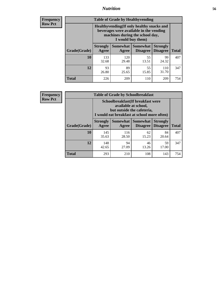### *Nutrition* **56**

**Frequency Row Pct**

| <b>Table of Grade by Healthyvending</b> |                                                                                                                                               |                          |                                    |                                    |              |
|-----------------------------------------|-----------------------------------------------------------------------------------------------------------------------------------------------|--------------------------|------------------------------------|------------------------------------|--------------|
|                                         | Healthyvending (If only healthy snacks and<br>beverages were available in the vending<br>machines during the school day,<br>I would buy them) |                          |                                    |                                    |              |
| Grade(Grade)                            | <b>Strongly</b><br>Agree                                                                                                                      | <b>Somewhat</b><br>Agree | <b>Somewhat</b><br><b>Disagree</b> | <b>Strongly</b><br><b>Disagree</b> | <b>Total</b> |
| 10                                      | 133<br>32.68                                                                                                                                  | 120<br>29.48             | 55<br>13.51                        | 99<br>24.32                        | 407          |
| 12                                      | 93<br>26.80                                                                                                                                   | 89<br>25.65              | 55<br>15.85                        | 110<br>31.70                       | 347          |
| <b>Total</b>                            | 226                                                                                                                                           | 209                      | 110                                | 209                                | 754          |

**Frequency Row Pct**

| <b>Table of Grade by Schoolbreakfast</b> |                                                                                                                                        |                                           |                                        |                                    |              |  |  |
|------------------------------------------|----------------------------------------------------------------------------------------------------------------------------------------|-------------------------------------------|----------------------------------------|------------------------------------|--------------|--|--|
|                                          | Schoolbreakfast(If breakfast were<br>available at school,<br>but outside the cafeteria,<br>I would eat breakfast at school more often) |                                           |                                        |                                    |              |  |  |
| Grade(Grade)                             | <b>Strongly</b><br>Agree                                                                                                               | Agree                                     | Somewhat   Somewhat<br><b>Disagree</b> | <b>Strongly</b><br><b>Disagree</b> | <b>Total</b> |  |  |
| 10                                       | 145<br>35.63                                                                                                                           | 116<br>28.50                              | 62<br>15.23                            | 84<br>20.64                        | 407          |  |  |
| 12                                       | 148<br>42.65                                                                                                                           | 94<br>46<br>59<br>27.09<br>17.00<br>13.26 |                                        |                                    |              |  |  |
| <b>Total</b>                             | 293                                                                                                                                    | 210                                       | 108                                    | 143                                | 754          |  |  |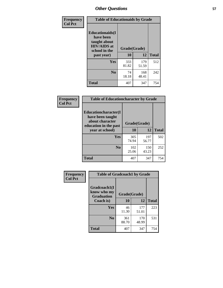| Frequency<br><b>Col Pct</b> | <b>Table of Educationaids by Grade</b>                                                                    |                    |              |              |
|-----------------------------|-----------------------------------------------------------------------------------------------------------|--------------------|--------------|--------------|
|                             | <b>Educationaids</b> (I<br>have been<br>taught about<br><b>HIV/AIDS</b> at<br>school in the<br>past year) | Grade(Grade)<br>10 | 12           | <b>Total</b> |
|                             | Yes                                                                                                       | 333<br>81.82       | 179<br>51.59 | 512          |
|                             | N <sub>0</sub>                                                                                            | 74<br>18.18        | 168<br>48.41 | 242          |
|                             | <b>Total</b>                                                                                              | 407                | 347          | 754          |

| Frequency<br><b>Col Pct</b> | <b>Table of Educationcharacter by Grade</b>                         |              |              |              |  |
|-----------------------------|---------------------------------------------------------------------|--------------|--------------|--------------|--|
|                             | <b>Educationcharacter(I)</b><br>have been taught<br>about character |              |              |              |  |
|                             | education in the past                                               | Grade(Grade) |              |              |  |
|                             | year at school)                                                     | 10           | 12           | <b>Total</b> |  |
|                             | Yes                                                                 | 305<br>74.94 | 197<br>56.77 | 502          |  |
|                             | N <sub>0</sub>                                                      | 102<br>25.06 | 150<br>43.23 | 252          |  |
|                             | <b>Total</b>                                                        | 407          | 347          | 754          |  |

| Frequency      | <b>Table of Gradcoach1 by Grade</b> |              |              |              |
|----------------|-------------------------------------|--------------|--------------|--------------|
| <b>Col Pct</b> | Gradcoach1(I                        |              |              |              |
|                | know who my<br><b>Graduation</b>    | Grade(Grade) |              |              |
|                | Coach is)                           | 10           | 12           | <b>Total</b> |
|                | Yes                                 | 46<br>11.30  | 177<br>51.01 | 223          |
|                | N <sub>0</sub>                      | 361<br>88.70 | 170<br>48.99 | 531          |
|                | <b>Total</b>                        | 407          | 347          | 754          |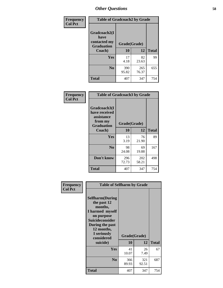| Frequency      | <b>Table of Gradcoach2 by Grade</b> |              |              |              |
|----------------|-------------------------------------|--------------|--------------|--------------|
| <b>Col Pct</b> | Gradcoach2(I<br>have                |              |              |              |
|                | contacted my<br><b>Graduation</b>   | Grade(Grade) |              |              |
|                | Coach)                              | 10           | 12           | <b>Total</b> |
|                | Yes                                 | 17<br>4.18   | 82<br>23.63  | 99           |
|                | N <sub>0</sub>                      | 390<br>95.82 | 265<br>76.37 | 655          |
|                | <b>Total</b>                        | 407          | 347          | 754          |

| <b>Frequency</b><br><b>Col Pct</b> | <b>Table of Gradcoach3 by Grade</b>                                         |              |              |              |
|------------------------------------|-----------------------------------------------------------------------------|--------------|--------------|--------------|
|                                    | Gradcoach3(I<br>have received<br>assistance<br>from my<br><b>Graduation</b> | Grade(Grade) |              |              |
|                                    | Coach)                                                                      | 10           | 12           | <b>Total</b> |
|                                    | Yes                                                                         | 13<br>3.19   | 76<br>21.90  | 89           |
|                                    | N <sub>0</sub>                                                              | 98<br>24.08  | 69<br>19.88  | 167          |
|                                    | Don't know                                                                  | 296<br>72.73 | 202<br>58.21 | 498          |
|                                    | <b>Total</b>                                                                | 407          | 347          | 754          |

| Frequency      | <b>Table of Selfharm by Grade</b>                                                                                                                                                      |                    |              |              |
|----------------|----------------------------------------------------------------------------------------------------------------------------------------------------------------------------------------|--------------------|--------------|--------------|
| <b>Col Pct</b> | <b>Selfharm</b> (During<br>the past 12<br>months,<br>I harmed myself<br>on purpose<br><b>Suicideconsider</b><br>During the past<br>12 months,<br>I seriously<br>considered<br>suicide) | Grade(Grade)<br>10 | 12           | <b>Total</b> |
|                | Yes                                                                                                                                                                                    | 41<br>10.07        | 26<br>7.49   | 67           |
|                | N <sub>0</sub>                                                                                                                                                                         | 366<br>89.93       | 321<br>92.51 | 687          |
|                | Total                                                                                                                                                                                  | 407                | 347          | 754          |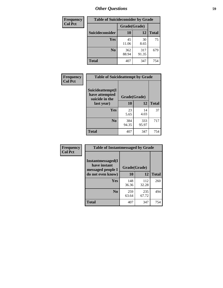| <b>Frequency</b> | <b>Table of Suicideconsider by Grade</b> |              |              |              |
|------------------|------------------------------------------|--------------|--------------|--------------|
| <b>Col Pct</b>   |                                          | Grade(Grade) |              |              |
|                  | Suicideconsider                          | <b>10</b>    | 12           | <b>Total</b> |
|                  | Yes                                      | 45<br>11.06  | 30<br>8.65   | 75           |
|                  | N <sub>0</sub>                           | 362<br>88.94 | 317<br>91.35 | 679          |
|                  | <b>Total</b>                             | 407          | 347          | 754          |

| Frequency<br><b>Col Pct</b> | <b>Table of Suicideattempt by Grade</b>              |              |              |              |
|-----------------------------|------------------------------------------------------|--------------|--------------|--------------|
|                             | Suicideattempt(I<br>have attempted<br>suicide in the | Grade(Grade) |              |              |
|                             | last year)                                           | 10           | 12           | <b>Total</b> |
|                             | Yes                                                  | 23<br>5.65   | 14<br>4.03   | 37           |
|                             | $\bf No$                                             | 384<br>94.35 | 333<br>95.97 | 717          |
|                             | <b>Total</b>                                         | 407          | 347          | 754          |

| Frequency      | <b>Table of Instantmessaged by Grade</b>               |              |              |              |
|----------------|--------------------------------------------------------|--------------|--------------|--------------|
| <b>Col Pct</b> | Instantmessaged(I<br>have instant<br>messaged people I | Grade(Grade) |              |              |
|                | do not even know)                                      | 10           | 12           | <b>Total</b> |
|                | Yes                                                    | 148<br>36.36 | 112<br>32.28 | 260          |
|                | N <sub>0</sub>                                         | 259<br>63.64 | 235<br>67.72 | 494          |
|                | <b>Total</b>                                           | 407          | 347          | 754          |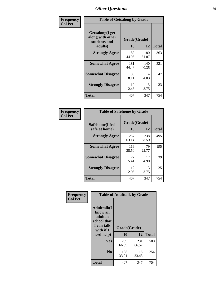| Frequency      | <b>Table of Getsalong by Grade</b>                          |              |              |              |
|----------------|-------------------------------------------------------------|--------------|--------------|--------------|
| <b>Col Pct</b> | <b>Getsalong</b> (I get<br>along with other<br>students and |              | Grade(Grade) |              |
|                | adults)                                                     | 10           | 12           | <b>Total</b> |
|                | <b>Strongly Agree</b>                                       | 183<br>44.96 | 180<br>51.87 | 363          |
|                | <b>Somewhat Agree</b>                                       | 181<br>44.47 | 140<br>40.35 | 321          |
|                | <b>Somewhat Disagree</b>                                    | 33<br>8.11   | 14<br>4.03   | 47           |
|                | <b>Strongly Disagree</b>                                    | 10<br>2.46   | 13<br>3.75   | 23           |
|                | Total                                                       | 407          | 347          | 754          |

| Frequency |
|-----------|
| Col Pct   |

| <b>Table of Safehome by Grade</b> |                    |              |     |  |  |  |  |
|-----------------------------------|--------------------|--------------|-----|--|--|--|--|
| Safehome(I feel<br>safe at home)  | Grade(Grade)<br>10 | <b>Total</b> |     |  |  |  |  |
| <b>Strongly Agree</b>             | 257<br>63.14       | 238<br>68.59 | 495 |  |  |  |  |
| <b>Somewhat Agree</b>             | 116<br>28.50       | 79<br>22.77  | 195 |  |  |  |  |
| <b>Somewhat Disagree</b>          | 22<br>5.41         | 17<br>4.90   | 39  |  |  |  |  |
| <b>Strongly Disagree</b>          | 12<br>2.95         | 13<br>3.75   | 25  |  |  |  |  |
| <b>Total</b>                      | 407                | 347          | 754 |  |  |  |  |

| Frequency      |                                                                                      | <b>Table of Adulttalk by Grade</b> |              |              |
|----------------|--------------------------------------------------------------------------------------|------------------------------------|--------------|--------------|
| <b>Col Pct</b> | <b>Adulttalk</b> (I<br>know an<br>adult at<br>school that<br>I can talk<br>with if I | Grade(Grade)                       |              |              |
|                | need help)                                                                           | 10                                 | 12           | <b>Total</b> |
|                | <b>Yes</b>                                                                           | 269<br>66.09                       | 231<br>66.57 | 500          |
|                | N <sub>0</sub>                                                                       | 138<br>33.91                       | 116<br>33.43 | 254          |
|                | <b>Total</b>                                                                         | 407                                | 347          | 754          |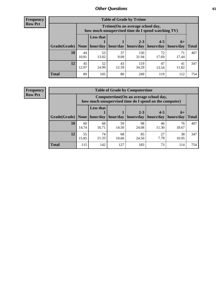**Frequency Row Pct**

| <b>Table of Grade by Tvtime</b> |             |                                                                                         |             |              |             |                     |              |  |  |  |
|---------------------------------|-------------|-----------------------------------------------------------------------------------------|-------------|--------------|-------------|---------------------|--------------|--|--|--|
|                                 |             | Tytime (On an average school day,<br>how much unsupervised time do I spend watching TV) |             |              |             |                     |              |  |  |  |
|                                 |             | <b>Less that</b>                                                                        |             | $2 - 3$      | $4 - 5$     |                     |              |  |  |  |
| Grade(Grade)                    | None        | hour/day                                                                                | hour/day    | hours/day    | hours/day   | $6+$<br>  hours/day | <b>Total</b> |  |  |  |
| 10                              | 44<br>10.81 | 53<br>13.02                                                                             | 37<br>9.09  | 130<br>31.94 | 72<br>17.69 | 71<br>17.44         | 407          |  |  |  |
| 12                              | 45<br>12.97 | 52<br>14.99                                                                             | 43<br>12.39 | 119<br>34.29 | 47<br>13.54 | 41<br>11.82         | 347          |  |  |  |
| <b>Total</b>                    | 89          | 105                                                                                     | 80          | 249          | 119         | 112                 | 754          |  |  |  |

**Frequency Row Pct**

| <b>Table of Grade by Computertime</b> |             |                                                                                                   |                     |             |             |             |              |  |  |
|---------------------------------------|-------------|---------------------------------------------------------------------------------------------------|---------------------|-------------|-------------|-------------|--------------|--|--|
|                                       |             | Computertime (On an average school day,<br>how much unsupervised time do I spend on the computer) |                     |             |             |             |              |  |  |
|                                       |             | <b>Less that</b>                                                                                  |                     | $2 - 3$     | $4 - 5$     | $6+$        |              |  |  |
| Grade(Grade)                          | None        |                                                                                                   | hour/day   hour/day | hours/day   | hours/day   | hours/day   | <b>Total</b> |  |  |
| 10                                    | 60<br>14.74 | 68<br>16.71                                                                                       | 59<br>14.50         | 98<br>24.08 | 46<br>11.30 | 76<br>18.67 | 407          |  |  |
| 12                                    | 55<br>15.85 | 74<br>21.33                                                                                       | 68<br>19.60         | 85<br>24.50 | 27<br>7.78  | 38<br>10.95 | 347          |  |  |
| <b>Total</b>                          | 115         | 142                                                                                               | 127                 | 183         | 73          | 114         | 754          |  |  |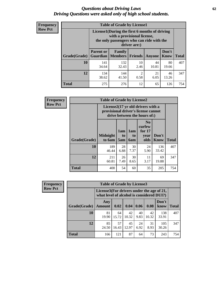#### *Questions about Driving Laws* **62** *Driving Questions were asked only of high school students.*

| <b>Frequency</b> |
|------------------|
| <b>Row Pct</b>   |

| <b>Table of Grade by License1</b> |                                     |                                                                                                                                           |                        |             |                      |              |  |  |
|-----------------------------------|-------------------------------------|-------------------------------------------------------------------------------------------------------------------------------------------|------------------------|-------------|----------------------|--------------|--|--|
|                                   |                                     | License1(During the first 6 months of driving<br>with a provisional license,<br>the only passengers who can ride with the<br>driver are:) |                        |             |                      |              |  |  |
| Grade(Grade)                      | <b>Parent or</b><br><b>Guardian</b> | Family<br><b>Members</b>                                                                                                                  | <b>Friends</b>         | Anyone      | Don't<br><b>Know</b> | <b>Total</b> |  |  |
| 10                                | 141<br>34.64                        | 132<br>32.43                                                                                                                              | 10<br>2.46             | 44<br>10.81 | 80<br>19.66          | 407          |  |  |
| 12                                | 134<br>38.62                        | 144<br>41.50                                                                                                                              | $\overline{c}$<br>0.58 | 21<br>6.05  | 46<br>13.26          | 347          |  |  |
| <b>Total</b>                      | 275                                 | 276                                                                                                                                       | 12                     | 65          | 126                  | 754          |  |  |

| <b>Frequency</b> | <b>Table of Grade by License2</b> |                                                                                                                      |                  |                              |                                                      |                      |              |  |  |
|------------------|-----------------------------------|----------------------------------------------------------------------------------------------------------------------|------------------|------------------------------|------------------------------------------------------|----------------------|--------------|--|--|
| <b>Row Pct</b>   |                                   | License $2(17 \text{ yr})$ old drivers with a<br>provisional driver's license cannot<br>drive between the hours of:) |                  |                              |                                                      |                      |              |  |  |
|                  | Grade(Grade)                      | <b>Midnight</b><br>to 6am                                                                                            | 1am<br>to<br>5am | 1am<br>t <sub>0</sub><br>6am | N <sub>0</sub><br>curfew<br>for $17$<br>year<br>olds | Don't<br><b>Know</b> | <b>Total</b> |  |  |
|                  | 10                                | 189<br>46.44                                                                                                         | 28<br>6.88       | 30<br>7.37                   | 24<br>5.90                                           | 136<br>33.42         | 407          |  |  |
|                  | 12                                | 211<br>60.81                                                                                                         | 26<br>7.49       | 30<br>8.65                   | 11<br>3.17                                           | 69<br>19.88          | 347          |  |  |
|                  | <b>Total</b>                      | 400                                                                                                                  | 54               | 60                           | 35                                                   | 205                  | 754          |  |  |

| Frequency      | <b>Table of Grade by License3</b> |                                                                                        |             |             |            |             |               |              |  |
|----------------|-----------------------------------|----------------------------------------------------------------------------------------|-------------|-------------|------------|-------------|---------------|--------------|--|
| <b>Row Pct</b> |                                   | License3(For drivers under the age of 21,<br>what level of alcohol is considered DUI?) |             |             |            |             |               |              |  |
|                | Grade(Grade)                      | Any<br><b>Amount</b>                                                                   | 0.02        | 0.04        | 0.06       | 0.08        | Don't<br>know | <b>Total</b> |  |
|                | 10                                | 81<br>19.90                                                                            | 64<br>15.72 | 42<br>10.32 | 40<br>9.83 | 42<br>10.32 | 138<br>33.91  | 407          |  |
|                | 12                                | 85<br>24.50                                                                            | 57<br>16.43 | 45<br>12.97 | 24<br>6.92 | 31<br>8.93  | 105<br>30.26  | 347          |  |
|                | <b>Total</b>                      | 166                                                                                    | 121         | 87          | 64         | 73          | 243           | 754          |  |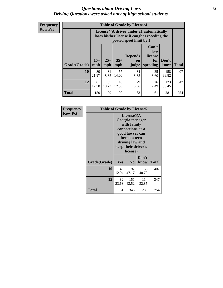#### *Questions about Driving Laws* **63** *Driving Questions were asked only of high school students.*

**Frequency Row Pct**

| <b>Table of Grade by License4</b> |              |                                                                                                                      |              |                                      |                                             |               |              |  |
|-----------------------------------|--------------|----------------------------------------------------------------------------------------------------------------------|--------------|--------------------------------------|---------------------------------------------|---------------|--------------|--|
|                                   |              | License4(A driver under 21 automatically<br>loses his/her license if caught exceeding the<br>posted speet limit by:) |              |                                      |                                             |               |              |  |
| Grade(Grade)                      | $15+$<br>mph | $25+$<br>mph                                                                                                         | $35+$<br>mph | <b>Depends</b><br><b>on</b><br>judge | Can't<br>lose<br>license<br>for<br>speeding | Don't<br>know | <b>Total</b> |  |
| 10                                | 89<br>21.87  | 34<br>8.35                                                                                                           | 57<br>14.00  | 34<br>8.35                           | 35<br>8.60                                  | 158<br>38.82  | 407          |  |
| 12                                | 61<br>17.58  | 65<br>18.73                                                                                                          | 43<br>12.39  | 29<br>8.36                           | 26<br>7.49                                  | 123<br>35.45  | 347          |  |
| <b>Total</b>                      | 150          | 99                                                                                                                   | 100          | 63                                   | 61                                          | 281           | 754          |  |

| Frequency      | <b>Table of Grade by License5</b> |                                                                                                                                                             |                |               |       |  |  |
|----------------|-----------------------------------|-------------------------------------------------------------------------------------------------------------------------------------------------------------|----------------|---------------|-------|--|--|
| <b>Row Pct</b> |                                   | License5(A)<br>Georgia teenager<br>with family<br>connections or a<br>good lawyer can<br>break a teen<br>driving law and<br>keep their driver's<br>license) |                |               |       |  |  |
|                | Grade(Grade)                      | <b>Yes</b>                                                                                                                                                  | N <sub>0</sub> | Don't<br>know | Total |  |  |
|                | 10                                | 49<br>12.04                                                                                                                                                 | 192<br>47.17   | 166<br>40.79  | 407   |  |  |
|                | 12                                | 82<br>23.63                                                                                                                                                 | 151<br>43.52   | 114<br>32.85  | 347   |  |  |
|                | Total                             | 131                                                                                                                                                         | 343            | 280           | 754   |  |  |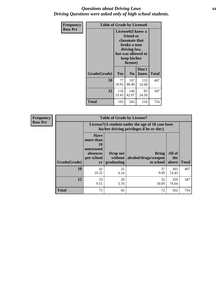#### *Questions about Driving Laws* **64** *Driving Questions were asked only of high school students.*

| <b>Frequency</b> | <b>Table of Grade by License6</b> |                                                                                                                                                 |                |               |              |  |  |
|------------------|-----------------------------------|-------------------------------------------------------------------------------------------------------------------------------------------------|----------------|---------------|--------------|--|--|
| <b>Row Pct</b>   |                                   | License <sub>6</sub> (I know a<br>friend or<br>classmate that<br>broke a teen<br>driving law,<br>but was allowed to<br>keep his/her<br>license) |                |               |              |  |  |
|                  | Grade(Grade)                      | <b>Yes</b>                                                                                                                                      | N <sub>0</sub> | Don't<br>know | <b>Total</b> |  |  |
|                  | 10                                | 77<br>18.92                                                                                                                                     | 197<br>48.40   | 133<br>32.68  | 407          |  |  |
|                  | 12                                | 116<br>33.43                                                                                                                                    | 146<br>42.07   | 85<br>24.50   | 347          |  |  |
|                  | <b>Total</b>                      | 193                                                                                                                                             | 343            | 218           | 754          |  |  |

| <b>Frequency</b> | <b>Table of Grade by License7</b> |                                                                             |                                                                                               |                                                   |                        |              |  |
|------------------|-----------------------------------|-----------------------------------------------------------------------------|-----------------------------------------------------------------------------------------------|---------------------------------------------------|------------------------|--------------|--|
| <b>Row Pct</b>   |                                   |                                                                             | License7(A student under the age of 18 cam loser<br>his/her driving privileges if he or she:) |                                                   |                        |              |  |
|                  | Grade(Grade)                      | <b>Have</b><br>more than<br>10<br>unexcused<br>absences<br>per school<br>yr | Drop out<br>without  <br>graduating                                                           | <b>Bring</b><br>alcohol/drugs/weapon<br>to school | All of<br>the<br>above | <b>Total</b> |  |
|                  | 10                                | 42<br>10.32                                                                 | 25<br>6.14                                                                                    | 37<br>9.09                                        | 303<br>74.45           | 407          |  |
|                  | 12                                | 33<br>9.51                                                                  | 20<br>5.76                                                                                    | 35<br>10.09                                       | 259<br>74.64           | 347          |  |
|                  | <b>Total</b>                      | 75                                                                          | 45                                                                                            | 72                                                | 562                    | 754          |  |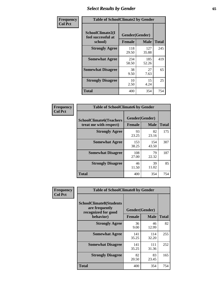# *Select Results by Gender* **65**

| Frequency      | <b>Table of SchoolClimate2 by Gender</b> |                               |                             |                     |
|----------------|------------------------------------------|-------------------------------|-----------------------------|---------------------|
| <b>Col Pct</b> | SchoolClimate2(I<br>feel successful at   | Gender(Gender)                |                             |                     |
|                | school)<br><b>Strongly Agree</b>         | <b>Female</b><br>118<br>29.50 | <b>Male</b><br>127<br>35.88 | <b>Total</b><br>245 |
|                | <b>Somewhat Agree</b>                    | 234<br>58.50                  | 185<br>52.26                | 419                 |
|                | <b>Somewhat Disagree</b>                 | 38<br>9.50                    | 27<br>7.63                  | 65                  |
|                | <b>Strongly Disagree</b>                 | 10<br>2.50                    | 15<br>4.24                  | 25                  |
|                | <b>Total</b>                             | 400                           | 354                         | 754                 |

| Frequency      | <b>Table of SchoolClimate6 by Gender</b>                 |              |                               |              |  |
|----------------|----------------------------------------------------------|--------------|-------------------------------|--------------|--|
| <b>Col Pct</b> | <b>SchoolClimate6(Teachers</b><br>treat me with respect) | Female       | Gender(Gender)<br><b>Male</b> | <b>Total</b> |  |
|                | <b>Strongly Agree</b>                                    | 93<br>23.25  | 82<br>23.16                   | 175          |  |
|                | <b>Somewhat Agree</b>                                    | 153<br>38.25 | 154<br>43.50                  | 307          |  |
|                | <b>Somewhat Disagree</b>                                 | 108<br>27.00 | 79<br>22.32                   | 187          |  |
|                | <b>Strongly Disagree</b>                                 | 46<br>11.50  | 39<br>11.02                   | 85           |  |
|                | <b>Total</b>                                             | 400          | 354                           | 754          |  |

| Frequency      | <b>Table of SchoolClimate8 by Gender</b>                                             |                                 |              |              |
|----------------|--------------------------------------------------------------------------------------|---------------------------------|--------------|--------------|
| <b>Col Pct</b> | <b>SchoolClimate8(Students</b><br>are frequently<br>recognized for good<br>behavior) | Gender(Gender)<br><b>Female</b> | <b>Male</b>  | <b>Total</b> |
|                |                                                                                      |                                 |              |              |
|                | <b>Strongly Agree</b>                                                                | 36<br>9.00                      | 46<br>12.99  | 82           |
|                | <b>Somewhat Agree</b>                                                                | 141<br>35.25                    | 114<br>32.20 | 255          |
|                | <b>Somewhat Disagree</b>                                                             | 141<br>35.25                    | 111<br>31.36 | 252          |
|                | <b>Strongly Disagree</b>                                                             | 82<br>20.50                     | 83<br>23.45  | 165          |
|                | Total                                                                                | 400                             | 354          | 754          |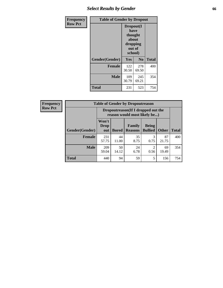# *Select Results by Gender* **66**

| <b>Frequency</b> | <b>Table of Gender by Dropout</b> |                                                                        |              |              |
|------------------|-----------------------------------|------------------------------------------------------------------------|--------------|--------------|
| <b>Row Pct</b>   |                                   | Dropout(I<br>have<br>thought<br>about<br>dropping<br>out of<br>school) |              |              |
|                  | Gender(Gender)                    | <b>Yes</b>                                                             | No           | <b>Total</b> |
|                  | <b>Female</b>                     | 122<br>30.50                                                           | 278<br>69.50 | 400          |
|                  | <b>Male</b>                       | 109<br>30.79                                                           | 245<br>69.21 | 354          |
|                  | <b>Total</b>                      | 231                                                                    | 523          | 754          |

| <b>Frequency</b> |  |
|------------------|--|
| <b>Row Pct</b>   |  |

| <b>Table of Gender by Dropoutreason</b> |                      |                                                                    |                                 |                                                                                                                                                                         |              |              |  |
|-----------------------------------------|----------------------|--------------------------------------------------------------------|---------------------------------|-------------------------------------------------------------------------------------------------------------------------------------------------------------------------|--------------|--------------|--|
|                                         |                      | Dropoutreason(If I dropped out the<br>reason would most likely be) |                                 |                                                                                                                                                                         |              |              |  |
| Gender(Gender)                          | Won't<br>Drop<br>out | <b>Bored</b>                                                       | <b>Family</b><br><b>Reasons</b> | <b>Being</b><br><b>Bullied</b>                                                                                                                                          | <b>Other</b> | <b>Total</b> |  |
| <b>Female</b>                           | 231<br>57.75         | 44<br>11.00                                                        | 35<br>8.75                      | 3<br>0.75                                                                                                                                                               | 87<br>21.75  | 400          |  |
| <b>Male</b>                             | 209<br>59.04         | 50<br>14.12                                                        | 24<br>6.78                      | $\mathcal{D}_{\mathcal{A}}^{\mathcal{A}}(\mathcal{A})=\mathcal{D}_{\mathcal{A}}^{\mathcal{A}}(\mathcal{A})\mathcal{D}_{\mathcal{A}}^{\mathcal{A}}(\mathcal{A})$<br>0.56 | 69<br>19.49  | 354          |  |
| <b>Total</b>                            | 440                  | 94                                                                 | 59                              | 5                                                                                                                                                                       | 156          | 754          |  |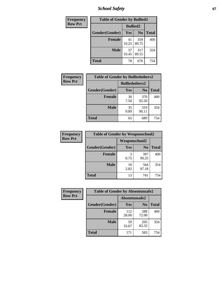*School Safety* **67**

| Frequency      | <b>Table of Gender by Bullied2</b> |                 |                |              |  |
|----------------|------------------------------------|-----------------|----------------|--------------|--|
| <b>Row Pct</b> |                                    | <b>Bullied2</b> |                |              |  |
|                | Gender(Gender)                     | <b>Yes</b>      | N <sub>0</sub> | <b>Total</b> |  |
|                | <b>Female</b>                      | 41<br>10.25     | 359<br>89.75   | 400          |  |
|                | <b>Male</b>                        | 37<br>10.45     | 317<br>89.55   | 354          |  |
|                | <b>Total</b>                       | 78              | 676            | 754          |  |

| Frequency      | <b>Table of Gender by Bulliedothers2</b> |                       |                |              |  |
|----------------|------------------------------------------|-----------------------|----------------|--------------|--|
| <b>Row Pct</b> |                                          | <b>Bulliedothers2</b> |                |              |  |
|                | Gender(Gender)                           | <b>Yes</b>            | N <sub>0</sub> | <b>Total</b> |  |
|                | <b>Female</b>                            | 30<br>7.50            | 370<br>92.50   | 400          |  |
|                | <b>Male</b>                              | 35<br>9.89            | 319<br>90.11   | 354          |  |
|                | <b>Total</b>                             | 65                    | 689            | 754          |  |

| Frequency      | <b>Table of Gender by Weaponschool2</b> |                      |                |              |
|----------------|-----------------------------------------|----------------------|----------------|--------------|
| <b>Row Pct</b> |                                         | <b>Weaponschool2</b> |                |              |
|                | Gender(Gender)                          | Yes                  | N <sub>0</sub> | <b>Total</b> |
|                | <b>Female</b>                           | 3<br>0.75            | 397<br>99.25   | 400          |
|                | <b>Male</b>                             | 10<br>2.82           | 344<br>97.18   | 354          |
|                | <b>Total</b>                            | 13                   | 741            | 754          |

| Frequency      |                | <b>Table of Gender by Absentunsafe2</b> |                |              |  |
|----------------|----------------|-----------------------------------------|----------------|--------------|--|
| <b>Row Pct</b> |                | Absentunsafe2                           |                |              |  |
|                | Gender(Gender) | Yes                                     | N <sub>0</sub> | <b>Total</b> |  |
|                | <b>Female</b>  | 112<br>28.00                            | 288<br>72.00   | 400          |  |
|                | <b>Male</b>    | 59<br>16.67                             | 295<br>83.33   | 354          |  |
|                | <b>Total</b>   | 171                                     | 583            | 754          |  |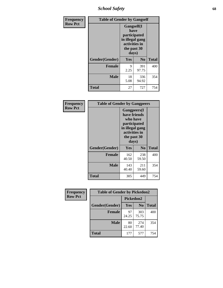*School Safety* **68**

| Frequency      | <b>Table of Gender by Gangself</b> |                                                                                                |                |              |
|----------------|------------------------------------|------------------------------------------------------------------------------------------------|----------------|--------------|
| <b>Row Pct</b> |                                    | Gangself(I<br>have<br>participated<br>in illegal gang<br>activities in<br>the past 30<br>days) |                |              |
|                | Gender(Gender)                     | Yes                                                                                            | N <sub>0</sub> | <b>Total</b> |
|                | <b>Female</b>                      | 9<br>2.25                                                                                      | 391<br>97.75   | 400          |
|                | <b>Male</b>                        | 18<br>5.08                                                                                     | 336<br>94.92   | 354          |
|                | <b>Total</b>                       | 27                                                                                             | 727            | 754          |

| Frequency      | <b>Table of Gender by Gangpeers</b> |                                                                                                                             |                |              |
|----------------|-------------------------------------|-----------------------------------------------------------------------------------------------------------------------------|----------------|--------------|
| <b>Row Pct</b> |                                     | <b>Gangpeers</b> (I<br>have friends<br>who have<br>participated<br>in illegal gang<br>activities in<br>the past 30<br>days) |                |              |
|                | Gender(Gender)                      | Yes                                                                                                                         | N <sub>0</sub> | <b>Total</b> |
|                | <b>Female</b>                       | 162<br>40.50                                                                                                                | 238<br>59.50   | 400          |
|                | <b>Male</b>                         | 143<br>40.40                                                                                                                | 211<br>59.60   | 354          |
|                | Total                               | 305                                                                                                                         | 449            | 754          |

| Frequency      | <b>Table of Gender by Pickedon2</b> |             |                |              |
|----------------|-------------------------------------|-------------|----------------|--------------|
| <b>Row Pct</b> |                                     | Pickedon2   |                |              |
|                | Gender(Gender)                      | Yes         | N <sub>0</sub> | <b>Total</b> |
|                | <b>Female</b>                       | 97<br>24.25 | 303<br>75.75   | 400          |
|                | <b>Male</b>                         | 80<br>22.60 | 274<br>77.40   | 354          |
|                | <b>Total</b>                        | 177         | 577            | 754          |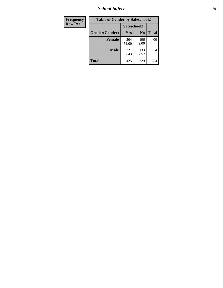*School Safety* **69**

| Frequency      | <b>Table of Gender by Safeschool2</b> |              |                |              |
|----------------|---------------------------------------|--------------|----------------|--------------|
| <b>Row Pct</b> |                                       | Safeschool2  |                |              |
|                | Gender(Gender)                        | <b>Yes</b>   | N <sub>0</sub> | <b>Total</b> |
|                | <b>Female</b>                         | 204<br>51.00 | 196<br>49.00   | 400          |
|                | Male                                  | 221<br>62.43 | 133<br>37.57   | 354          |
|                | <b>Total</b>                          | 425          | 329            | 754          |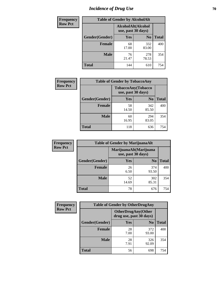# *Incidence of Drug Use* **70**

| <b>Frequency</b> |                | <b>Table of Gender by AlcoholAlt</b>     |                |              |
|------------------|----------------|------------------------------------------|----------------|--------------|
| <b>Row Pct</b>   |                | AlcoholAlt(Alcohol<br>use, past 30 days) |                |              |
|                  | Gender(Gender) | Yes                                      | N <sub>0</sub> | <b>Total</b> |
|                  | <b>Female</b>  | 68<br>17.00                              | 332<br>83.00   | 400          |
|                  | <b>Male</b>    | 76<br>21.47                              | 278<br>78.53   | 354          |
|                  | <b>Total</b>   | 144                                      | 610            | 754          |

| <b>Frequency</b> | <b>Table of Gender by TobaccoAny</b> |                                          |                |              |
|------------------|--------------------------------------|------------------------------------------|----------------|--------------|
| <b>Row Pct</b>   |                                      | TobaccoAny(Tobacco<br>use, past 30 days) |                |              |
|                  | Gender(Gender)                       | Yes                                      | N <sub>0</sub> | <b>Total</b> |
|                  | <b>Female</b>                        | 58<br>14.50                              | 342<br>85.50   | 400          |
|                  | <b>Male</b>                          | 60<br>16.95                              | 294<br>83.05   | 354          |
|                  | <b>Total</b>                         | 118                                      | 636            | 754          |

| <b>Frequency</b> | <b>Table of Gender by MarijuanaAlt</b> |                    |                        |              |
|------------------|----------------------------------------|--------------------|------------------------|--------------|
| <b>Row Pct</b>   |                                        | use, past 30 days) | MarijuanaAlt(Marijuana |              |
|                  | Gender(Gender)                         | <b>Yes</b>         | N <sub>0</sub>         | <b>Total</b> |
|                  | Female                                 | 26<br>6.50         | 374<br>93.50           | 400          |
|                  | <b>Male</b>                            | 52<br>14.69        | 302<br>85.31           | 354          |
|                  | <b>Total</b>                           | 78                 | 676                    | 754          |

| <b>Frequency</b> | <b>Table of Gender by OtherDrugAny</b> |                                                      |                |              |
|------------------|----------------------------------------|------------------------------------------------------|----------------|--------------|
| <b>Row Pct</b>   |                                        | <b>OtherDrugAny(Other</b><br>drug use, past 30 days) |                |              |
|                  | Gender(Gender)                         | <b>Yes</b>                                           | N <sub>0</sub> | <b>Total</b> |
|                  | <b>Female</b>                          | 28<br>7.00                                           | 372<br>93.00   | 400          |
|                  | <b>Male</b>                            | 28<br>7.91                                           | 326<br>92.09   | 354          |
|                  | <b>Total</b>                           | 56                                                   | 698            | 754          |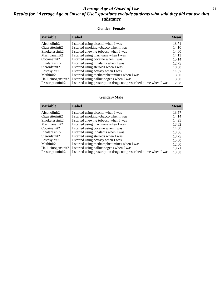#### *Average Age at Onset of Use* **71** *Results for "Average Age at Onset of Use" questions exclude students who said they did not use that substance*

#### **Gender=Female**

| <b>Variable</b>                 | Label                                                              | <b>Mean</b> |
|---------------------------------|--------------------------------------------------------------------|-------------|
| Alcoholinit2                    | I started using alcohol when I was                                 | 13.71       |
| Cigarettesinit2                 | I started smoking tobacco when I was                               | 14.10       |
| Smokelessinit2                  | I started chewing tobacco when I was                               | 14.00       |
| Marijuanainit2                  | I started using marijuana when I was                               | 14.13       |
| Cocaineinit2                    | I started using cocaine when I was                                 | 15.14       |
| Inhalantsinit2                  | I started using inhalants when I was                               | 12.75       |
| Steroidsinit2                   | I started using steroids when I was                                | 18.00       |
| Ecstasyinit2                    | I started using ecstasy when I was                                 | 14.87       |
| Methinit2                       | I started using methamphetamines when I was                        | 13.00       |
| Hallucinogensinit2              | I started using hallucinogens when I was                           | 13.00       |
| Prescription in it <sub>2</sub> | I started using prescription drugs not prescribed to me when I was | 12.98       |

#### **Gender=Male**

| <b>Variable</b>    | Label                                                              | <b>Mean</b> |
|--------------------|--------------------------------------------------------------------|-------------|
| Alcoholinit2       | I started using alcohol when I was                                 | 13.57       |
| Cigarettesinit2    | I started smoking tobacco when I was                               | 14.14       |
| Smokelessinit2     | I started chewing tobacco when I was                               | 14.25       |
| Marijuanainit2     | I started using marijuana when I was                               | 13.82       |
| Cocaineinit2       | I started using cocaine when I was                                 | 14.50       |
| Inhalantsinit2     | I started using inhalants when I was                               | 13.06       |
| Steroidsinit2      | I started using steroids when I was                                | 13.75       |
| Ecstasyinit2       | I started using ecstasy when I was                                 | 15.00       |
| Methinit2          | I started using methamphetamines when I was                        | 12.00       |
| Hallucinogensinit2 | I started using hallucinogens when I was                           | 13.71       |
| Prescriptioninit2  | I started using prescription drugs not prescribed to me when I was | 13.68       |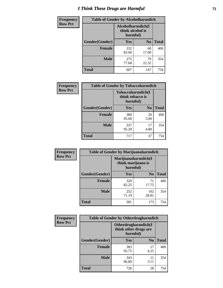# *I Think These Drugs are Harmful* **72**

| <b>Frequency</b> | <b>Table of Gender by Alcoholharmdich</b> |                                                   |                |              |
|------------------|-------------------------------------------|---------------------------------------------------|----------------|--------------|
| <b>Row Pct</b>   |                                           | Alcoholharmdich(I<br>think alcohol is<br>harmful) |                |              |
|                  | Gender(Gender)                            | Yes                                               | N <sub>0</sub> | <b>Total</b> |
|                  | <b>Female</b>                             | 332<br>83.00                                      | 68<br>17.00    | 400          |
|                  | <b>Male</b>                               | 275<br>77.68                                      | 79<br>22.32    | 354          |
|                  | Total                                     | 607                                               | 147            | 754          |

| Frequency      | <b>Table of Gender by Tobaccoharmdich</b> |                  |                               |              |  |
|----------------|-------------------------------------------|------------------|-------------------------------|--------------|--|
| <b>Row Pct</b> |                                           | think tobacco is | Tobaccoharmdich(I<br>harmful) |              |  |
|                | Gender(Gender)                            | <b>Yes</b>       | N <sub>0</sub>                | <b>Total</b> |  |
|                | <b>Female</b>                             | 380<br>95.00     | 20<br>5.00                    | 400          |  |
|                | <b>Male</b>                               | 337<br>95.20     | 17<br>4.80                    | 354          |  |
|                | <b>Total</b>                              | 717              | 37                            | 754          |  |

| Frequency      | <b>Table of Gender by Marijuanaharmdich</b> |                                                       |                |              |  |
|----------------|---------------------------------------------|-------------------------------------------------------|----------------|--------------|--|
| <b>Row Pct</b> |                                             | Marijuanaharmdich(I<br>think marijuana is<br>harmful) |                |              |  |
|                | Gender(Gender)                              | <b>Yes</b>                                            | N <sub>0</sub> | <b>Total</b> |  |
|                | <b>Female</b>                               | 329<br>82.25                                          | 71<br>17.75    | 400          |  |
|                | <b>Male</b>                                 | 252<br>71.19                                          | 102<br>28.81   | 354          |  |
|                | <b>Total</b>                                | 581                                                   | 173            | 754          |  |

| Frequency      | <b>Table of Gender by Otherdrugharmdich</b> |                                                          |                |              |
|----------------|---------------------------------------------|----------------------------------------------------------|----------------|--------------|
| <b>Row Pct</b> |                                             | Otherdrugharmdich(I<br>think other drugs are<br>harmful) |                |              |
|                | Gender(Gender)                              | <b>Yes</b>                                               | N <sub>0</sub> | <b>Total</b> |
|                | <b>Female</b>                               | 383<br>95.75                                             | 17<br>4.25     | 400          |
|                | <b>Male</b>                                 | 343<br>96.89                                             | 11<br>3.11     | 354          |
|                | <b>Total</b>                                | 726                                                      | 28             | 754          |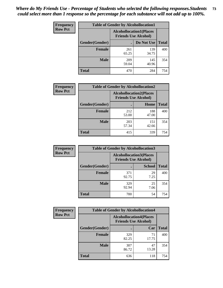| <b>Frequency</b> | <b>Table of Gender by Alcohollocation1</b> |                                                               |              |              |
|------------------|--------------------------------------------|---------------------------------------------------------------|--------------|--------------|
| <b>Row Pct</b>   |                                            | <b>Alcohollocation1(Places</b><br><b>Friends Use Alcohol)</b> |              |              |
|                  | Gender(Gender)                             |                                                               | Do Not Use   | <b>Total</b> |
|                  | <b>Female</b>                              | 261<br>65.25                                                  | 139<br>34.75 | 400          |
|                  | <b>Male</b>                                | 209<br>59.04                                                  | 145<br>40.96 | 354          |
|                  | <b>Total</b>                               | 470                                                           | 284          | 754          |

| <b>Frequency</b> | <b>Table of Gender by Alcohollocation2</b> |                                |                             |              |
|------------------|--------------------------------------------|--------------------------------|-----------------------------|--------------|
| <b>Row Pct</b>   |                                            | <b>Alcohollocation2(Places</b> | <b>Friends Use Alcohol)</b> |              |
|                  | Gender(Gender)                             |                                | Home                        | <b>Total</b> |
|                  | <b>Female</b>                              | 212<br>53.00                   | 188<br>47.00                | 400          |
|                  | <b>Male</b>                                | 203<br>57.34                   | 151<br>42.66                | 354          |
|                  | <b>Total</b>                               | 415                            | 339                         | 754          |

| Frequency      | <b>Table of Gender by Alcohollocation3</b> |              |                                                               |              |
|----------------|--------------------------------------------|--------------|---------------------------------------------------------------|--------------|
| <b>Row Pct</b> |                                            |              | <b>Alcohollocation3(Places</b><br><b>Friends Use Alcohol)</b> |              |
|                | Gender(Gender)                             |              | <b>School</b>                                                 | <b>Total</b> |
|                | <b>Female</b>                              | 371<br>92.75 | 29<br>7.25                                                    | 400          |
|                | <b>Male</b>                                | 329<br>92.94 | 25<br>7.06                                                    | 354          |
|                | <b>Total</b>                               | 700          | 54                                                            | 754          |

| Frequency      | <b>Table of Gender by Alcohollocation4</b> |                                                               |             |              |
|----------------|--------------------------------------------|---------------------------------------------------------------|-------------|--------------|
| <b>Row Pct</b> |                                            | <b>Alcohollocation4(Places</b><br><b>Friends Use Alcohol)</b> |             |              |
|                | Gender(Gender)                             |                                                               | Car         | <b>Total</b> |
|                | <b>Female</b>                              | 329<br>82.25                                                  | 71<br>17.75 | 400          |
|                | <b>Male</b>                                | 307<br>86.72                                                  | 47<br>13.28 | 354          |
|                | <b>Total</b>                               | 636                                                           | 118         | 754          |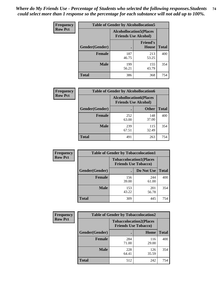| <b>Frequency</b> | <b>Table of Gender by Alcohollocation5</b> |                                                                |                          |              |
|------------------|--------------------------------------------|----------------------------------------------------------------|--------------------------|--------------|
| <b>Row Pct</b>   |                                            | <b>Alcohollocation5</b> (Places<br><b>Friends Use Alcohol)</b> |                          |              |
|                  | Gender(Gender)                             |                                                                | <b>Friend's</b><br>House | <b>Total</b> |
|                  | <b>Female</b>                              | 187<br>46.75                                                   | 213<br>53.25             | 400          |
|                  | <b>Male</b>                                | 199<br>56.21                                                   | 155<br>43.79             | 354          |
|                  | <b>Total</b>                               | 386                                                            | 368                      | 754          |

| <b>Frequency</b> | <b>Table of Gender by Alcohollocation6</b> |                                                               |              |              |
|------------------|--------------------------------------------|---------------------------------------------------------------|--------------|--------------|
| <b>Row Pct</b>   |                                            | <b>Alcohollocation6(Places</b><br><b>Friends Use Alcohol)</b> |              |              |
|                  | Gender(Gender)                             |                                                               | <b>Other</b> | <b>Total</b> |
|                  | <b>Female</b>                              | 252<br>63.00                                                  | 148<br>37.00 | 400          |
|                  | <b>Male</b>                                | 239<br>67.51                                                  | 115<br>32.49 | 354          |
|                  | <b>Total</b>                               | 491                                                           | 263          | 754          |

| Frequency      | <b>Table of Gender by Tobaccolocation1</b> |                                                               |              |              |  |
|----------------|--------------------------------------------|---------------------------------------------------------------|--------------|--------------|--|
| <b>Row Pct</b> |                                            | <b>Tobaccolocation1(Places</b><br><b>Friends Use Tobacco)</b> |              |              |  |
|                | Gender(Gender)                             |                                                               | Do Not Use   | <b>Total</b> |  |
|                | <b>Female</b>                              | 156<br>39.00                                                  | 244<br>61.00 | 400          |  |
|                | <b>Male</b>                                | 153<br>43.22                                                  | 201<br>56.78 | 354          |  |
|                | <b>Total</b>                               | 309                                                           | 445          | 754          |  |

| <b>Frequency</b> | <b>Table of Gender by Tobaccolocation2</b> |                                                               |              |              |  |
|------------------|--------------------------------------------|---------------------------------------------------------------|--------------|--------------|--|
| <b>Row Pct</b>   |                                            | <b>Tobaccolocation2(Places</b><br><b>Friends Use Tobacco)</b> |              |              |  |
|                  | Gender(Gender)                             |                                                               | Home         | <b>Total</b> |  |
|                  | Female                                     | 284<br>71.00                                                  | 116<br>29.00 | 400          |  |
|                  | <b>Male</b>                                | 228<br>64.41                                                  | 126<br>35.59 | 354          |  |
|                  | <b>Total</b>                               | 512                                                           | 242          | 754          |  |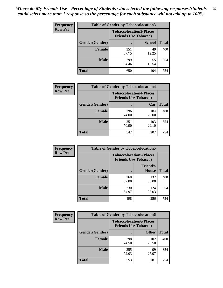| <b>Frequency</b> | <b>Table of Gender by Tobaccolocation3</b> |                                                               |               |              |
|------------------|--------------------------------------------|---------------------------------------------------------------|---------------|--------------|
| <b>Row Pct</b>   |                                            | <b>Tobaccolocation3(Places</b><br><b>Friends Use Tobacco)</b> |               |              |
|                  | Gender(Gender)                             |                                                               | <b>School</b> | <b>Total</b> |
|                  | <b>Female</b>                              | 351<br>87.75                                                  | 49<br>12.25   | 400          |
|                  | <b>Male</b>                                | 299<br>84.46                                                  | 55<br>15.54   | 354          |
|                  | <b>Total</b>                               | 650                                                           | 104           | 754          |

| <b>Frequency</b> | <b>Table of Gender by Tobaccolocation4</b> |              |                                                               |              |
|------------------|--------------------------------------------|--------------|---------------------------------------------------------------|--------------|
| <b>Row Pct</b>   |                                            |              | <b>Tobaccolocation4(Places</b><br><b>Friends Use Tobacco)</b> |              |
|                  | Gender(Gender)                             |              | Car                                                           | <b>Total</b> |
|                  | <b>Female</b>                              | 296<br>74.00 | 104<br>26.00                                                  | 400          |
|                  | <b>Male</b>                                | 251<br>70.90 | 103<br>29.10                                                  | 354          |
|                  | <b>Total</b>                               | 547          | 207                                                           | 754          |

| <b>Frequency</b> | <b>Table of Gender by Tobaccolocation5</b> |                                                               |                          |              |
|------------------|--------------------------------------------|---------------------------------------------------------------|--------------------------|--------------|
| <b>Row Pct</b>   |                                            | <b>Tobaccolocation5(Places</b><br><b>Friends Use Tobacco)</b> |                          |              |
|                  | Gender(Gender)                             |                                                               | <b>Friend's</b><br>House | <b>Total</b> |
|                  | <b>Female</b>                              | 268<br>67.00                                                  | 132<br>33.00             | 400          |
|                  | <b>Male</b>                                | 230<br>64.97                                                  | 124<br>35.03             | 354          |
|                  | <b>Total</b>                               | 498                                                           | 256                      | 754          |

| <b>Frequency</b> | <b>Table of Gender by Tobaccolocation6</b> |                                                               |              |              |
|------------------|--------------------------------------------|---------------------------------------------------------------|--------------|--------------|
| <b>Row Pct</b>   |                                            | <b>Tobaccolocation6(Places</b><br><b>Friends Use Tobacco)</b> |              |              |
|                  | Gender(Gender)                             |                                                               | <b>Other</b> | <b>Total</b> |
|                  | Female                                     | 298<br>74.50                                                  | 102<br>25.50 | 400          |
|                  | <b>Male</b>                                | 255<br>72.03                                                  | 99<br>27.97  | 354          |
|                  | <b>Total</b>                               | 553                                                           | 201          | 754          |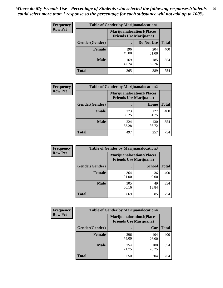| <b>Frequency</b> | <b>Table of Gender by Marijuanalocation1</b> |                                                                    |              |              |
|------------------|----------------------------------------------|--------------------------------------------------------------------|--------------|--------------|
| <b>Row Pct</b>   |                                              | <b>Marijuanalocation1(Places</b><br><b>Friends Use Marijuana</b> ) |              |              |
|                  | Gender(Gender)                               |                                                                    | Do Not Use   | <b>Total</b> |
|                  | <b>Female</b>                                | 196<br>49.00                                                       | 204<br>51.00 | 400          |
|                  | <b>Male</b>                                  | 169<br>47.74                                                       | 185<br>52.26 | 354          |
|                  | <b>Total</b>                                 | 365                                                                | 389          | 754          |

| <b>Frequency</b> | <b>Table of Gender by Marijuanalocation2</b> |                                                                    |              |              |
|------------------|----------------------------------------------|--------------------------------------------------------------------|--------------|--------------|
| <b>Row Pct</b>   |                                              | <b>Marijuanalocation2(Places</b><br><b>Friends Use Marijuana</b> ) |              |              |
|                  | Gender(Gender)                               |                                                                    | Home         | <b>Total</b> |
|                  | Female                                       | 273<br>68.25                                                       | 127<br>31.75 | 400          |
|                  | <b>Male</b>                                  | 224<br>63.28                                                       | 130<br>36.72 | 354          |
|                  | <b>Total</b>                                 | 497                                                                | 257          | 754          |

| Frequency      |                | <b>Table of Gender by Marijuanalocation3</b> |                                  |              |
|----------------|----------------|----------------------------------------------|----------------------------------|--------------|
| <b>Row Pct</b> |                | <b>Friends Use Marijuana</b> )               | <b>Marijuanalocation3(Places</b> |              |
|                | Gender(Gender) |                                              | <b>School</b>                    | <b>Total</b> |
|                | Female         | 364<br>91.00                                 | 36<br>9.00                       | 400          |
|                | <b>Male</b>    | 305<br>86.16                                 | 49<br>13.84                      | 354          |
|                | <b>Total</b>   | 669                                          | 85                               | 754          |

| Frequency      | <b>Table of Gender by Marijuanalocation4</b> |                                                                    |              |              |
|----------------|----------------------------------------------|--------------------------------------------------------------------|--------------|--------------|
| <b>Row Pct</b> |                                              | <b>Marijuanalocation4(Places</b><br><b>Friends Use Marijuana</b> ) |              |              |
|                | <b>Gender</b> (Gender)                       |                                                                    | Car          | <b>Total</b> |
|                | <b>Female</b>                                | 296<br>74.00                                                       | 104<br>26.00 | 400          |
|                | <b>Male</b>                                  | 254<br>71.75                                                       | 100<br>28.25 | 354          |
|                | <b>Total</b>                                 | 550                                                                | 204          | 754          |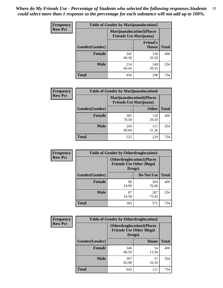| <b>Frequency</b> | <b>Table of Gender by Marijuanalocation5</b> |                                                                    |                          |              |
|------------------|----------------------------------------------|--------------------------------------------------------------------|--------------------------|--------------|
| <b>Row Pct</b>   |                                              | <b>Marijuanalocation5(Places</b><br><b>Friends Use Marijuana</b> ) |                          |              |
|                  | Gender(Gender)                               |                                                                    | <b>Friend's</b><br>House | <b>Total</b> |
|                  | <b>Female</b>                                | 242<br>60.50                                                       | 158<br>39.50             | 400          |
|                  | <b>Male</b>                                  | 214<br>60.45                                                       | 140<br>39.55             | 354          |
|                  | <b>Total</b>                                 | 456                                                                | 298                      | 754          |

| <b>Frequency</b> | <b>Table of Gender by Marijuanalocation6</b> |                                |                                  |              |
|------------------|----------------------------------------------|--------------------------------|----------------------------------|--------------|
| <b>Row Pct</b>   |                                              | <b>Friends Use Marijuana</b> ) | <b>Marijuanalocation6(Places</b> |              |
|                  | Gender(Gender)                               |                                | <b>Other</b>                     | <b>Total</b> |
|                  | <b>Female</b>                                | 282<br>70.50                   | 118<br>29.50                     | 400          |
|                  | <b>Male</b>                                  | 243<br>68.64                   | 111<br>31.36                     | 354          |
|                  | <b>Total</b>                                 | 525                            | 229                              | 754          |

| <b>Frequency</b> | <b>Table of Gender by Otherdruglocation1</b> |                                                                                |              |              |
|------------------|----------------------------------------------|--------------------------------------------------------------------------------|--------------|--------------|
| <b>Row Pct</b>   |                                              | <b>Otherdruglocation1(Places</b><br><b>Friends Use Other Illegal</b><br>Drugs) |              |              |
|                  | Gender(Gender)                               |                                                                                | Do Not Use   | <b>Total</b> |
|                  | <b>Female</b>                                | 96<br>24.00                                                                    | 304<br>76.00 | 400          |
|                  | <b>Male</b>                                  | 87<br>24.58                                                                    | 267<br>75.42 | 354          |
|                  | <b>Total</b>                                 | 183                                                                            | 571          | 754          |

| <b>Frequency</b> | <b>Table of Gender by Otherdruglocation2</b> |                                            |                                  |              |
|------------------|----------------------------------------------|--------------------------------------------|----------------------------------|--------------|
| <b>Row Pct</b>   |                                              | <b>Friends Use Other Illegal</b><br>Drugs) | <b>Otherdruglocation2(Places</b> |              |
|                  | Gender(Gender)                               |                                            | Home                             | <b>Total</b> |
|                  | Female                                       | 346<br>86.50                               | 54<br>13.50                      | 400          |
|                  | <b>Male</b>                                  | 297<br>83.90                               | 57<br>16.10                      | 354          |
|                  | <b>Total</b>                                 | 643                                        | 111                              | 754          |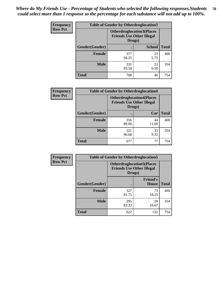| Frequency      | <b>Table of Gender by Otherdruglocation3</b> |                                                                                |               |              |
|----------------|----------------------------------------------|--------------------------------------------------------------------------------|---------------|--------------|
| <b>Row Pct</b> |                                              | <b>Otherdruglocation3(Places</b><br><b>Friends Use Other Illegal</b><br>Drugs) |               |              |
|                | Gender(Gender)                               |                                                                                | <b>School</b> | <b>Total</b> |
|                | Female                                       | 377<br>94.25                                                                   | 23<br>5.75    | 400          |
|                | <b>Male</b>                                  | 331<br>93.50                                                                   | 23<br>6.50    | 354          |
|                | <b>Total</b>                                 | 708                                                                            | 46            | 754          |

| Frequency      | <b>Table of Gender by Otherdruglocation4</b> |                                                                                |             |              |
|----------------|----------------------------------------------|--------------------------------------------------------------------------------|-------------|--------------|
| <b>Row Pct</b> |                                              | <b>Otherdruglocation4(Places</b><br><b>Friends Use Other Illegal</b><br>Drugs) |             |              |
|                | Gender(Gender)                               |                                                                                | Car         | <b>Total</b> |
|                | <b>Female</b>                                | 356<br>89.00                                                                   | 44<br>11.00 | 400          |
|                | <b>Male</b>                                  | 321<br>90.68                                                                   | 33<br>9.32  | 354          |
|                | <b>Total</b>                                 | 677                                                                            | 77          | 754          |

| <b>Frequency</b> | <b>Table of Gender by Otherdruglocation5</b>                                   |              |                                 |              |
|------------------|--------------------------------------------------------------------------------|--------------|---------------------------------|--------------|
| <b>Row Pct</b>   | <b>Otherdruglocation5(Places</b><br><b>Friends Use Other Illegal</b><br>Drugs) |              |                                 |              |
|                  | Gender(Gender)                                                                 |              | <b>Friend's</b><br><b>House</b> | <b>Total</b> |
|                  | <b>Female</b>                                                                  | 327<br>81.75 | 73<br>18.25                     | 400          |
|                  | <b>Male</b>                                                                    | 295<br>83.33 | 59<br>16.67                     | 354          |
|                  | <b>Total</b>                                                                   | 622          | 132                             | 754          |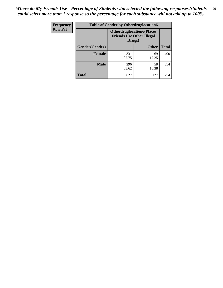| <b>Frequency</b> | <b>Table of Gender by Otherdruglocation6</b> |                                                                                |              |              |
|------------------|----------------------------------------------|--------------------------------------------------------------------------------|--------------|--------------|
| <b>Row Pct</b>   |                                              | <b>Otherdruglocation6(Places</b><br><b>Friends Use Other Illegal</b><br>Drugs) |              |              |
|                  | Gender(Gender)                               |                                                                                | <b>Other</b> | <b>Total</b> |
|                  | Female                                       | 331<br>82.75                                                                   | 69<br>17.25  | 400          |
|                  | <b>Male</b>                                  | 296<br>83.62                                                                   | 58<br>16.38  | 354          |
|                  | <b>Total</b>                                 | 627                                                                            | 127          | 754          |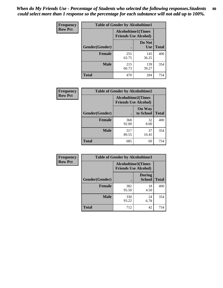| <b>Frequency</b> | <b>Table of Gender by Alcoholtime1</b> |                                                          |                      |              |
|------------------|----------------------------------------|----------------------------------------------------------|----------------------|--------------|
| <b>Row Pct</b>   |                                        | <b>Alcoholtime1(Times</b><br><b>Friends Use Alcohol)</b> |                      |              |
|                  | Gender(Gender)                         | ٠                                                        | Do Not<br><b>Use</b> | <b>Total</b> |
|                  | <b>Female</b>                          | 255<br>63.75                                             | 145<br>36.25         | 400          |
|                  | <b>Male</b>                            | 215<br>60.73                                             | 139<br>39.27         | 354          |
|                  | <b>Total</b>                           | 470                                                      | 284                  | 754          |

| <b>Frequency</b> | <b>Table of Gender by Alcoholtime2</b> |                                                          |                            |              |
|------------------|----------------------------------------|----------------------------------------------------------|----------------------------|--------------|
| <b>Row Pct</b>   |                                        | <b>Alcoholtime2(Times</b><br><b>Friends Use Alcohol)</b> |                            |              |
|                  | Gender(Gender)                         |                                                          | <b>On Way</b><br>to School | <b>Total</b> |
|                  | <b>Female</b>                          | 368<br>92.00                                             | 32<br>8.00                 | 400          |
|                  | <b>Male</b>                            | 317<br>89.55                                             | 37<br>10.45                | 354          |
|                  | <b>Total</b>                           | 685                                                      | 69                         | 754          |

| <b>Frequency</b> | <b>Table of Gender by Alcoholtime3</b> |                                                          |                                |              |
|------------------|----------------------------------------|----------------------------------------------------------|--------------------------------|--------------|
| <b>Row Pct</b>   |                                        | <b>Alcoholtime3(Times</b><br><b>Friends Use Alcohol)</b> |                                |              |
|                  | Gender(Gender)                         |                                                          | <b>During</b><br><b>School</b> | <b>Total</b> |
|                  | Female                                 | 382<br>95.50                                             | 18<br>4.50                     | 400          |
|                  | <b>Male</b>                            | 330<br>93.22                                             | 24<br>6.78                     | 354          |
|                  | <b>Total</b>                           | 712                                                      | 42                             | 754          |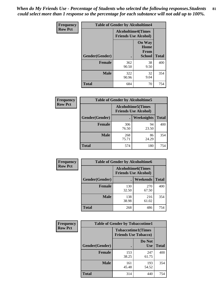*When do My Friends Use - Percentage of Students who selected the following responses.Students could select more than 1 response so the percentage for each substance will not add up to 100%.* **81**

| <b>Frequency</b> | <b>Table of Gender by Alcoholtime4</b> |                                                          |                                                |              |
|------------------|----------------------------------------|----------------------------------------------------------|------------------------------------------------|--------------|
| <b>Row Pct</b>   |                                        | <b>Alcoholtime4(Times</b><br><b>Friends Use Alcohol)</b> |                                                |              |
|                  | Gender(Gender)                         |                                                          | <b>On Way</b><br>Home<br>From<br><b>School</b> | <b>Total</b> |
|                  | <b>Female</b>                          | 362<br>90.50                                             | 38<br>9.50                                     | 400          |
|                  | <b>Male</b>                            | 322<br>90.96                                             | 32<br>9.04                                     | 354          |
|                  | <b>Total</b>                           | 684                                                      | 70                                             | 754          |

| <b>Frequency</b> | <b>Table of Gender by Alcoholtime5</b> |                                                           |             |              |  |
|------------------|----------------------------------------|-----------------------------------------------------------|-------------|--------------|--|
| <b>Row Pct</b>   |                                        | <b>Alcoholtime5</b> (Times<br><b>Friends Use Alcohol)</b> |             |              |  |
|                  | Gender(Gender)                         |                                                           | Weeknights  | <b>Total</b> |  |
|                  | <b>Female</b>                          | 306<br>76.50                                              | 94<br>23.50 | 400          |  |
|                  | <b>Male</b>                            | 268<br>75.71                                              | 86<br>24.29 | 354          |  |
|                  | <b>Total</b>                           | 574                                                       | 180         | 754          |  |

| <b>Frequency</b> |                | <b>Table of Gender by Alcoholtime6</b> |                                                          |              |
|------------------|----------------|----------------------------------------|----------------------------------------------------------|--------------|
| <b>Row Pct</b>   |                |                                        | <b>Alcoholtime6(Times</b><br><b>Friends Use Alcohol)</b> |              |
|                  | Gender(Gender) |                                        | <b>Weekends</b>                                          | <b>Total</b> |
|                  | Female         | 130<br>32.50                           | 270<br>67.50                                             | 400          |
|                  | <b>Male</b>    | 138<br>38.98                           | 216<br>61.02                                             | 354          |
|                  | <b>Total</b>   | 268                                    | 486                                                      | 754          |

| Frequency      | <b>Table of Gender by Tobaccotime1</b> |                                                          |                      |              |
|----------------|----------------------------------------|----------------------------------------------------------|----------------------|--------------|
| <b>Row Pct</b> |                                        | <b>Tobaccotime1(Times</b><br><b>Friends Use Tobacco)</b> |                      |              |
|                | Gender(Gender)                         |                                                          | Do Not<br><b>Use</b> | <b>Total</b> |
|                | <b>Female</b>                          | 153<br>38.25                                             | 247<br>61.75         | 400          |
|                | <b>Male</b>                            | 161<br>45.48                                             | 193<br>54.52         | 354          |
|                | <b>Total</b>                           | 314                                                      | 440                  | 754          |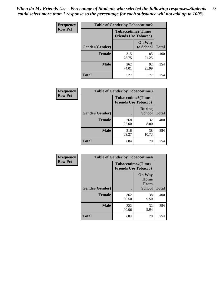*When do My Friends Use - Percentage of Students who selected the following responses.Students could select more than 1 response so the percentage for each substance will not add up to 100%.* **82**

| Frequency      | <b>Table of Gender by Tobaccotime2</b> |                                                          |                            |              |
|----------------|----------------------------------------|----------------------------------------------------------|----------------------------|--------------|
| <b>Row Pct</b> |                                        | <b>Tobaccotime2(Times</b><br><b>Friends Use Tobacco)</b> |                            |              |
|                | Gender(Gender)                         | $\bullet$                                                | <b>On Way</b><br>to School | <b>Total</b> |
|                | <b>Female</b>                          | 315<br>78.75                                             | 85<br>21.25                | 400          |
|                | <b>Male</b>                            | 262<br>74.01                                             | 92<br>25.99                | 354          |
|                | <b>Total</b>                           | 577                                                      | 177                        | 754          |

| Frequency      | <b>Table of Gender by Tobaccotime3</b> |                                                          |                                |              |
|----------------|----------------------------------------|----------------------------------------------------------|--------------------------------|--------------|
| <b>Row Pct</b> |                                        | <b>Tobaccotime3(Times</b><br><b>Friends Use Tobacco)</b> |                                |              |
|                | Gender(Gender)                         |                                                          | <b>During</b><br><b>School</b> | <b>Total</b> |
|                | <b>Female</b>                          | 368<br>92.00                                             | 32<br>8.00                     | 400          |
|                | <b>Male</b>                            | 316<br>89.27                                             | 38<br>10.73                    | 354          |
|                | <b>Total</b>                           | 684                                                      | 70                             | 754          |

| Frequency      | <b>Table of Gender by Tobaccotime4</b> |                                                          |                                                       |              |
|----------------|----------------------------------------|----------------------------------------------------------|-------------------------------------------------------|--------------|
| <b>Row Pct</b> |                                        | <b>Tobaccotime4(Times</b><br><b>Friends Use Tobacco)</b> |                                                       |              |
|                | Gender(Gender)                         |                                                          | <b>On Way</b><br>Home<br><b>From</b><br><b>School</b> | <b>Total</b> |
|                | <b>Female</b>                          | 362<br>90.50                                             | 38<br>9.50                                            | 400          |
|                | <b>Male</b>                            | 322<br>90.96                                             | 32<br>9.04                                            | 354          |
|                | <b>Total</b>                           | 684                                                      | 70                                                    | 754          |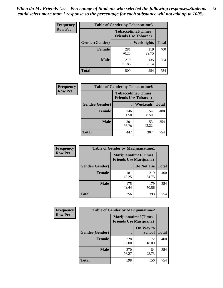| <b>Frequency</b> | <b>Table of Gender by Tobaccotime5</b> |              |                                                          |              |  |
|------------------|----------------------------------------|--------------|----------------------------------------------------------|--------------|--|
| <b>Row Pct</b>   |                                        |              | <b>Tobaccotime5(Times</b><br><b>Friends Use Tobacco)</b> |              |  |
|                  | <b>Gender</b> (Gender)                 |              | Weeknights                                               | <b>Total</b> |  |
|                  | Female                                 | 281<br>70.25 | 119<br>29.75                                             | 400          |  |
|                  | <b>Male</b>                            | 219<br>61.86 | 135<br>38.14                                             | 354          |  |
|                  | <b>Total</b>                           | 500          | 254                                                      | 754          |  |

| <b>Frequency</b> | <b>Table of Gender by Tobaccotime6</b> |                             |                           |              |
|------------------|----------------------------------------|-----------------------------|---------------------------|--------------|
| <b>Row Pct</b>   |                                        | <b>Friends Use Tobacco)</b> | <b>Tobaccotime6(Times</b> |              |
|                  | Gender(Gender)                         |                             | <b>Weekends</b>           | <b>Total</b> |
|                  | Female                                 | 246<br>61.50                | 154<br>38.50              | 400          |
|                  | <b>Male</b>                            | 201<br>56.78                | 153<br>43.22              | 354          |
|                  | <b>Total</b>                           | 447                         | 307                       | 754          |

| Frequency      | <b>Table of Gender by Marijuanatime1</b> |                                |                      |              |
|----------------|------------------------------------------|--------------------------------|----------------------|--------------|
| <b>Row Pct</b> |                                          | <b>Friends Use Marijuana</b> ) | Marijuanatime1(Times |              |
|                | Gender(Gender)                           |                                | Do Not Use           | <b>Total</b> |
|                | <b>Female</b>                            | 181<br>45.25                   | 219<br>54.75         | 400          |
|                | <b>Male</b>                              | 175<br>49.44                   | 179<br>50.56         | 354          |
|                | <b>Total</b>                             | 356                            | 398                  | 754          |

| <b>Frequency</b> | <b>Table of Gender by Marijuanatime2</b> |                                                        |                            |              |
|------------------|------------------------------------------|--------------------------------------------------------|----------------------------|--------------|
| <b>Row Pct</b>   |                                          | Marijuanatime2(Times<br><b>Friends Use Marijuana</b> ) |                            |              |
|                  | <b>Gender</b> (Gender)                   |                                                        | On Way to<br><b>School</b> | <b>Total</b> |
|                  | <b>Female</b>                            | 328<br>82.00                                           | 72<br>18.00                | 400          |
|                  | <b>Male</b>                              | 270<br>76.27                                           | 84<br>23.73                | 354          |
|                  | <b>Total</b>                             | 598                                                    | 156                        | 754          |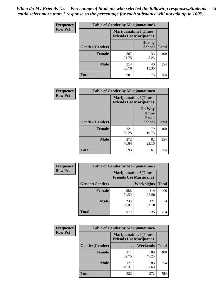*When do My Friends Use - Percentage of Students who selected the following responses.Students could select more than 1 response so the percentage for each substance will not add up to 100%.* **84**

| <b>Frequency</b> | Table of Gender by Marijuanatime3 |                                                        |                                |              |
|------------------|-----------------------------------|--------------------------------------------------------|--------------------------------|--------------|
| <b>Row Pct</b>   |                                   | Marijuanatime3(Times<br><b>Friends Use Marijuana</b> ) |                                |              |
|                  | Gender(Gender)                    |                                                        | <b>During</b><br><b>School</b> | <b>Total</b> |
|                  | <b>Female</b>                     | 367<br>91.75                                           | 33<br>8.25                     | 400          |
|                  | <b>Male</b>                       | 314<br>88.70                                           | 40<br>11.30                    | 354          |
|                  | <b>Total</b>                      | 681                                                    | 73                             | 754          |

| Frequency      | <b>Table of Gender by Marijuanatime4</b> |                                                               |                                                |              |
|----------------|------------------------------------------|---------------------------------------------------------------|------------------------------------------------|--------------|
| <b>Row Pct</b> |                                          | <b>Marijuanatime4(Times</b><br><b>Friends Use Marijuana</b> ) |                                                |              |
|                | Gender(Gender)                           |                                                               | <b>On Way</b><br>Home<br>From<br><b>School</b> | <b>Total</b> |
|                | <b>Female</b>                            | 321<br>80.25                                                  | 79<br>19.75                                    | 400          |
|                | <b>Male</b>                              | 272<br>76.84                                                  | 82<br>23.16                                    | 354          |
|                | <b>Total</b>                             | 593                                                           | 161                                            | 754          |

| Frequency      | <b>Table of Gender by Marijuanatime5</b> |              |                                                                |              |
|----------------|------------------------------------------|--------------|----------------------------------------------------------------|--------------|
| <b>Row Pct</b> |                                          |              | <b>Marijuanatime5</b> (Times<br><b>Friends Use Marijuana</b> ) |              |
|                | Gender(Gender)                           |              | Weeknights                                                     | <b>Total</b> |
|                | <b>Female</b>                            | 286<br>71.50 | 114<br>28.50                                                   | 400          |
|                | <b>Male</b>                              | 233<br>65.82 | 121<br>34.18                                                   | 354          |
|                | <b>Total</b>                             | 519          | 235                                                            | 754          |

| Frequency      | <b>Table of Gender by Marijuanatime6</b> |                                                                |                 |              |  |
|----------------|------------------------------------------|----------------------------------------------------------------|-----------------|--------------|--|
| <b>Row Pct</b> |                                          | <b>Marijuanatime6</b> (Times<br><b>Friends Use Marijuana</b> ) |                 |              |  |
|                | Gender(Gender)                           |                                                                | <b>Weekends</b> | <b>Total</b> |  |
|                | <b>Female</b>                            | 211<br>52.75                                                   | 189<br>47.25    | 400          |  |
|                | <b>Male</b>                              | 171<br>48.31                                                   | 183<br>51.69    | 354          |  |
|                | <b>Total</b>                             | 382                                                            | 372             | 754          |  |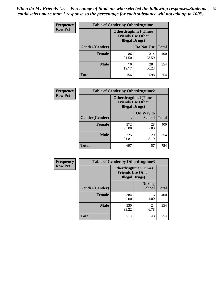*When do My Friends Use - Percentage of Students who selected the following responses.Students could select more than 1 response so the percentage for each substance will not add up to 100%.* **85**

| <b>Frequency</b> | <b>Table of Gender by Otherdrugtime1</b> |                        |                                                         |              |  |
|------------------|------------------------------------------|------------------------|---------------------------------------------------------|--------------|--|
| <b>Row Pct</b>   |                                          | <b>Illegal Drugs</b> ) | <b>Otherdrugtime1(Times</b><br><b>Friends Use Other</b> |              |  |
|                  | Gender(Gender)                           |                        | Do Not Use                                              | <b>Total</b> |  |
|                  | <b>Female</b>                            | 86<br>21.50            | 314<br>78.50                                            | 400          |  |
|                  | <b>Male</b>                              | 70<br>19.77            | 284<br>80.23                                            | 354          |  |
|                  | <b>Total</b>                             | 156                    | 598                                                     | 754          |  |

| Frequency      | <b>Table of Gender by Otherdrugtime2</b> |                        |                                                         |              |
|----------------|------------------------------------------|------------------------|---------------------------------------------------------|--------------|
| <b>Row Pct</b> |                                          | <b>Illegal Drugs</b> ) | <b>Otherdrugtime2(Times</b><br><b>Friends Use Other</b> |              |
|                | Gender(Gender)                           |                        | On Way to<br><b>School</b>                              | <b>Total</b> |
|                | <b>Female</b>                            | 372<br>93.00           | 28<br>7.00                                              | 400          |
|                | <b>Male</b>                              | 325<br>91.81           | 29<br>8.19                                              | 354          |
|                | <b>Total</b>                             | 697                    | 57                                                      | 754          |

| Frequency      | <b>Table of Gender by Otherdrugtime3</b> |                                                   |                                |              |
|----------------|------------------------------------------|---------------------------------------------------|--------------------------------|--------------|
| <b>Row Pct</b> |                                          | <b>Friends Use Other</b><br><b>Illegal Drugs)</b> | Otherdrugtime3(Times           |              |
|                | Gender(Gender)                           |                                                   | <b>During</b><br><b>School</b> | <b>Total</b> |
|                | <b>Female</b>                            | 384<br>96.00                                      | 16<br>4.00                     | 400          |
|                | <b>Male</b>                              | 330<br>93.22                                      | 24<br>6.78                     | 354          |
|                | <b>Total</b>                             | 714                                               | 40                             | 754          |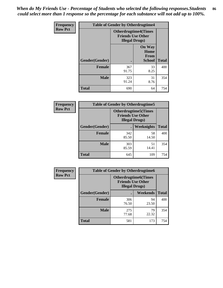*When do My Friends Use - Percentage of Students who selected the following responses.Students could select more than 1 response so the percentage for each substance will not add up to 100%.* **86**

| <b>Frequency</b> | <b>Table of Gender by Otherdrugtime4</b> |                                                    |                                         |              |
|------------------|------------------------------------------|----------------------------------------------------|-----------------------------------------|--------------|
| <b>Row Pct</b>   |                                          | <b>Friends Use Other</b><br><b>Illegal Drugs</b> ) | <b>Otherdrugtime4(Times</b>             |              |
|                  | Gender(Gender)                           |                                                    | <b>On Way</b><br>Home<br>From<br>School | <b>Total</b> |
|                  | <b>Female</b>                            | 367<br>91.75                                       | 33<br>8.25                              | 400          |
|                  | <b>Male</b>                              | 323<br>91.24                                       | 31<br>8.76                              | 354          |
|                  | <b>Total</b>                             | 690                                                | 64                                      | 754          |

| Frequency      | <b>Table of Gender by Otherdrugtime5</b> |                                                                                    |             |              |
|----------------|------------------------------------------|------------------------------------------------------------------------------------|-------------|--------------|
| <b>Row Pct</b> |                                          | <b>Otherdrugtime5</b> (Times<br><b>Friends Use Other</b><br><b>Illegal Drugs</b> ) |             |              |
|                | Gender(Gender)                           |                                                                                    | Weeknights  | <b>Total</b> |
|                | <b>Female</b>                            | 342<br>85.50                                                                       | 58<br>14.50 | 400          |
|                | <b>Male</b>                              | 303<br>85.59                                                                       | 51<br>14.41 | 354          |
|                | <b>Total</b>                             | 645                                                                                | 109         | 754          |

| <b>Frequency</b> | <b>Table of Gender by Otherdrugtime6</b> |                                                                                   |             |              |
|------------------|------------------------------------------|-----------------------------------------------------------------------------------|-------------|--------------|
| <b>Row Pct</b>   |                                          | <b>Otherdrugtime6(Times</b><br><b>Friends Use Other</b><br><b>Illegal Drugs</b> ) |             |              |
|                  | Gender(Gender)                           |                                                                                   | Weekends    | <b>Total</b> |
|                  | <b>Female</b>                            | 306<br>76.50                                                                      | 94<br>23.50 | 400          |
|                  | <b>Male</b>                              | 275<br>77.68                                                                      | 79<br>22.32 | 354          |
|                  | <b>Total</b>                             | 581                                                                               | 173         | 754          |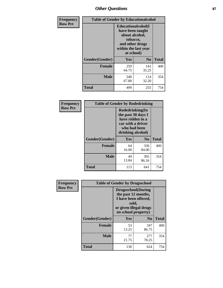## *Other Questions* **87**

| <b>Frequency</b> | <b>Table of Gender by Educationalcohol</b> |                                                                                                                                       |                |              |  |
|------------------|--------------------------------------------|---------------------------------------------------------------------------------------------------------------------------------------|----------------|--------------|--|
| <b>Row Pct</b>   |                                            | <b>Educationalcohol</b> (I<br>have been taught<br>about alcohol,<br>tobacco,<br>and other drugs<br>within the last year<br>at school) |                |              |  |
|                  | Gender(Gender)                             | <b>Yes</b>                                                                                                                            | N <sub>0</sub> | <b>Total</b> |  |
|                  | <b>Female</b>                              | 259<br>64.75                                                                                                                          | 141<br>35.25   | 400          |  |
|                  | <b>Male</b>                                | 240<br>67.80                                                                                                                          | 114<br>32.20   | 354          |  |
|                  | <b>Total</b>                               | 499                                                                                                                                   | 255            | 754          |  |

| Frequency      | <b>Table of Gender by Rodedrinking</b> |                                                                                                                     |                |              |  |
|----------------|----------------------------------------|---------------------------------------------------------------------------------------------------------------------|----------------|--------------|--|
| <b>Row Pct</b> |                                        | Rodedrinking(In<br>the past 30 days I<br>have ridden in a<br>car with a driver<br>who had been<br>drinking alcohol) |                |              |  |
|                | Gender(Gender)                         | Yes                                                                                                                 | N <sub>0</sub> | <b>Total</b> |  |
|                | <b>Female</b>                          | 64<br>16.00                                                                                                         | 336<br>84.00   | 400          |  |
|                | <b>Male</b>                            | 49<br>13.84                                                                                                         | 305<br>86.16   | 354          |  |
|                | <b>Total</b>                           | 113                                                                                                                 | 641            | 754          |  |

| Frequency      | <b>Table of Gender by Drugsschool</b> |                                                                                                                                     |                |              |  |
|----------------|---------------------------------------|-------------------------------------------------------------------------------------------------------------------------------------|----------------|--------------|--|
| <b>Row Pct</b> |                                       | <b>Drugsschool</b> (During<br>the past 12 months,<br>I have been offered,<br>sold,<br>or given illegal drugs<br>on school property) |                |              |  |
|                | Gender(Gender)                        | Yes                                                                                                                                 | N <sub>0</sub> | <b>Total</b> |  |
|                | <b>Female</b>                         | 53<br>13.25                                                                                                                         | 347<br>86.75   | 400          |  |
|                | <b>Male</b>                           | 77<br>21.75                                                                                                                         | 277<br>78.25   | 354          |  |
|                | <b>Total</b>                          | 130                                                                                                                                 | 624            | 754          |  |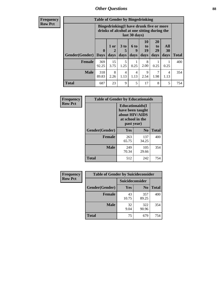### *Other Questions* **88**

**Frequency Row Pct**

| <b>Table of Gender by Bingedrinking</b> |              |                                                                                                                |                   |                   |                        |                               |                          |       |
|-----------------------------------------|--------------|----------------------------------------------------------------------------------------------------------------|-------------------|-------------------|------------------------|-------------------------------|--------------------------|-------|
|                                         |              | <b>Bingedrinking(I have drunk five or more</b><br>drinks of alcohol at one sitting during the<br>last 30 days) |                   |                   |                        |                               |                          |       |
| <b>Gender</b> (Gender)   Days           | $\mathbf 0$  | 1 or<br>days                                                                                                   | 3 to<br>5<br>days | 6 to<br>q<br>days | 10<br>to<br>19<br>days | <b>20</b><br>to<br>29<br>days | All<br><b>30</b><br>days | Total |
| <b>Female</b>                           | 369<br>92.25 | 15<br>3.75                                                                                                     | 5<br>1.25         | 0.25              | 8<br>2.00              | 0.25                          | 0.25                     | 400   |
| <b>Male</b>                             |              |                                                                                                                |                   |                   |                        |                               |                          |       |
|                                         | 318<br>89.83 | 8<br>2.26                                                                                                      | 4<br>1.13         | 4<br>1.13         | 9<br>2.54              | 1.98                          | 4<br>1.13                | 354   |

| Frequency      | <b>Table of Gender by Educationaids</b> |                                                                                                 |                |              |  |
|----------------|-----------------------------------------|-------------------------------------------------------------------------------------------------|----------------|--------------|--|
| <b>Row Pct</b> |                                         | <b>Educationaids</b> (I<br>have been taught<br>about HIV/AIDS<br>at school in the<br>past year) |                |              |  |
|                | Gender(Gender)                          | Yes                                                                                             | N <sub>0</sub> | <b>Total</b> |  |
|                | <b>Female</b>                           | 263<br>65.75                                                                                    | 137<br>34.25   | 400          |  |
|                | <b>Male</b>                             | 249<br>70.34                                                                                    | 105<br>29.66   | 354          |  |
|                | <b>Total</b>                            | 512                                                                                             | 242            | 754          |  |

| <b>Frequency</b> | <b>Table of Gender by Suicideconsider</b> |                 |                |              |  |
|------------------|-------------------------------------------|-----------------|----------------|--------------|--|
| <b>Row Pct</b>   |                                           | Suicideconsider |                |              |  |
|                  | Gender(Gender)                            | Yes             | N <sub>0</sub> | <b>Total</b> |  |
|                  | <b>Female</b>                             | 43<br>10.75     | 357<br>89.25   | 400          |  |
|                  | <b>Male</b>                               | 32<br>9.04      | 322<br>90.96   | 354          |  |
|                  | Total                                     | 75              | 679            | 754          |  |